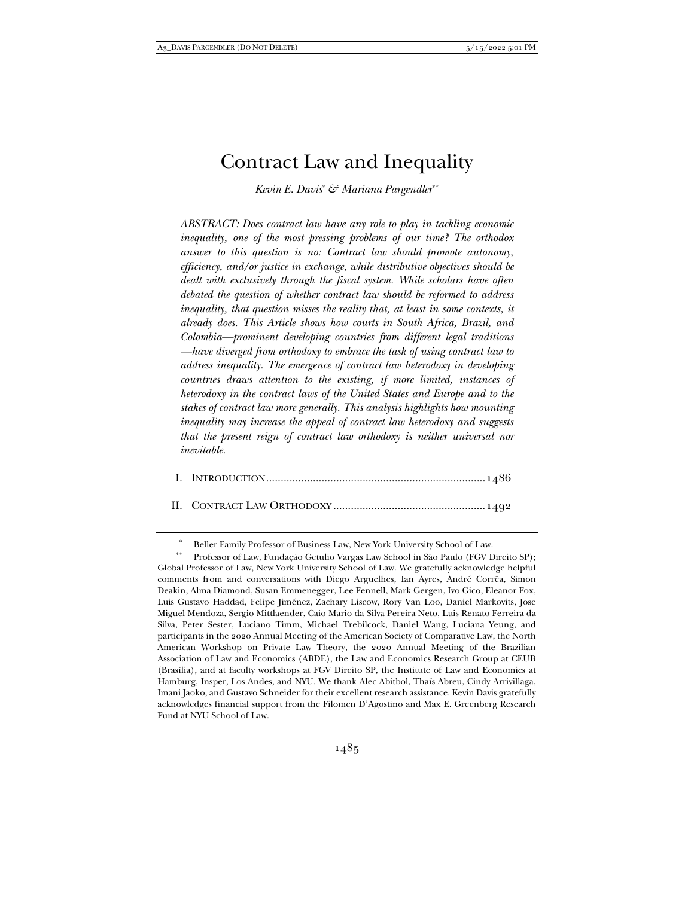# Contract Law and Inequality

*Kevin E. Davis*\* *& Mariana Pargendler*\*\*

*ABSTRACT: Does contract law have any role to play in tackling economic inequality, one of the most pressing problems of our time? The orthodox answer to this question is no: Contract law should promote autonomy, efficiency, and/or justice in exchange, while distributive objectives should be dealt with exclusively through the fiscal system. While scholars have often debated the question of whether contract law should be reformed to address inequality, that question misses the reality that, at least in some contexts, it already does. This Article shows how courts in South Africa, Brazil, and Colombia—prominent developing countries from different legal traditions —have diverged from orthodoxy to embrace the task of using contract law to address inequality. The emergence of contract law heterodoxy in developing countries draws attention to the existing, if more limited, instances of heterodoxy in the contract laws of the United States and Europe and to the stakes of contract law more generally. This analysis highlights how mounting inequality may increase the appeal of contract law heterodoxy and suggests that the present reign of contract law orthodoxy is neither universal nor inevitable.* 

|--|--|--|

II. CONTRACT LAW ORTHODOXY .................................................... 1492

Beller Family Professor of Business Law, New York University School of Law.

 <sup>\*\*</sup> Professor of Law, Fundação Getulio Vargas Law School in São Paulo (FGV Direito SP); Global Professor of Law, New York University School of Law. We gratefully acknowledge helpful comments from and conversations with Diego Arguelhes, Ian Ayres, André Corrêa, Simon Deakin, Alma Diamond, Susan Emmenegger, Lee Fennell, Mark Gergen, Ivo Gico, Eleanor Fox, Luis Gustavo Haddad, Felipe Jiménez, Zachary Liscow, Rory Van Loo, Daniel Markovits, Jose Miguel Mendoza, Sergio Mittlaender, Caio Mario da Silva Pereira Neto, Luis Renato Ferreira da Silva, Peter Sester, Luciano Timm, Michael Trebilcock, Daniel Wang, Luciana Yeung, and participants in the 2020 Annual Meeting of the American Society of Comparative Law, the North American Workshop on Private Law Theory, the 2020 Annual Meeting of the Brazilian Association of Law and Economics (ABDE), the Law and Economics Research Group at CEUB (Brasília), and at faculty workshops at FGV Direito SP, the Institute of Law and Economics at Hamburg, Insper, Los Andes, and NYU. We thank Alec Abitbol, Thaís Abreu, Cindy Arrivillaga, Imani Jaoko, and Gustavo Schneider for their excellent research assistance. Kevin Davis gratefully acknowledges financial support from the Filomen D'Agostino and Max E. Greenberg Research Fund at NYU School of Law.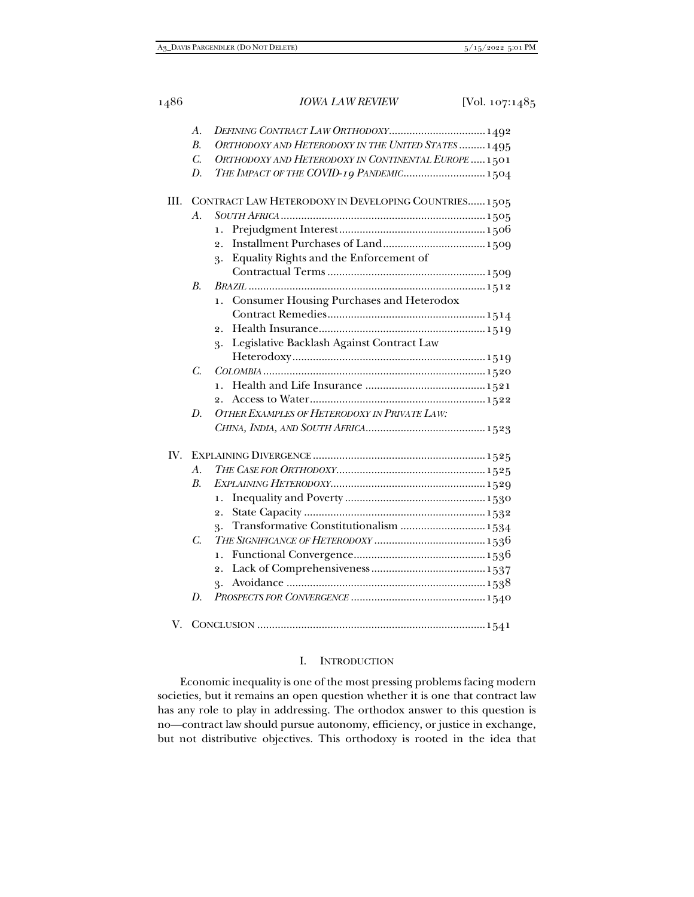|      | $\mathcal{A}$ . |                                                       |
|------|-----------------|-------------------------------------------------------|
|      | $B$ .           | ORTHODOXY AND HETERODOXY IN THE UNITED STATES  1495   |
|      | C.              | ORTHODOXY AND HETERODOXY IN CONTINENTAL EUROPE  1501  |
|      | D.              | THE IMPACT OF THE COVID-19 PANDEMIC 1504              |
| III. |                 | CONTRACT LAW HETERODOXY IN DEVELOPING COUNTRIES 1505  |
|      | $\mathcal{A}$ . |                                                       |
|      |                 | 1.                                                    |
|      |                 | $\overline{2}$ .                                      |
|      |                 | Equality Rights and the Enforcement of<br>3.          |
|      |                 |                                                       |
|      | <i>B.</i>       |                                                       |
|      |                 | <b>Consumer Housing Purchases and Heterodox</b><br>1. |
|      |                 |                                                       |
|      |                 | $\overline{2}$ .                                      |
|      |                 | Legislative Backlash Against Contract Law<br>3.       |
|      |                 |                                                       |
|      | C.              |                                                       |
|      |                 | 1.                                                    |
|      |                 | $\overline{2}$ .                                      |
|      | D.              | OTHER EXAMPLES OF HETERODOXY IN PRIVATE LAW:          |
|      |                 |                                                       |
| IV.  |                 |                                                       |
|      | $A$ .           |                                                       |
|      | $B$ .           |                                                       |
|      |                 | ı.                                                    |
|      |                 | $\overline{2}$ .                                      |
|      |                 | Transformative Constitutionalism  1534<br>3.          |
|      | C.              |                                                       |
|      |                 | 1.                                                    |
|      |                 | 2.                                                    |
|      |                 | 3.                                                    |
|      | D.              |                                                       |
| V.   |                 |                                                       |

# I. INTRODUCTION

Economic inequality is one of the most pressing problems facing modern societies, but it remains an open question whether it is one that contract law has any role to play in addressing. The orthodox answer to this question is no—contract law should pursue autonomy, efficiency, or justice in exchange, but not distributive objectives. This orthodoxy is rooted in the idea that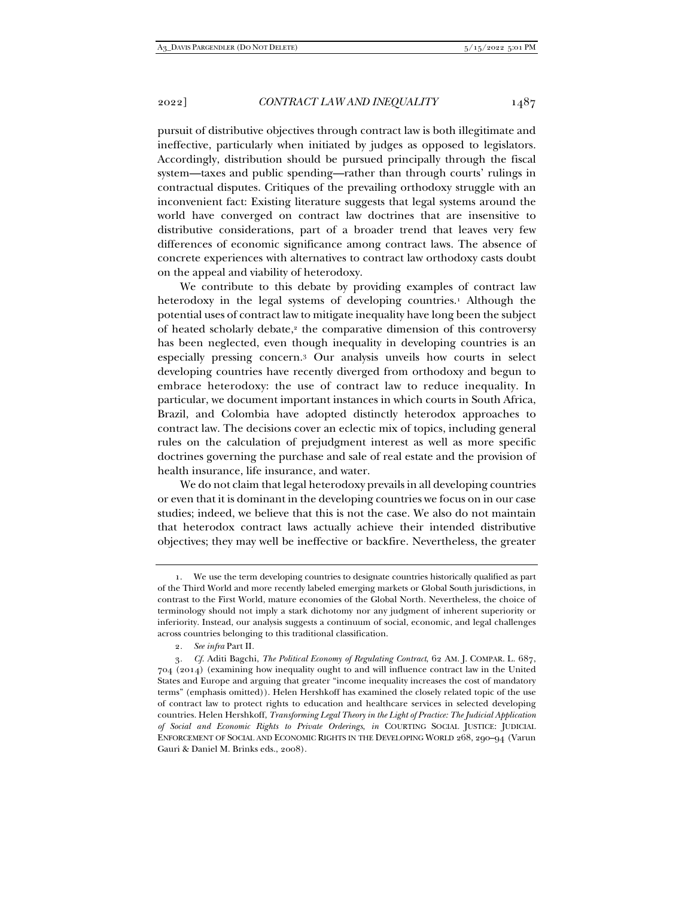pursuit of distributive objectives through contract law is both illegitimate and ineffective, particularly when initiated by judges as opposed to legislators. Accordingly, distribution should be pursued principally through the fiscal system—taxes and public spending—rather than through courts' rulings in contractual disputes. Critiques of the prevailing orthodoxy struggle with an inconvenient fact: Existing literature suggests that legal systems around the world have converged on contract law doctrines that are insensitive to distributive considerations, part of a broader trend that leaves very few differences of economic significance among contract laws. The absence of concrete experiences with alternatives to contract law orthodoxy casts doubt on the appeal and viability of heterodoxy.

We contribute to this debate by providing examples of contract law heterodoxy in the legal systems of developing countries.<sup>1</sup> Although the potential uses of contract law to mitigate inequality have long been the subject of heated scholarly debate,2 the comparative dimension of this controversy has been neglected, even though inequality in developing countries is an especially pressing concern.3 Our analysis unveils how courts in select developing countries have recently diverged from orthodoxy and begun to embrace heterodoxy: the use of contract law to reduce inequality. In particular, we document important instances in which courts in South Africa, Brazil, and Colombia have adopted distinctly heterodox approaches to contract law. The decisions cover an eclectic mix of topics, including general rules on the calculation of prejudgment interest as well as more specific doctrines governing the purchase and sale of real estate and the provision of health insurance, life insurance, and water.

We do not claim that legal heterodoxy prevails in all developing countries or even that it is dominant in the developing countries we focus on in our case studies; indeed, we believe that this is not the case. We also do not maintain that heterodox contract laws actually achieve their intended distributive objectives; they may well be ineffective or backfire. Nevertheless, the greater

 <sup>1.</sup> We use the term developing countries to designate countries historically qualified as part of the Third World and more recently labeled emerging markets or Global South jurisdictions, in contrast to the First World, mature economies of the Global North. Nevertheless, the choice of terminology should not imply a stark dichotomy nor any judgment of inherent superiority or inferiority. Instead, our analysis suggests a continuum of social, economic, and legal challenges across countries belonging to this traditional classification.

<sup>2</sup>*. See infra* Part II*.*

<sup>3</sup>*. Cf.* Aditi Bagchi, *The Political Economy of Regulating Contract*, 62 AM. J. COMPAR. L. 687, 704 (2014) (examining how inequality ought to and will influence contract law in the United States and Europe and arguing that greater "income inequality increases the cost of mandatory terms" (emphasis omitted)). Helen Hershkoff has examined the closely related topic of the use of contract law to protect rights to education and healthcare services in selected developing countries. Helen Hershkoff, *Transforming Legal Theory in the Light of Practice: The Judicial Application of Social and Economic Rights to Private Orderings*, *in* COURTING SOCIAL JUSTICE: JUDICIAL ENFORCEMENT OF SOCIAL AND ECONOMIC RIGHTS IN THE DEVELOPING WORLD 268, 290–94 (Varun Gauri & Daniel M. Brinks eds., 2008).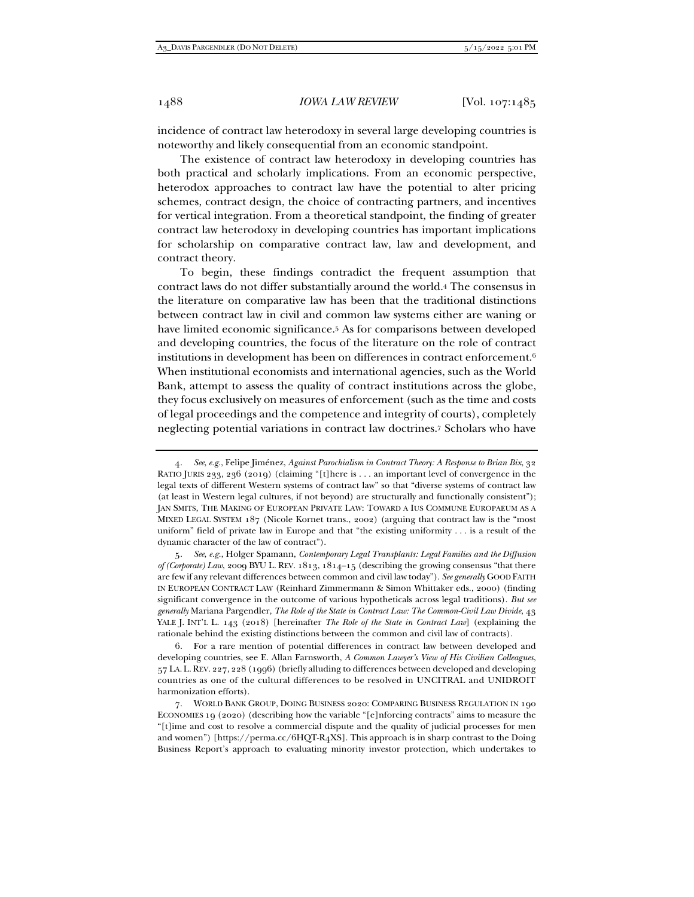incidence of contract law heterodoxy in several large developing countries is noteworthy and likely consequential from an economic standpoint.

The existence of contract law heterodoxy in developing countries has both practical and scholarly implications. From an economic perspective, heterodox approaches to contract law have the potential to alter pricing schemes, contract design, the choice of contracting partners, and incentives for vertical integration. From a theoretical standpoint, the finding of greater contract law heterodoxy in developing countries has important implications for scholarship on comparative contract law, law and development, and contract theory.

To begin, these findings contradict the frequent assumption that contract laws do not differ substantially around the world.4 The consensus in the literature on comparative law has been that the traditional distinctions between contract law in civil and common law systems either are waning or have limited economic significance.5 As for comparisons between developed and developing countries, the focus of the literature on the role of contract institutions in development has been on differences in contract enforcement.6 When institutional economists and international agencies, such as the World Bank, attempt to assess the quality of contract institutions across the globe, they focus exclusively on measures of enforcement (such as the time and costs of legal proceedings and the competence and integrity of courts), completely neglecting potential variations in contract law doctrines.7 Scholars who have

<sup>4</sup>*. See*, *e.g.*, Felipe Jiménez, *Against Parochialism in Contract Theory: A Response to Brian Bix*, 32 RATIO JURIS 233, 236 (2019) (claiming "[t]here is . . . an important level of convergence in the legal texts of different Western systems of contract law" so that "diverse systems of contract law (at least in Western legal cultures, if not beyond) are structurally and functionally consistent"); JAN SMITS, THE MAKING OF EUROPEAN PRIVATE LAW: TOWARD A IUS COMMUNE EUROPAEUM AS A MIXED LEGAL SYSTEM 187 (Nicole Kornet trans., 2002) (arguing that contract law is the "most uniform" field of private law in Europe and that "the existing uniformity . . . is a result of the dynamic character of the law of contract").

<sup>5</sup>*. See*, *e.g.*, Holger Spamann, *Contemporary Legal Transplants: Legal Families and the Diffusion of (Corporate) Law*, 2009 BYU L. REV. 1813, 1814–15 (describing the growing consensus "that there are few if any relevant differences between common and civil law today"). *See generally* GOOD FAITH IN EUROPEAN CONTRACT LAW (Reinhard Zimmermann & Simon Whittaker eds., 2000) (finding significant convergence in the outcome of various hypotheticals across legal traditions). *But see generally* Mariana Pargendler, *The Role of the State in Contract Law: The Common-Civil Law Divide*, 43 YALE J. INT'L L. 143 (2018) [hereinafter *The Role of the State in Contract Law*] (explaining the rationale behind the existing distinctions between the common and civil law of contracts).

 <sup>6.</sup> For a rare mention of potential differences in contract law between developed and developing countries, see E. Allan Farnsworth, *A Common Lawyer's View of His Civilian Colleagues*, 57 LA. L.REV. 227, 228 (1996) (briefly alluding to differences between developed and developing countries as one of the cultural differences to be resolved in UNCITRAL and UNIDROIT harmonization efforts).

 <sup>7.</sup> WORLD BANK GROUP, DOING BUSINESS 2020: COMPARING BUSINESS REGULATION IN 190 ECONOMIES 19 (2020) (describing how the variable "[e]nforcing contracts" aims to measure the "[t]ime and cost to resolve a commercial dispute and the quality of judicial processes for men and women") [https://perma.cc/6HQT-R4XS]. This approach is in sharp contrast to the Doing Business Report's approach to evaluating minority investor protection, which undertakes to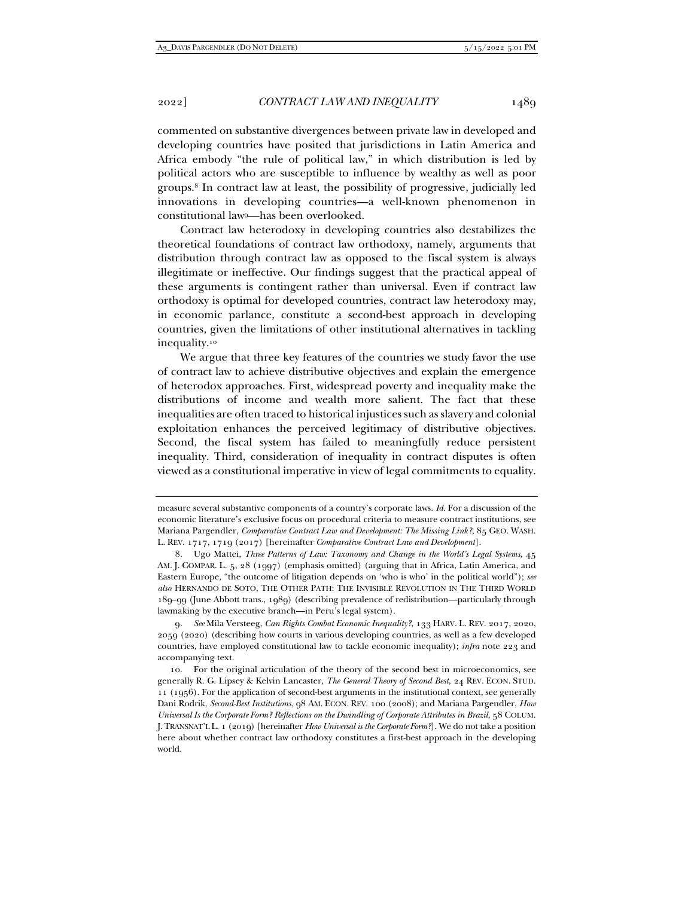commented on substantive divergences between private law in developed and developing countries have posited that jurisdictions in Latin America and Africa embody "the rule of political law," in which distribution is led by political actors who are susceptible to influence by wealthy as well as poor groups.8 In contract law at least, the possibility of progressive, judicially led innovations in developing countries—a well-known phenomenon in constitutional law9—has been overlooked.

Contract law heterodoxy in developing countries also destabilizes the theoretical foundations of contract law orthodoxy, namely, arguments that distribution through contract law as opposed to the fiscal system is always illegitimate or ineffective. Our findings suggest that the practical appeal of these arguments is contingent rather than universal. Even if contract law orthodoxy is optimal for developed countries, contract law heterodoxy may, in economic parlance, constitute a second-best approach in developing countries, given the limitations of other institutional alternatives in tackling inequality.10

We argue that three key features of the countries we study favor the use of contract law to achieve distributive objectives and explain the emergence of heterodox approaches. First, widespread poverty and inequality make the distributions of income and wealth more salient. The fact that these inequalities are often traced to historical injustices such as slavery and colonial exploitation enhances the perceived legitimacy of distributive objectives. Second, the fiscal system has failed to meaningfully reduce persistent inequality. Third, consideration of inequality in contract disputes is often viewed as a constitutional imperative in view of legal commitments to equality.

measure several substantive components of a country's corporate laws. *Id.* For a discussion of the economic literature's exclusive focus on procedural criteria to measure contract institutions, see Mariana Pargendler, *Comparative Contract Law and Development: The Missing Link?*, 85 GEO. WASH. L. REV. 1717, 1719 (2017) [hereinafter *Comparative Contract Law and Development*].

 <sup>8.</sup> Ugo Mattei, *Three Patterns of Law: Taxonomy and Change in the World's Legal Systems*, 45 AM. J. COMPAR. L. 5, 28 (1997) (emphasis omitted) (arguing that in Africa, Latin America, and Eastern Europe, "the outcome of litigation depends on 'who is who' in the political world"); *see also* HERNANDO DE SOTO, THE OTHER PATH: THE INVISIBLE REVOLUTION IN THE THIRD WORLD 189–99 (June Abbott trans., 1989) (describing prevalence of redistribution—particularly through lawmaking by the executive branch—in Peru's legal system).

<sup>9</sup>*. See* Mila Versteeg, *Can Rights Combat Economic Inequality?*, 133 HARV. L. REV. 2017, 2020, 2059 (2020) (describing how courts in various developing countries, as well as a few developed countries, have employed constitutional law to tackle economic inequality); *infra* note 223 and accompanying text.

 <sup>10.</sup> For the original articulation of the theory of the second best in microeconomics, see generally R. G. Lipsey & Kelvin Lancaster, *The General Theory of Second Best*, 24 REV. ECON. STUD. 11 (1956). For the application of second-best arguments in the institutional context, see generally Dani Rodrik, *Second-Best Institutions*, 98 AM. ECON. REV. 100 (2008); and Mariana Pargendler, *How Universal Is the Corporate Form? Reflections on the Dwindling of Corporate Attributes in Brazil*, 58 COLUM. J. TRANSNAT'L L. 1 (2019) [hereinafter *How Universal is the Corporate Form?*]. We do not take a position here about whether contract law orthodoxy constitutes a first-best approach in the developing world.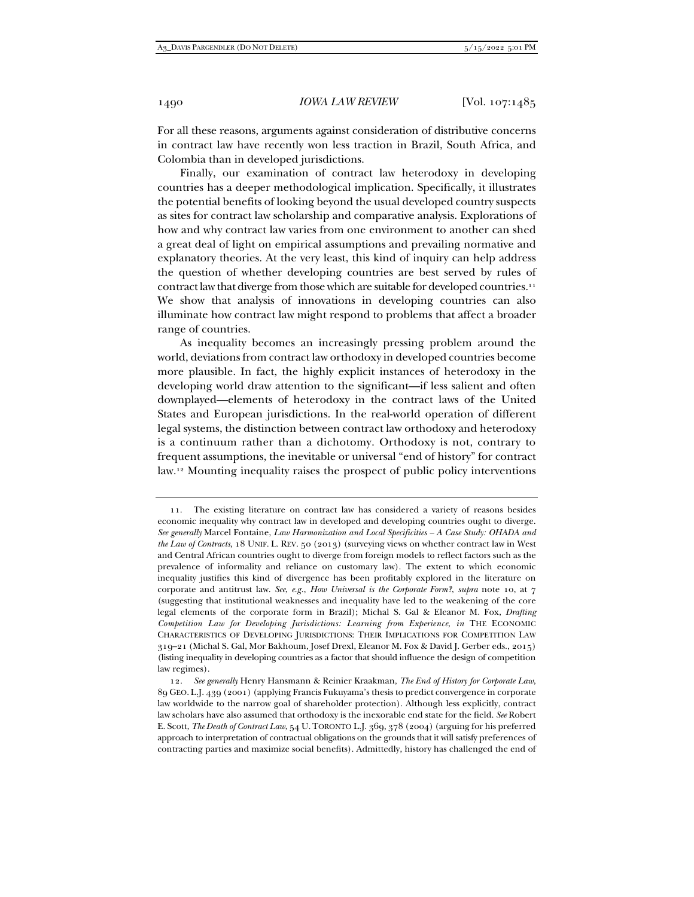For all these reasons, arguments against consideration of distributive concerns in contract law have recently won less traction in Brazil, South Africa, and Colombia than in developed jurisdictions.

Finally, our examination of contract law heterodoxy in developing countries has a deeper methodological implication. Specifically, it illustrates the potential benefits of looking beyond the usual developed country suspects as sites for contract law scholarship and comparative analysis. Explorations of how and why contract law varies from one environment to another can shed a great deal of light on empirical assumptions and prevailing normative and explanatory theories. At the very least, this kind of inquiry can help address the question of whether developing countries are best served by rules of contract law that diverge from those which are suitable for developed countries.<sup>11</sup> We show that analysis of innovations in developing countries can also illuminate how contract law might respond to problems that affect a broader range of countries.

As inequality becomes an increasingly pressing problem around the world, deviations from contract law orthodoxy in developed countries become more plausible. In fact, the highly explicit instances of heterodoxy in the developing world draw attention to the significant—if less salient and often downplayed—elements of heterodoxy in the contract laws of the United States and European jurisdictions. In the real-world operation of different legal systems, the distinction between contract law orthodoxy and heterodoxy is a continuum rather than a dichotomy. Orthodoxy is not, contrary to frequent assumptions, the inevitable or universal "end of history" for contract law.12 Mounting inequality raises the prospect of public policy interventions

 <sup>11.</sup> The existing literature on contract law has considered a variety of reasons besides economic inequality why contract law in developed and developing countries ought to diverge. *See generally* Marcel Fontaine, *Law Harmonization and Local Specificities – A Case Study: OHADA and the Law of Contracts*, 18 UNIF. L. REV. 50 (2013) (surveying views on whether contract law in West and Central African countries ought to diverge from foreign models to reflect factors such as the prevalence of informality and reliance on customary law). The extent to which economic inequality justifies this kind of divergence has been profitably explored in the literature on corporate and antitrust law. *See*, *e.g.*, *How Universal is the Corporate Form?*, *supra* note 10, at 7 (suggesting that institutional weaknesses and inequality have led to the weakening of the core legal elements of the corporate form in Brazil); Michal S. Gal & Eleanor M. Fox, *Drafting Competition Law for Developing Jurisdictions: Learning from Experience*, *in* THE ECONOMIC CHARACTERISTICS OF DEVELOPING JURISDICTIONS: THEIR IMPLICATIONS FOR COMPETITION LAW 319–21 (Michal S. Gal, Mor Bakhoum, Josef Drexl, Eleanor M. Fox & David J. Gerber eds., 2015) (listing inequality in developing countries as a factor that should influence the design of competition law regimes).

<sup>12</sup>*. See generally* Henry Hansmann & Reinier Kraakman, *The End of History for Corporate Law*, 89 GEO. L.J. 439 (2001) (applying Francis Fukuyama's thesis to predict convergence in corporate law worldwide to the narrow goal of shareholder protection). Although less explicitly, contract law scholars have also assumed that orthodoxy is the inexorable end state for the field. *See* Robert E. Scott, *The Death of Contract Law*, 54 U. TORONTO L.J. 369, 378 (2004) (arguing for his preferred approach to interpretation of contractual obligations on the grounds that it will satisfy preferences of contracting parties and maximize social benefits). Admittedly, history has challenged the end of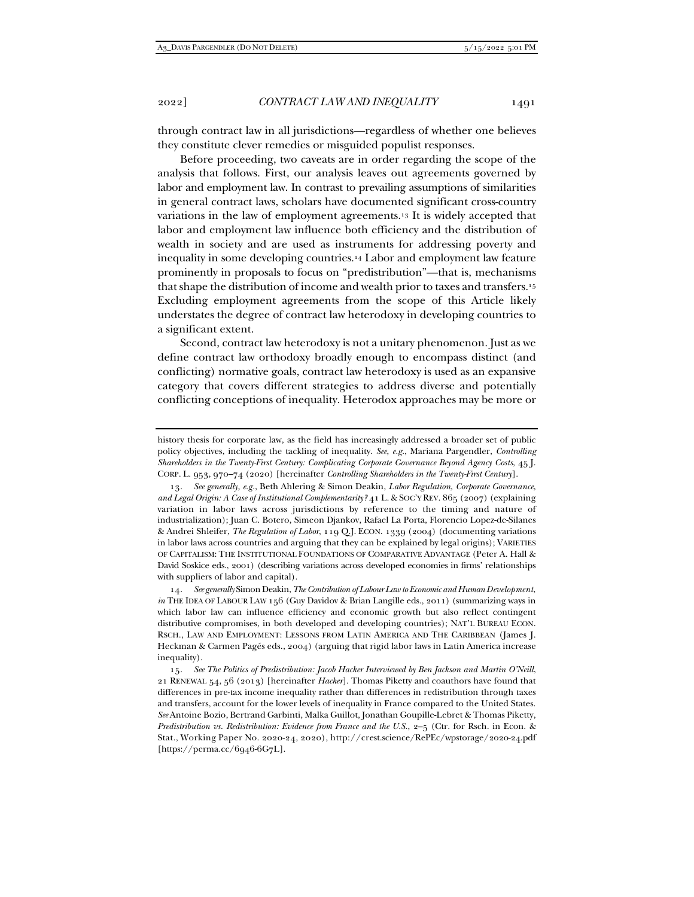through contract law in all jurisdictions—regardless of whether one believes they constitute clever remedies or misguided populist responses.

Before proceeding, two caveats are in order regarding the scope of the analysis that follows. First, our analysis leaves out agreements governed by labor and employment law. In contrast to prevailing assumptions of similarities in general contract laws, scholars have documented significant cross-country variations in the law of employment agreements.13 It is widely accepted that labor and employment law influence both efficiency and the distribution of wealth in society and are used as instruments for addressing poverty and inequality in some developing countries.14 Labor and employment law feature prominently in proposals to focus on "predistribution"—that is, mechanisms that shape the distribution of income and wealth prior to taxes and transfers.15 Excluding employment agreements from the scope of this Article likely understates the degree of contract law heterodoxy in developing countries to a significant extent.

Second, contract law heterodoxy is not a unitary phenomenon. Just as we define contract law orthodoxy broadly enough to encompass distinct (and conflicting) normative goals, contract law heterodoxy is used as an expansive category that covers different strategies to address diverse and potentially conflicting conceptions of inequality. Heterodox approaches may be more or

13*. See generally, e.g.*, Beth Ahlering & Simon Deakin, *Labor Regulation, Corporate Governance, and Legal Origin: A Case of Institutional Complementarity?* 41 L. & SOC'Y REV. 865 (2007) (explaining variation in labor laws across jurisdictions by reference to the timing and nature of industrialization); Juan C. Botero, Simeon Djankov, Rafael La Porta, Florencio Lopez-de-Silanes & Andrei Shleifer, *The Regulation of Labor*, 119 Q.J. ECON. 1339 (2004) (documenting variations in labor laws across countries and arguing that they can be explained by legal origins); VARIETIES OF CAPITALISM: THE INSTITUTIONAL FOUNDATIONS OF COMPARATIVE ADVANTAGE (Peter A. Hall & David Soskice eds., 2001) (describing variations across developed economies in firms' relationships with suppliers of labor and capital).

14*. See generally* Simon Deakin, *The Contribution of Labour Law to Economic and Human Development*, *in* THE IDEA OF LABOUR LAW 156 (Guy Davidov & Brian Langille eds., 2011) (summarizing ways in which labor law can influence efficiency and economic growth but also reflect contingent distributive compromises, in both developed and developing countries); NAT'L BUREAU ECON. RSCH., LAW AND EMPLOYMENT: LESSONS FROM LATIN AMERICA AND THE CARIBBEAN (James J. Heckman & Carmen Pagés eds., 2004) (arguing that rigid labor laws in Latin America increase inequality).

15*. See The Politics of Predistribution: Jacob Hacker Interviewed by Ben Jackson and Martin O'Neill*, 21 RENEWAL 54, 56 (2013) [hereinafter *Hacker*]. Thomas Piketty and coauthors have found that differences in pre-tax income inequality rather than differences in redistribution through taxes and transfers, account for the lower levels of inequality in France compared to the United States. *See* Antoine Bozio, Bertrand Garbinti, Malka Guillot, Jonathan Goupille-Lebret & Thomas Piketty, *Predistribution vs. Redistribution: Evidence from France and the U.S.*, 2–5 (Ctr. for Rsch. in Econ. & Stat., Working Paper No. 2020-24, 2020), http://crest.science/RePEc/wpstorage/2020-24.pdf [https://perma.cc/6946-6G7L].

history thesis for corporate law, as the field has increasingly addressed a broader set of public policy objectives, including the tackling of inequality. *See*, *e.g.*, Mariana Pargendler, *Controlling Shareholders in the Twenty-First Century: Complicating Corporate Governance Beyond Agency Costs*, 45 J. CORP. L. 953, 970–74 (2020) [hereinafter *Controlling Shareholders in the Twenty-First Century*].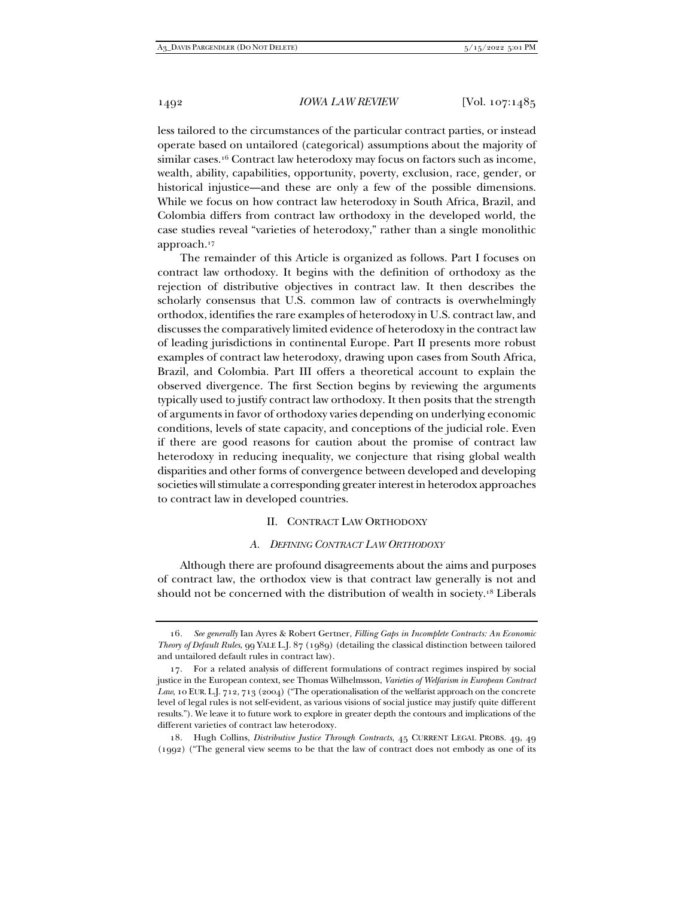less tailored to the circumstances of the particular contract parties, or instead operate based on untailored (categorical) assumptions about the majority of similar cases.<sup>16</sup> Contract law heterodoxy may focus on factors such as income, wealth, ability, capabilities, opportunity, poverty, exclusion, race, gender, or historical injustice—and these are only a few of the possible dimensions. While we focus on how contract law heterodoxy in South Africa, Brazil, and Colombia differs from contract law orthodoxy in the developed world, the case studies reveal "varieties of heterodoxy," rather than a single monolithic approach.17

The remainder of this Article is organized as follows. Part I focuses on contract law orthodoxy. It begins with the definition of orthodoxy as the rejection of distributive objectives in contract law. It then describes the scholarly consensus that U.S. common law of contracts is overwhelmingly orthodox, identifies the rare examples of heterodoxy in U.S. contract law, and discusses the comparatively limited evidence of heterodoxy in the contract law of leading jurisdictions in continental Europe. Part II presents more robust examples of contract law heterodoxy, drawing upon cases from South Africa, Brazil, and Colombia. Part III offers a theoretical account to explain the observed divergence. The first Section begins by reviewing the arguments typically used to justify contract law orthodoxy. It then posits that the strength of arguments in favor of orthodoxy varies depending on underlying economic conditions, levels of state capacity, and conceptions of the judicial role. Even if there are good reasons for caution about the promise of contract law heterodoxy in reducing inequality, we conjecture that rising global wealth disparities and other forms of convergence between developed and developing societies will stimulate a corresponding greater interest in heterodox approaches to contract law in developed countries.

# II. CONTRACT LAW ORTHODOXY

# *A. DEFINING CONTRACT LAW ORTHODOXY*

Although there are profound disagreements about the aims and purposes of contract law, the orthodox view is that contract law generally is not and should not be concerned with the distribution of wealth in society.18 Liberals

<sup>16</sup>*. See generally* Ian Ayres & Robert Gertner, *Filling Gaps in Incomplete Contracts: An Economic Theory of Default Rules*, 99 YALE L.J. 87 (1989) (detailing the classical distinction between tailored and untailored default rules in contract law).

 <sup>17.</sup> For a related analysis of different formulations of contract regimes inspired by social justice in the European context, see Thomas Wilhelmsson, *Varieties of Welfarism in European Contract Law*, 10 EUR. L.J. 712, 713 (2004) ("The operationalisation of the welfarist approach on the concrete level of legal rules is not self-evident, as various visions of social justice may justify quite different results."). We leave it to future work to explore in greater depth the contours and implications of the different varieties of contract law heterodoxy.

 <sup>18.</sup> Hugh Collins, *Distributive Justice Through Contracts*, 45 CURRENT LEGAL PROBS. 49, 49 (1992) ("The general view seems to be that the law of contract does not embody as one of its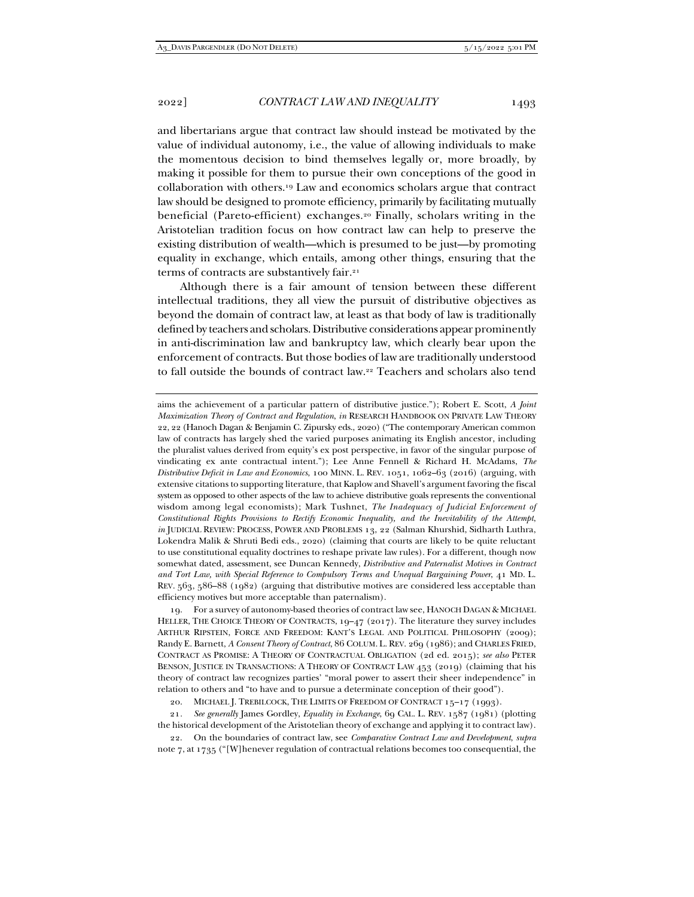and libertarians argue that contract law should instead be motivated by the value of individual autonomy, i.e., the value of allowing individuals to make the momentous decision to bind themselves legally or, more broadly, by making it possible for them to pursue their own conceptions of the good in collaboration with others.19 Law and economics scholars argue that contract law should be designed to promote efficiency, primarily by facilitating mutually beneficial (Pareto-efficient) exchanges.20 Finally, scholars writing in the Aristotelian tradition focus on how contract law can help to preserve the existing distribution of wealth—which is presumed to be just—by promoting equality in exchange, which entails, among other things, ensuring that the terms of contracts are substantively fair.<sup>21</sup>

Although there is a fair amount of tension between these different intellectual traditions, they all view the pursuit of distributive objectives as beyond the domain of contract law, at least as that body of law is traditionally defined by teachers and scholars. Distributive considerations appear prominently in anti-discrimination law and bankruptcy law, which clearly bear upon the enforcement of contracts. But those bodies of law are traditionally understood to fall outside the bounds of contract law.<sup>22</sup> Teachers and scholars also tend

aims the achievement of a particular pattern of distributive justice."); Robert E. Scott, *A Joint Maximization Theory of Contract and Regulation*, *in* RESEARCH HANDBOOK ON PRIVATE LAW THEORY 22, 22 (Hanoch Dagan & Benjamin C. Zipursky eds., 2020) ("The contemporary American common law of contracts has largely shed the varied purposes animating its English ancestor, including the pluralist values derived from equity's ex post perspective, in favor of the singular purpose of vindicating ex ante contractual intent."); Lee Anne Fennell & Richard H. McAdams, *The Distributive Deficit in Law and Economics*, 100 MINN. L. REV. 1051, 1062–63 (2016) (arguing, with extensive citations to supporting literature, that Kaplow and Shavell's argument favoring the fiscal system as opposed to other aspects of the law to achieve distributive goals represents the conventional wisdom among legal economists); Mark Tushnet, *The Inadequacy of Judicial Enforcement of Constitutional Rights Provisions to Rectify Economic Inequality, and the Inevitability of the Attempt*, *in* JUDICIAL REVIEW: PROCESS, POWER AND PROBLEMS 13, 22 (Salman Khurshid, Sidharth Luthra, Lokendra Malik & Shruti Bedi eds., 2020) (claiming that courts are likely to be quite reluctant to use constitutional equality doctrines to reshape private law rules). For a different, though now somewhat dated, assessment, see Duncan Kennedy, *Distributive and Paternalist Motives in Contract and Tort Law, with Special Reference to Compulsory Terms and Unequal Bargaining Power*, 41 MD. L. REV. 563, 586–88 (1982) (arguing that distributive motives are considered less acceptable than efficiency motives but more acceptable than paternalism).

 19. For a survey of autonomy-based theories of contract law see, HANOCH DAGAN & MICHAEL HELLER, THE CHOICE THEORY OF CONTRACTS, 19–47 (2017). The literature they survey includes ARTHUR RIPSTEIN, FORCE AND FREEDOM: KANT'S LEGAL AND POLITICAL PHILOSOPHY (2009); Randy E. Barnett, *A Consent Theory of Contract*, 86 COLUM. L. REV. 269 (1986); and CHARLES FRIED, CONTRACT AS PROMISE: A THEORY OF CONTRACTUAL OBLIGATION (2d ed. 2015); *see also* PETER BENSON, JUSTICE IN TRANSACTIONS: A THEORY OF CONTRACT LAW 453 (2019) (claiming that his theory of contract law recognizes parties' "moral power to assert their sheer independence" in relation to others and "to have and to pursue a determinate conception of their good").

20. MICHAEL J. TREBILCOCK, THE LIMITS OF FREEDOM OF CONTRACT 15-17 (1993).

21*. See generally* James Gordley, *Equality in Exchange*, 69 CAL. L. REV. 1587 (1981) (plotting the historical development of the Aristotelian theory of exchange and applying it to contract law).

 22. On the boundaries of contract law, see *Comparative Contract Law and Development*, *supra*  note 7, at 1735 ("[W]henever regulation of contractual relations becomes too consequential, the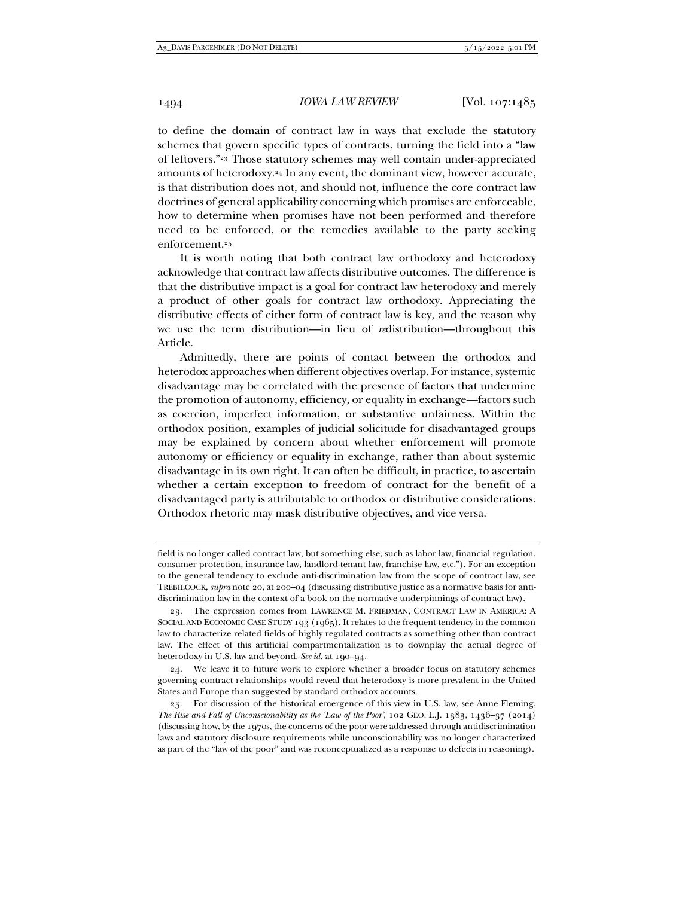to define the domain of contract law in ways that exclude the statutory schemes that govern specific types of contracts, turning the field into a "law of leftovers."23 Those statutory schemes may well contain under-appreciated amounts of heterodoxy.24 In any event, the dominant view, however accurate, is that distribution does not, and should not, influence the core contract law doctrines of general applicability concerning which promises are enforceable, how to determine when promises have not been performed and therefore need to be enforced, or the remedies available to the party seeking enforcement.25

It is worth noting that both contract law orthodoxy and heterodoxy acknowledge that contract law affects distributive outcomes. The difference is that the distributive impact is a goal for contract law heterodoxy and merely a product of other goals for contract law orthodoxy. Appreciating the distributive effects of either form of contract law is key, and the reason why we use the term distribution—in lieu of *re*distribution—throughout this Article.

Admittedly, there are points of contact between the orthodox and heterodox approaches when different objectives overlap. For instance, systemic disadvantage may be correlated with the presence of factors that undermine the promotion of autonomy, efficiency, or equality in exchange—factors such as coercion, imperfect information, or substantive unfairness. Within the orthodox position, examples of judicial solicitude for disadvantaged groups may be explained by concern about whether enforcement will promote autonomy or efficiency or equality in exchange, rather than about systemic disadvantage in its own right. It can often be difficult, in practice, to ascertain whether a certain exception to freedom of contract for the benefit of a disadvantaged party is attributable to orthodox or distributive considerations. Orthodox rhetoric may mask distributive objectives, and vice versa.

field is no longer called contract law, but something else, such as labor law, financial regulation, consumer protection, insurance law, landlord-tenant law, franchise law, etc."). For an exception to the general tendency to exclude anti-discrimination law from the scope of contract law, see TREBILCOCK, *supra* note 20, at 200–04 (discussing distributive justice as a normative basis for antidiscrimination law in the context of a book on the normative underpinnings of contract law).

 <sup>23.</sup> The expression comes from LAWRENCE M. FRIEDMAN, CONTRACT LAW IN AMERICA: A SOCIAL AND ECONOMIC CASE STUDY 193 (1965). It relates to the frequent tendency in the common law to characterize related fields of highly regulated contracts as something other than contract law. The effect of this artificial compartmentalization is to downplay the actual degree of heterodoxy in U.S. law and beyond. *See id.* at 190–94.

 <sup>24.</sup> We leave it to future work to explore whether a broader focus on statutory schemes governing contract relationships would reveal that heterodoxy is more prevalent in the United States and Europe than suggested by standard orthodox accounts.

 <sup>25.</sup> For discussion of the historical emergence of this view in U.S. law, see Anne Fleming, *The Rise and Fall of Unconscionability as the 'Law of the Poor'*, 102 GEO. L.J. 1383, 1436–37 (2014) (discussing how, by the 1970s, the concerns of the poor were addressed through antidiscrimination laws and statutory disclosure requirements while unconscionability was no longer characterized as part of the "law of the poor" and was reconceptualized as a response to defects in reasoning).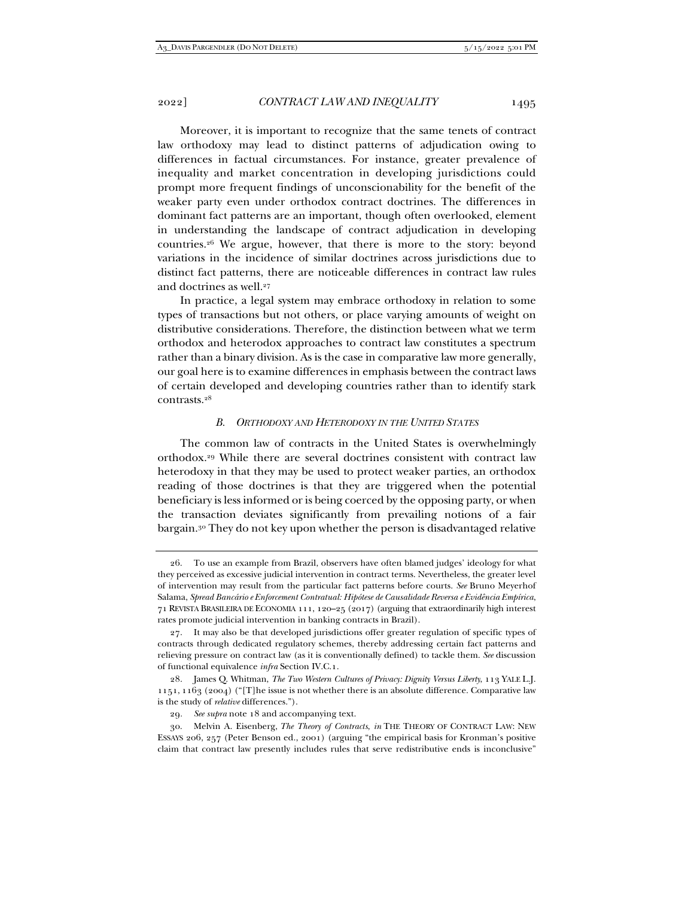Moreover, it is important to recognize that the same tenets of contract law orthodoxy may lead to distinct patterns of adjudication owing to differences in factual circumstances. For instance, greater prevalence of inequality and market concentration in developing jurisdictions could prompt more frequent findings of unconscionability for the benefit of the weaker party even under orthodox contract doctrines. The differences in dominant fact patterns are an important, though often overlooked, element in understanding the landscape of contract adjudication in developing countries.26 We argue, however, that there is more to the story: beyond variations in the incidence of similar doctrines across jurisdictions due to distinct fact patterns, there are noticeable differences in contract law rules and doctrines as well.<sup>27</sup>

In practice, a legal system may embrace orthodoxy in relation to some types of transactions but not others, or place varying amounts of weight on distributive considerations. Therefore, the distinction between what we term orthodox and heterodox approaches to contract law constitutes a spectrum rather than a binary division. As is the case in comparative law more generally, our goal here is to examine differences in emphasis between the contract laws of certain developed and developing countries rather than to identify stark contrasts.28

#### *B. ORTHODOXY AND HETERODOXY IN THE UNITED STATES*

The common law of contracts in the United States is overwhelmingly orthodox.29 While there are several doctrines consistent with contract law heterodoxy in that they may be used to protect weaker parties, an orthodox reading of those doctrines is that they are triggered when the potential beneficiary is less informed or is being coerced by the opposing party, or when the transaction deviates significantly from prevailing notions of a fair bargain.30 They do not key upon whether the person is disadvantaged relative

 <sup>26.</sup> To use an example from Brazil, observers have often blamed judges' ideology for what they perceived as excessive judicial intervention in contract terms. Nevertheless, the greater level of intervention may result from the particular fact patterns before courts. *See* Bruno Meyerhof Salama, *Spread Bancário e Enforcement Contratual: Hipótese de Causalidade Reversa e Evidência Empírica*, 71 REVISTA BRASILEIRA DE ECONOMIA 111, 120–25 (2017) (arguing that extraordinarily high interest rates promote judicial intervention in banking contracts in Brazil).

 <sup>27.</sup> It may also be that developed jurisdictions offer greater regulation of specific types of contracts through dedicated regulatory schemes, thereby addressing certain fact patterns and relieving pressure on contract law (as it is conventionally defined) to tackle them. *See* discussion of functional equivalence *infra* Section IV.C.1.

 <sup>28.</sup> James Q. Whitman, *The Two Western Cultures of Privacy: Dignity Versus Liberty*, 113 YALE L.J. 1151, 1163 (2004) ("[T]he issue is not whether there is an absolute difference. Comparative law is the study of *relative* differences.").

<sup>29</sup>*. See supra* note 18 and accompanying text.

 <sup>30.</sup> Melvin A. Eisenberg, *The Theory of Contracts*, *in* THE THEORY OF CONTRACT LAW: NEW ESSAYS 206, 257 (Peter Benson ed., 2001) (arguing "the empirical basis for Kronman's positive claim that contract law presently includes rules that serve redistributive ends is inconclusive"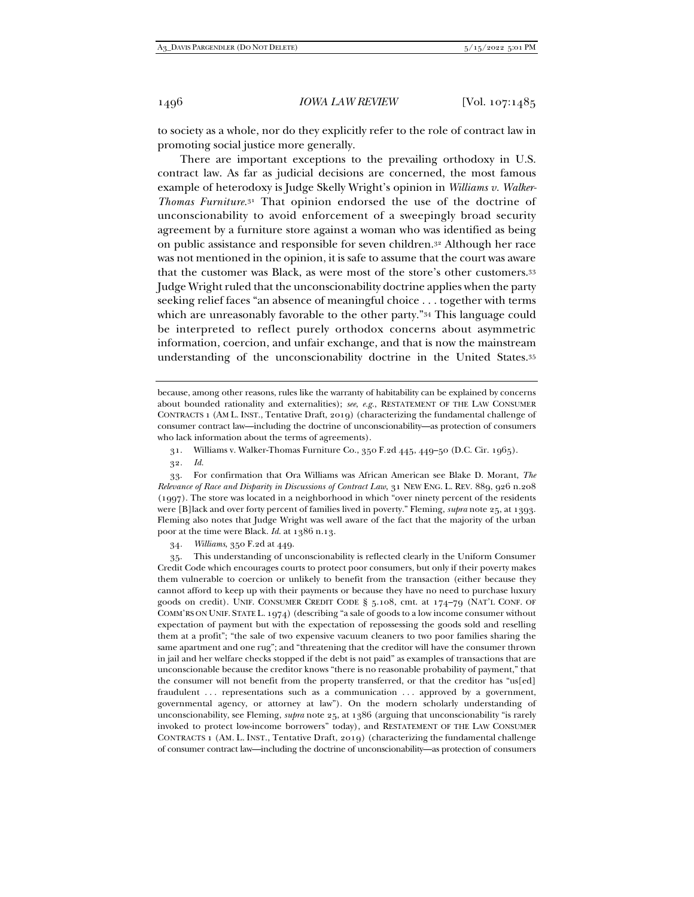to society as a whole, nor do they explicitly refer to the role of contract law in promoting social justice more generally.

There are important exceptions to the prevailing orthodoxy in U.S. contract law. As far as judicial decisions are concerned, the most famous example of heterodoxy is Judge Skelly Wright's opinion in *Williams v. Walker-Thomas Furniture*.31 That opinion endorsed the use of the doctrine of unconscionability to avoid enforcement of a sweepingly broad security agreement by a furniture store against a woman who was identified as being on public assistance and responsible for seven children.32 Although her race was not mentioned in the opinion, it is safe to assume that the court was aware that the customer was Black, as were most of the store's other customers.33 Judge Wright ruled that the unconscionability doctrine applies when the party seeking relief faces "an absence of meaningful choice . . . together with terms which are unreasonably favorable to the other party."34 This language could be interpreted to reflect purely orthodox concerns about asymmetric information, coercion, and unfair exchange, and that is now the mainstream understanding of the unconscionability doctrine in the United States.35

 33. For confirmation that Ora Williams was African American see Blake D. Morant, *The Relevance of Race and Disparity in Discussions of Contract Law*, 31 NEW ENG. L. REV. 889, 926 n.208 (1997). The store was located in a neighborhood in which "over ninety percent of the residents were [B]lack and over forty percent of families lived in poverty." Fleming, *supra* note 25, at 1393. Fleming also notes that Judge Wright was well aware of the fact that the majority of the urban poor at the time were Black. *Id.* at 1386 n.13.

34*. Williams*, 350 F.2d at 449.

 35. This understanding of unconscionability is reflected clearly in the Uniform Consumer Credit Code which encourages courts to protect poor consumers, but only if their poverty makes them vulnerable to coercion or unlikely to benefit from the transaction (either because they cannot afford to keep up with their payments or because they have no need to purchase luxury goods on credit). UNIF. CONSUMER CREDIT CODE § 5.108, cmt. at 174–79 (NAT'L CONF. OF COMM'RS ON UNIF. STATE L. 1974) (describing "a sale of goods to a low income consumer without expectation of payment but with the expectation of repossessing the goods sold and reselling them at a profit"; "the sale of two expensive vacuum cleaners to two poor families sharing the same apartment and one rug"; and "threatening that the creditor will have the consumer thrown in jail and her welfare checks stopped if the debt is not paid" as examples of transactions that are unconscionable because the creditor knows "there is no reasonable probability of payment," that the consumer will not benefit from the property transferred, or that the creditor has "us[ed] fraudulent ... representations such as a communication ... approved by a government, governmental agency, or attorney at law"). On the modern scholarly understanding of unconscionability, see Fleming, *supra* note 25, at 1386 (arguing that unconscionability "is rarely invoked to protect low-income borrowers" today), and RESTATEMENT OF THE LAW CONSUMER CONTRACTS 1 (AM. L. INST., Tentative Draft, 2019) (characterizing the fundamental challenge of consumer contract law—including the doctrine of unconscionability—as protection of consumers

because, among other reasons, rules like the warranty of habitability can be explained by concerns about bounded rationality and externalities); *see*, *e.g.*, RESTATEMENT OF THE LAW CONSUMER CONTRACTS 1 (AM L. INST., Tentative Draft, 2019) (characterizing the fundamental challenge of consumer contract law—including the doctrine of unconscionability—as protection of consumers who lack information about the terms of agreements).

 <sup>31.</sup> Williams v. Walker-Thomas Furniture Co., 350 F.2d 445, 449–50 (D.C. Cir. 1965).

<sup>32</sup>*. Id.*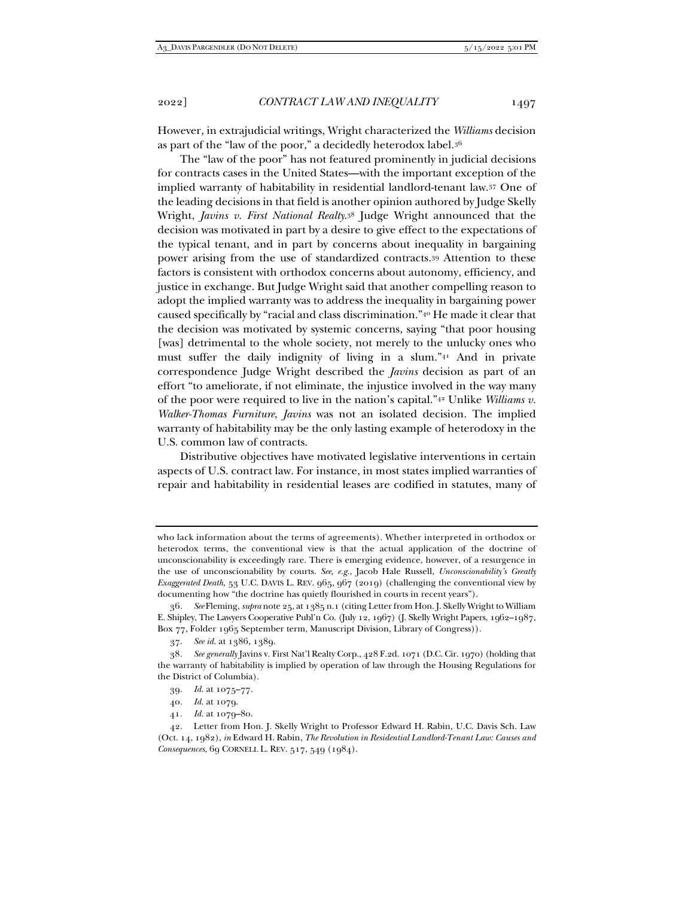However, in extrajudicial writings, Wright characterized the *Williams* decision as part of the "law of the poor," a decidedly heterodox label.36

The "law of the poor" has not featured prominently in judicial decisions for contracts cases in the United States—with the important exception of the implied warranty of habitability in residential landlord-tenant law.37 One of the leading decisions in that field is another opinion authored by Judge Skelly Wright, *Javins v. First National Realty*.38 Judge Wright announced that the decision was motivated in part by a desire to give effect to the expectations of the typical tenant, and in part by concerns about inequality in bargaining power arising from the use of standardized contracts.39 Attention to these factors is consistent with orthodox concerns about autonomy, efficiency, and justice in exchange. But Judge Wright said that another compelling reason to adopt the implied warranty was to address the inequality in bargaining power caused specifically by "racial and class discrimination."40 He made it clear that the decision was motivated by systemic concerns, saying "that poor housing [was] detrimental to the whole society, not merely to the unlucky ones who must suffer the daily indignity of living in a slum."41 And in private correspondence Judge Wright described the *Javins* decision as part of an effort "to ameliorate, if not eliminate, the injustice involved in the way many of the poor were required to live in the nation's capital."42 Unlike *Williams v. Walker-Thomas Furniture*, *Javins* was not an isolated decision. The implied warranty of habitability may be the only lasting example of heterodoxy in the U.S. common law of contracts.

Distributive objectives have motivated legislative interventions in certain aspects of U.S. contract law. For instance, in most states implied warranties of repair and habitability in residential leases are codified in statutes, many of

41*. Id.* at 1079–80.

who lack information about the terms of agreements). Whether interpreted in orthodox or heterodox terms, the conventional view is that the actual application of the doctrine of unconscionability is exceedingly rare. There is emerging evidence, however, of a resurgence in the use of unconscionability by courts. *See, e.g.*, Jacob Hale Russell, *Unconscionability's Greatly Exaggerated Death*, 53 U.C. DAVIS L. REV. 965, 967 (2019) (challenging the conventional view by documenting how "the doctrine has quietly flourished in courts in recent years").

<sup>36</sup>*. See* Fleming, *supra* note 25, at 1385 n.1 (citing Letter from Hon. J. Skelly Wright to William E. Shipley, The Lawyers Cooperative Publ'n Co. (July 12, 1967) (J. Skelly Wright Papers, 1962–1987, Box 77, Folder 1965 September term, Manuscript Division, Library of Congress)).

 <sup>37.</sup> *See id.* at 1386, 1389.

<sup>38</sup>*. See generally* Javins v. First Nat'l Realty Corp., 428 F.2d. 1071 (D.C. Cir. 1970) (holding that the warranty of habitability is implied by operation of law through the Housing Regulations for the District of Columbia).

<sup>39</sup>*. Id.* at 1075–77.

<sup>40</sup>*. Id.* at 1079.

 <sup>42.</sup> Letter from Hon. J. Skelly Wright to Professor Edward H. Rabin, U.C. Davis Sch. Law (Oct. 14, 1982), *in* Edward H. Rabin, *The Revolution in Residential Landlord-Tenant Law: Causes and Consequences*, 69 CORNELL L. REV. 517, 549 (1984).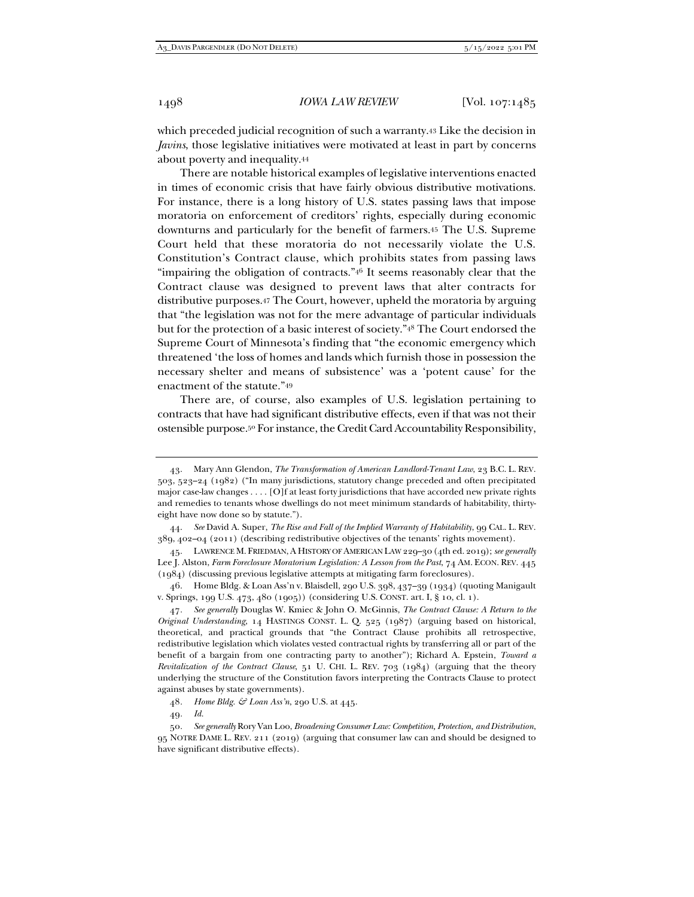which preceded judicial recognition of such a warranty.43 Like the decision in *Javins*, those legislative initiatives were motivated at least in part by concerns about poverty and inequality.44

There are notable historical examples of legislative interventions enacted in times of economic crisis that have fairly obvious distributive motivations. For instance, there is a long history of U.S. states passing laws that impose moratoria on enforcement of creditors' rights, especially during economic downturns and particularly for the benefit of farmers.45 The U.S. Supreme Court held that these moratoria do not necessarily violate the U.S. Constitution's Contract clause, which prohibits states from passing laws "impairing the obligation of contracts."46 It seems reasonably clear that the Contract clause was designed to prevent laws that alter contracts for distributive purposes.47 The Court, however, upheld the moratoria by arguing that "the legislation was not for the mere advantage of particular individuals but for the protection of a basic interest of society."48 The Court endorsed the Supreme Court of Minnesota's finding that "the economic emergency which threatened 'the loss of homes and lands which furnish those in possession the necessary shelter and means of subsistence' was a 'potent cause' for the enactment of the statute."49

There are, of course, also examples of U.S. legislation pertaining to contracts that have had significant distributive effects, even if that was not their ostensible purpose.50 For instance, the Credit Card Accountability Responsibility,

49*. Id.*

 <sup>43.</sup> Mary Ann Glendon, *The Transformation of American Landlord-Tenant Law*, 23 B.C. L. REV. 503, 523–24 (1982) ("In many jurisdictions, statutory change preceded and often precipitated major case-law changes . . . . [O]f at least forty jurisdictions that have accorded new private rights and remedies to tenants whose dwellings do not meet minimum standards of habitability, thirtyeight have now done so by statute.").

 <sup>44.</sup> *See* David A. Super, *The Rise and Fall of the Implied Warranty of Habitability*, 99 CAL. L. REV. 389, 402–04 (2011) (describing redistributive objectives of the tenants' rights movement).

 <sup>45.</sup> LAWRENCE M. FRIEDMAN, A HISTORY OF AMERICAN LAW 229–30 (4th ed. 2019); *see generally*  Lee J. Alston, *Farm Foreclosure Moratorium Legislation: A Lesson from the Past*, 74 AM. ECON. REV. 445 (1984) (discussing previous legislative attempts at mitigating farm foreclosures).

 <sup>46.</sup> Home Bldg. & Loan Ass'n v. Blaisdell, 290 U.S. 398, 437–39 (1934) (quoting Manigault v. Springs, 199 U.S. 473, 480 (1905)) (considering U.S. CONST. art. I, § 10, cl. 1).

<sup>47</sup>*. See generally* Douglas W. Kmiec & John O. McGinnis, *The Contract Clause: A Return to the Original Understanding*, 14 HASTINGS CONST. L. Q. 525 (1987) (arguing based on historical, theoretical, and practical grounds that "the Contract Clause prohibits all retrospective, redistributive legislation which violates vested contractual rights by transferring all or part of the benefit of a bargain from one contracting party to another"); Richard A. Epstein, *Toward a Revitalization of the Contract Clause*, 51 U. CHI. L. REV. 703 (1984) (arguing that the theory underlying the structure of the Constitution favors interpreting the Contracts Clause to protect against abuses by state governments).

<sup>48</sup>*. Home Bldg. & Loan Ass'n*, 290 U.S. at 445.

<sup>50</sup>*. See generally* Rory Van Loo, *Broadening Consumer Law: Competition, Protection, and Distribution*, 95 NOTRE DAME L. REV. 211 (2019) (arguing that consumer law can and should be designed to have significant distributive effects).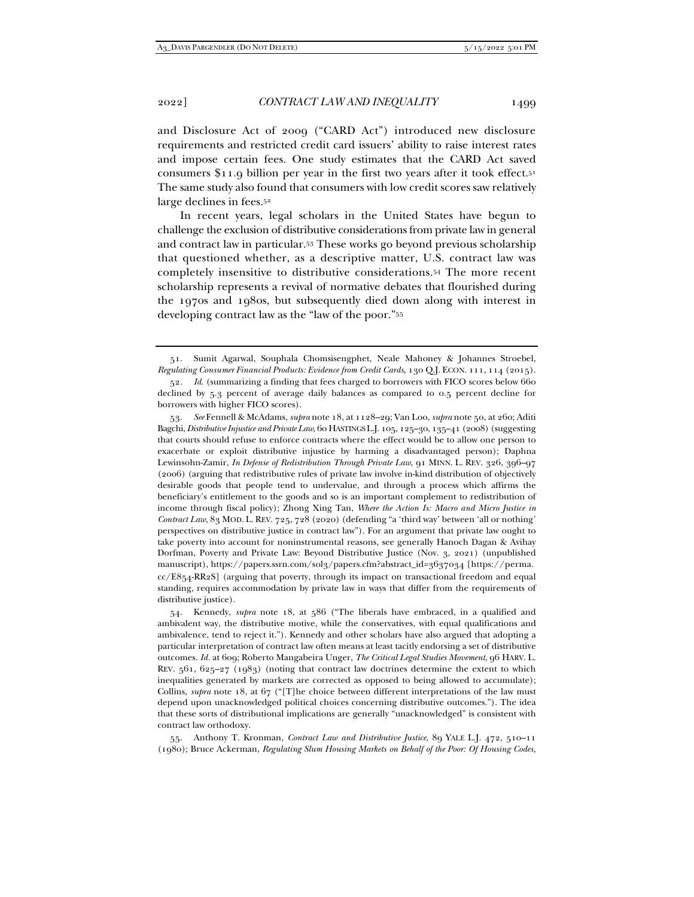and Disclosure Act of 2009 ("CARD Act") introduced new disclosure requirements and restricted credit card issuers' ability to raise interest rates and impose certain fees. One study estimates that the CARD Act saved consumers \$11.9 billion per year in the first two years after it took effect.51 The same study also found that consumers with low credit scores saw relatively large declines in fees.52

In recent years, legal scholars in the United States have begun to challenge the exclusion of distributive considerations from private law in general and contract law in particular.53 These works go beyond previous scholarship that questioned whether, as a descriptive matter, U.S. contract law was completely insensitive to distributive considerations.54 The more recent scholarship represents a revival of normative debates that flourished during the 1970s and 1980s, but subsequently died down along with interest in developing contract law as the "law of the poor."55

 54. Kennedy, *supra* note 18, at 586 ("The liberals have embraced, in a qualified and ambivalent way, the distributive motive, while the conservatives, with equal qualifications and ambivalence, tend to reject it."). Kennedy and other scholars have also argued that adopting a particular interpretation of contract law often means at least tacitly endorsing a set of distributive outcomes. *Id.* at 609; Roberto Mangabeira Unger, *The Critical Legal Studies Movement*, 96 HARV. L. REV.  $561, 625-27$  (1983) (noting that contract law doctrines determine the extent to which inequalities generated by markets are corrected as opposed to being allowed to accumulate); Collins, *supra* note 18, at 67 ("[T]he choice between different interpretations of the law must depend upon unacknowledged political choices concerning distributive outcomes."). The idea that these sorts of distributional implications are generally "unacknowledged" is consistent with contract law orthodoxy.

 55. Anthony T. Kronman, *Contract Law and Distributive Justice*, 89 YALE L.J. 472, 510–11 (1980); Bruce Ackerman, *Regulating Slum Housing Markets on Behalf of the Poor: Of Housing Codes,* 

 <sup>51.</sup> Sumit Agarwal, Souphala Chomsisengphet, Neale Mahoney & Johannes Stroebel, *Regulating Consumer Financial Products: Evidence from Credit Cards*, 130 Q.J. ECON. 111, 114 (2015).

<sup>52</sup>*. Id*. (summarizing a finding that fees charged to borrowers with FICO scores below 660 declined by 5.3 percent of average daily balances as compared to 0.5 percent decline for borrowers with higher FICO scores).

 <sup>53.</sup> *See* Fennell & McAdams, *supra* note 18, at 1128–29; Van Loo, *supra* note 50, at 260; Aditi Bagchi, *Distributive Injustice and Private Law*, 60 HASTINGS L.J. 105, 125–30, 135–41 (2008) (suggesting that courts should refuse to enforce contracts where the effect would be to allow one person to exacerbate or exploit distributive injustice by harming a disadvantaged person); Daphna Lewinsohn-Zamir, *In Defense of Redistribution Through Private Law*, 91 MINN. L. REV. 326, 396–97 (2006) (arguing that redistributive rules of private law involve in-kind distribution of objectively desirable goods that people tend to undervalue, and through a process which affirms the beneficiary's entitlement to the goods and so is an important complement to redistribution of income through fiscal policy); Zhong Xing Tan, *Where the Action Is: Macro and Micro Justice in Contract Law*, 83 MOD. L. REV. 725, 728 (2020) (defending "a 'third way' between 'all or nothing' perspectives on distributive justice in contract law"). For an argument that private law ought to take poverty into account for noninstrumental reasons, see generally Hanoch Dagan & Avihay Dorfman, Poverty and Private Law: Beyond Distributive Justice (Nov. 3, 2021) (unpublished manuscript), https://papers.ssrn.com/sol3/papers.cfm?abstract\_id=3637034 [https://perma.  $cc/ES_{54}-RR_{2}S$  (arguing that poverty, through its impact on transactional freedom and equal standing, requires accommodation by private law in ways that differ from the requirements of distributive justice).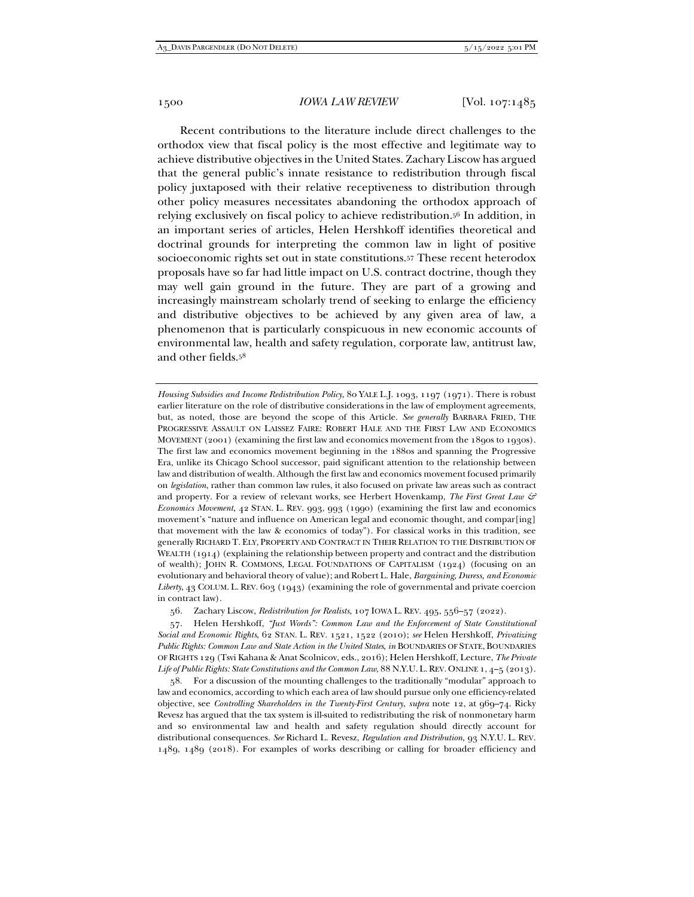Recent contributions to the literature include direct challenges to the orthodox view that fiscal policy is the most effective and legitimate way to achieve distributive objectives in the United States. Zachary Liscow has argued that the general public's innate resistance to redistribution through fiscal policy juxtaposed with their relative receptiveness to distribution through other policy measures necessitates abandoning the orthodox approach of relying exclusively on fiscal policy to achieve redistribution.56 In addition, in an important series of articles, Helen Hershkoff identifies theoretical and doctrinal grounds for interpreting the common law in light of positive socioeconomic rights set out in state constitutions.57 These recent heterodox proposals have so far had little impact on U.S. contract doctrine, though they may well gain ground in the future. They are part of a growing and increasingly mainstream scholarly trend of seeking to enlarge the efficiency and distributive objectives to be achieved by any given area of law, a phenomenon that is particularly conspicuous in new economic accounts of environmental law, health and safety regulation, corporate law, antitrust law, and other fields.58

*Housing Subsidies and Income Redistribution Policy*, 80 YALE L.J. 1093, 1197 (1971). There is robust earlier literature on the role of distributive considerations in the law of employment agreements, but, as noted, those are beyond the scope of this Article. *See generally* BARBARA FRIED, THE PROGRESSIVE ASSAULT ON LAISSEZ FAIRE: ROBERT HALE AND THE FIRST LAW AND ECONOMICS MOVEMENT (2001) (examining the first law and economics movement from the 1890s to 1930s). The first law and economics movement beginning in the 1880s and spanning the Progressive Era, unlike its Chicago School successor, paid significant attention to the relationship between law and distribution of wealth. Although the first law and economics movement focused primarily on *legislation*, rather than common law rules, it also focused on private law areas such as contract and property. For a review of relevant works, see Herbert Hovenkamp, *The First Great Law & Economics Movement*, 42 STAN. L. REV. 993, 993 (1990) (examining the first law and economics movement's "nature and influence on American legal and economic thought, and compar[ing] that movement with the law & economics of today"). For classical works in this tradition, see generally RICHARD T. ELY, PROPERTY AND CONTRACT IN THEIR RELATION TO THE DISTRIBUTION OF WEALTH (1914) (explaining the relationship between property and contract and the distribution of wealth); JOHN R. COMMONS, LEGAL FOUNDATIONS OF CAPITALISM (1924) (focusing on an evolutionary and behavioral theory of value); and Robert L. Hale, *Bargaining, Duress, and Economic Liberty*, 43 COLUM. L. REV. 603 (1943) (examining the role of governmental and private coercion in contract law).

 57. Helen Hershkoff, *"Just Words": Common Law and the Enforcement of State Constitutional Social and Economic Rights*, 62 STAN. L. REV. 1521, 1522 (2010); *see* Helen Hershkoff, *Privatizing Public Rights: Common Law and State Action in the United States*, *in* BOUNDARIES OF STATE, BOUNDARIES OF RIGHTS 129 (Tsvi Kahana & Anat Scolnicov, eds., 2016); Helen Hershkoff, Lecture, *The Private Life of Public Rights: State Constitutions and the Common Law*, 88 N.Y.U. L. REV. ONLINE 1, 4–5 (2013).

 58. For a discussion of the mounting challenges to the traditionally "modular" approach to law and economics, according to which each area of law should pursue only one efficiency-related objective, see *Controlling Shareholders in the Twenty-First Century*, *supra* note 12, at 969–74. Ricky Revesz has argued that the tax system is ill-suited to redistributing the risk of nonmonetary harm and so environmental law and health and safety regulation should directly account for distributional consequences. *See* Richard L. Revesz, *Regulation and Distribution*, 93 N.Y.U. L. REV. 1489, 1489 (2018). For examples of works describing or calling for broader efficiency and

 <sup>56.</sup> Zachary Liscow, *Redistribution for Realists*, 107 IOWA L. REV. 495, 556–57 (2022).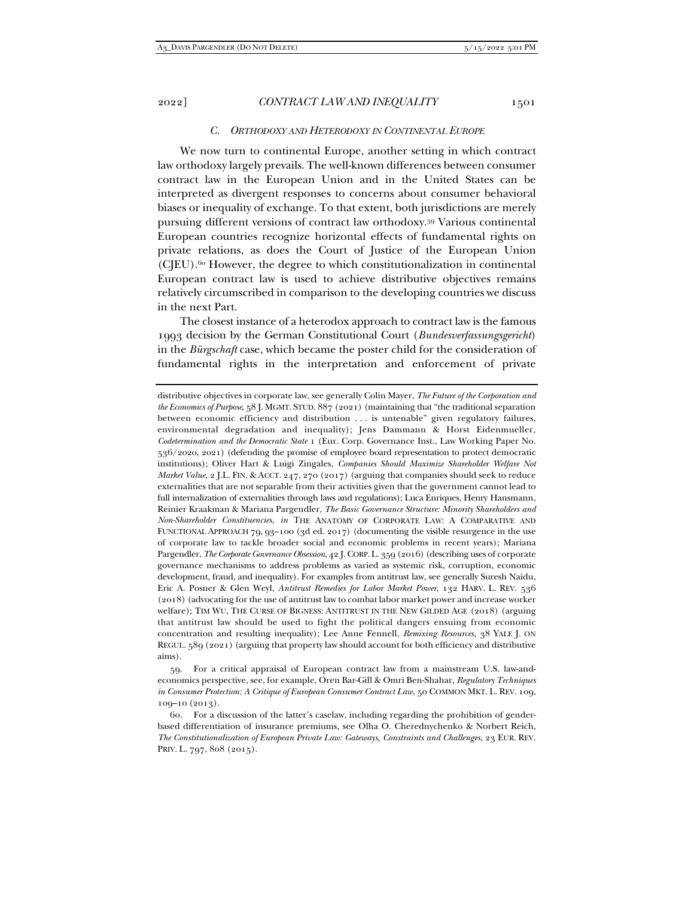#### *C. ORTHODOXY AND HETERODOXY IN CONTINENTAL EUROPE*

We now turn to continental Europe, another setting in which contract law orthodoxy largely prevails. The well-known differences between consumer contract law in the European Union and in the United States can be interpreted as divergent responses to concerns about consumer behavioral biases or inequality of exchange. To that extent, both jurisdictions are merely pursuing different versions of contract law orthodoxy.59 Various continental European countries recognize horizontal effects of fundamental rights on private relations, as does the Court of Justice of the European Union (CJEU).60 However, the degree to which constitutionalization in continental European contract law is used to achieve distributive objectives remains relatively circumscribed in comparison to the developing countries we discuss in the next Part.

The closest instance of a heterodox approach to contract law is the famous 1993 decision by the German Constitutional Court (*Bundesverfassungsgericht*) in the *Bürgschaft* case, which became the poster child for the consideration of fundamental rights in the interpretation and enforcement of private

distributive objectives in corporate law, see generally Colin Mayer, *The Future of the Corporation and the Economics of Purpose*, 58 J. MGMT. STUD. 887 (2021) (maintaining that "the traditional separation between economic efficiency and distribution . . . is untenable" given regulatory failures, environmental degradation and inequality); Jens Dammann & Horst Eidenmueller, *Codetermination and the Democratic State* 1 (Eur. Corp. Governance Inst., Law Working Paper No. 536/2020, 2021) (defending the promise of employee board representation to protect democratic institutions); Oliver Hart & Luigi Zingales, *Companies Should Maximize Shareholder Welfare Not Market Value*, 2 J.L. FIN. & ACCT. 247, 270 (2017) (arguing that companies should seek to reduce externalities that are not separable from their activities given that the government cannot lead to full internalization of externalities through laws and regulations); Luca Enriques, Henry Hansmann, Reinier Kraakman & Mariana Pargendler, *The Basic Governance Structure: Minority Shareholders and Non-Shareholder Constituencies*, *in* THE ANATOMY OF CORPORATE LAW: A COMPARATIVE AND FUNCTIONAL APPROACH 79, 93–100 (3d ed. 2017) (documenting the visible resurgence in the use of corporate law to tackle broader social and economic problems in recent years); Mariana Pargendler, *The Corporate Governance Obsession*, 42 J. CORP.L. 359 (2016) (describing uses of corporate governance mechanisms to address problems as varied as systemic risk, corruption, economic development, fraud, and inequality). For examples from antitrust law, see generally Suresh Naidu, Eric A. Posner & Glen Weyl, *Antitrust Remedies for Labor Market Power*, 132 HARV. L. REV. 536 (2018) (advocating for the use of antitrust law to combat labor market power and increase worker welfare); TIM WU, THE CURSE OF BIGNESS: ANTITRUST IN THE NEW GILDED AGE (2018) (arguing that antitrust law should be used to fight the political dangers ensuing from economic concentration and resulting inequality); Lee Anne Fennell, *Remixing Resources*, 38 YALE J. ON REGUL. 589 (2021) (arguing that property law should account for both efficiency and distributive aims).

 <sup>59.</sup> For a critical appraisal of European contract law from a mainstream U.S. law-andeconomics perspective, see, for example, Oren Bar-Gill & Omri Ben-Shahar, *Regulatory Techniques in Consumer Protection: A Critique of European Consumer Contract Law*, 50 COMMON MKT. L. REV. 109, 109–10 (2013).

 <sup>60.</sup> For a discussion of the latter's caselaw, including regarding the prohibition of genderbased differentiation of insurance premiums, see Olha O. Cherednychenko & Norbert Reich, *The Constitutionalization of European Private Law: Gateways, Constraints and Challenges*, 23 EUR. REV. PRIV. L. 797, 808 (2015).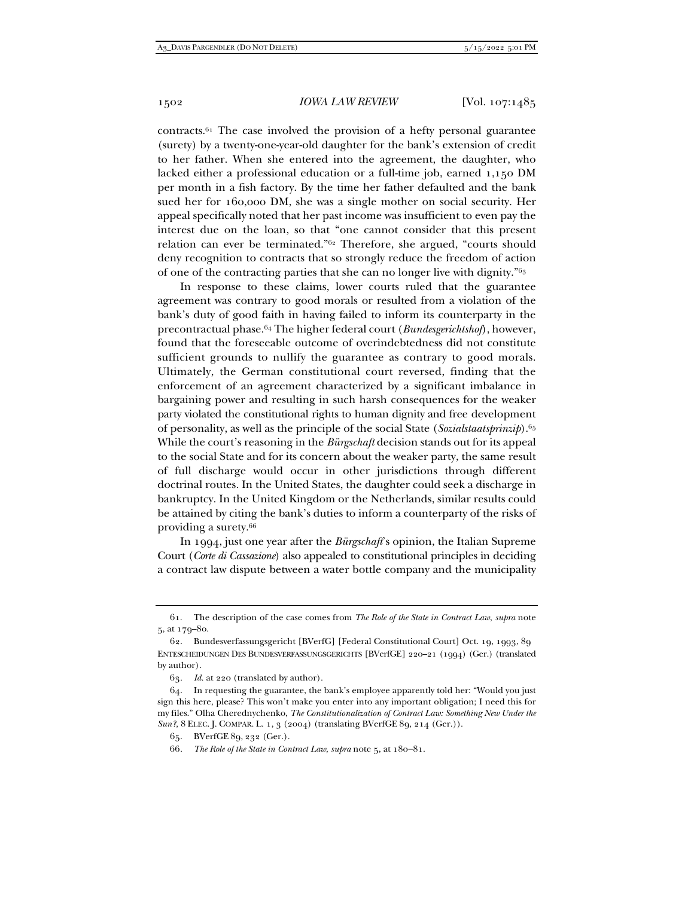contracts.61 The case involved the provision of a hefty personal guarantee (surety) by a twenty-one-year-old daughter for the bank's extension of credit to her father. When she entered into the agreement, the daughter, who lacked either a professional education or a full-time job, earned 1,150 DM per month in a fish factory. By the time her father defaulted and the bank sued her for 160,000 DM, she was a single mother on social security. Her appeal specifically noted that her past income was insufficient to even pay the interest due on the loan, so that "one cannot consider that this present relation can ever be terminated."62 Therefore, she argued, "courts should deny recognition to contracts that so strongly reduce the freedom of action of one of the contracting parties that she can no longer live with dignity."63

In response to these claims, lower courts ruled that the guarantee agreement was contrary to good morals or resulted from a violation of the bank's duty of good faith in having failed to inform its counterparty in the precontractual phase.64 The higher federal court (*Bundesgerichtshof*), however, found that the foreseeable outcome of overindebtedness did not constitute sufficient grounds to nullify the guarantee as contrary to good morals. Ultimately, the German constitutional court reversed, finding that the enforcement of an agreement characterized by a significant imbalance in bargaining power and resulting in such harsh consequences for the weaker party violated the constitutional rights to human dignity and free development of personality, as well as the principle of the social State (*Sozialstaatsprinzip*).65 While the court's reasoning in the *Bürgschaft* decision stands out for its appeal to the social State and for its concern about the weaker party, the same result of full discharge would occur in other jurisdictions through different doctrinal routes. In the United States, the daughter could seek a discharge in bankruptcy. In the United Kingdom or the Netherlands, similar results could be attained by citing the bank's duties to inform a counterparty of the risks of providing a surety.66

In 1994, just one year after the *Bürgschaft*'s opinion, the Italian Supreme Court (*Corte di Cassazione*) also appealed to constitutional principles in deciding a contract law dispute between a water bottle company and the municipality

 <sup>61.</sup> The description of the case comes from *The Role of the State in Contract Law*, *supra* note 5, at 179–80.

 <sup>62.</sup> Bundesverfassungsgericht [BVerfG] [Federal Constitutional Court] Oct. 19, 1993, 89 ENTESCHEIDUNGEN DES BUNDESVERFASSUNGSGERICHTS [BVerfGE] 220–21 (1994) (Ger.) (translated by author).

<sup>63</sup>*. Id.* at 220 (translated by author).

 <sup>64.</sup> In requesting the guarantee, the bank's employee apparently told her: "Would you just sign this here, please? This won't make you enter into any important obligation; I need this for my files." Olha Cherednychenko, *The Constitutionalization of Contract Law: Something New Under the Sun?*, 8 ELEC. J. COMPAR. L. 1, 3 (2004) (translating BVerfGE 89, 214 (Ger.)).

 <sup>65.</sup> BVerfGE 89, 232 (Ger.).

<sup>66.</sup> The Role of the State in Contract Law, *supra* note 5, at 180-81.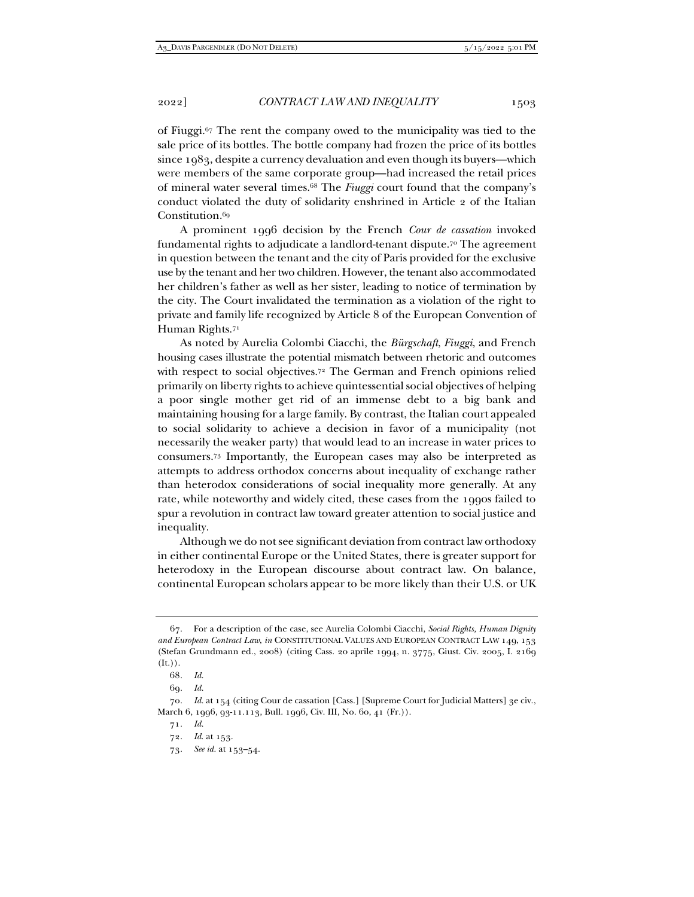of Fiuggi.67 The rent the company owed to the municipality was tied to the sale price of its bottles. The bottle company had frozen the price of its bottles since 1983, despite a currency devaluation and even though its buyers—which were members of the same corporate group—had increased the retail prices of mineral water several times.68 The *Fiuggi* court found that the company's conduct violated the duty of solidarity enshrined in Article 2 of the Italian Constitution.69

A prominent 1996 decision by the French *Cour de cassation* invoked fundamental rights to adjudicate a landlord-tenant dispute.70 The agreement in question between the tenant and the city of Paris provided for the exclusive use by the tenant and her two children. However, the tenant also accommodated her children's father as well as her sister, leading to notice of termination by the city. The Court invalidated the termination as a violation of the right to private and family life recognized by Article 8 of the European Convention of Human Rights.71

As noted by Aurelia Colombi Ciacchi, the *Bürgschaft*, *Fiuggi*, and French housing cases illustrate the potential mismatch between rhetoric and outcomes with respect to social objectives.72 The German and French opinions relied primarily on liberty rights to achieve quintessential social objectives of helping a poor single mother get rid of an immense debt to a big bank and maintaining housing for a large family. By contrast, the Italian court appealed to social solidarity to achieve a decision in favor of a municipality (not necessarily the weaker party) that would lead to an increase in water prices to consumers.73 Importantly, the European cases may also be interpreted as attempts to address orthodox concerns about inequality of exchange rather than heterodox considerations of social inequality more generally. At any rate, while noteworthy and widely cited, these cases from the 1990s failed to spur a revolution in contract law toward greater attention to social justice and inequality.

Although we do not see significant deviation from contract law orthodoxy in either continental Europe or the United States, there is greater support for heterodoxy in the European discourse about contract law. On balance, continental European scholars appear to be more likely than their U.S. or UK

 <sup>67.</sup> For a description of the case, see Aurelia Colombi Ciacchi, *Social Rights, Human Dignity and European Contract Law*, *in* CONSTITUTIONAL VALUES AND EUROPEAN CONTRACT LAW 149, 153 (Stefan Grundmann ed., 2008) (citing Cass. 20 aprile 1994, n. 3775, Giust. Civ. 2005, I. 2169  $(It.$ ).

<sup>68</sup>*. Id.*

<sup>69</sup>*. Id.*

<sup>70</sup>*. Id.* at 154 (citing Cour de cassation [Cass.] [Supreme Court for Judicial Matters] 3e civ., March 6, 1996, 93-11.113, Bull. 1996, Civ. III, No. 60, 41 (Fr.)).

<sup>71</sup>*. Id.*

<sup>72</sup>*. Id*. at 153.

<sup>73</sup>*. See id.* at 153–54.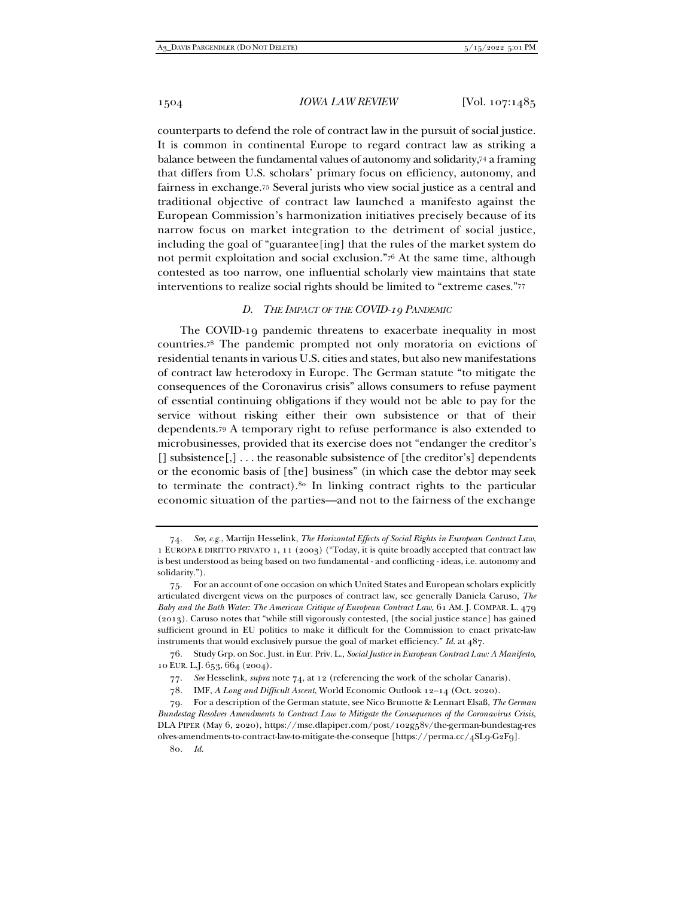counterparts to defend the role of contract law in the pursuit of social justice. It is common in continental Europe to regard contract law as striking a balance between the fundamental values of autonomy and solidarity,74 a framing that differs from U.S. scholars' primary focus on efficiency, autonomy, and fairness in exchange.75 Several jurists who view social justice as a central and traditional objective of contract law launched a manifesto against the European Commission's harmonization initiatives precisely because of its narrow focus on market integration to the detriment of social justice, including the goal of "guarantee[ing] that the rules of the market system do not permit exploitation and social exclusion."76 At the same time, although contested as too narrow, one influential scholarly view maintains that state interventions to realize social rights should be limited to "extreme cases."77

#### *D. THE IMPACT OF THE COVID-19 PANDEMIC*

The COVID-19 pandemic threatens to exacerbate inequality in most countries.78 The pandemic prompted not only moratoria on evictions of residential tenants in various U.S. cities and states, but also new manifestations of contract law heterodoxy in Europe. The German statute "to mitigate the consequences of the Coronavirus crisis" allows consumers to refuse payment of essential continuing obligations if they would not be able to pay for the service without risking either their own subsistence or that of their dependents.79 A temporary right to refuse performance is also extended to microbusinesses, provided that its exercise does not "endanger the creditor's  $[$ ] subsistence $[$ , $]$ ... the reasonable subsistence of  $[$ the creditor's $]$  dependents or the economic basis of [the] business" (in which case the debtor may seek to terminate the contract).80 In linking contract rights to the particular economic situation of the parties—and not to the fairness of the exchange

80*. Id.*

<sup>74</sup>*. See*, *e.g.*, Martijn Hesselink, *The Horizontal Effects of Social Rights in European Contract Law*, 1 EUROPA E DIRITTO PRIVATO 1, 11 (2003) ("Today, it is quite broadly accepted that contract law is best understood as being based on two fundamental - and conflicting - ideas, i.e. autonomy and solidarity.").

 <sup>75.</sup> For an account of one occasion on which United States and European scholars explicitly articulated divergent views on the purposes of contract law, see generally Daniela Caruso, *The Baby and the Bath Water: The American Critique of European Contract Law*, 61 AM. J. COMPAR. L. 479 (2013). Caruso notes that "while still vigorously contested, [the social justice stance] has gained sufficient ground in EU politics to make it difficult for the Commission to enact private-law instruments that would exclusively pursue the goal of market efficiency." *Id.* at 487.

 <sup>76.</sup> Study Grp. on Soc. Just. in Eur. Priv. L., *Social Justice in European Contract Law: A Manifesto*, 10 EUR. L.J. 653, 664 (2004).

 <sup>77.</sup> *See* Hesselink, *supra* note 74, at 12 (referencing the work of the scholar Canaris).

 <sup>78.</sup> IMF, *A Long and Difficult Ascent*, World Economic Outlook 12–14 (Oct. 2020).

 <sup>79.</sup> For a description of the German statute, see Nico Brunotte & Lennart Elsaß, *The German Bundestag Resolves Amendments to Contract Law to Mitigate the Consequences of the Coronavirus Crisis*, DLA PIPER (May 6, 2020), https://mse.dlapiper.com/post/102g58v/the-german-bundestag-res olves-amendments-to-contract-law-to-mitigate-the-conseque [https://perma.cc/4SL9-G2F9].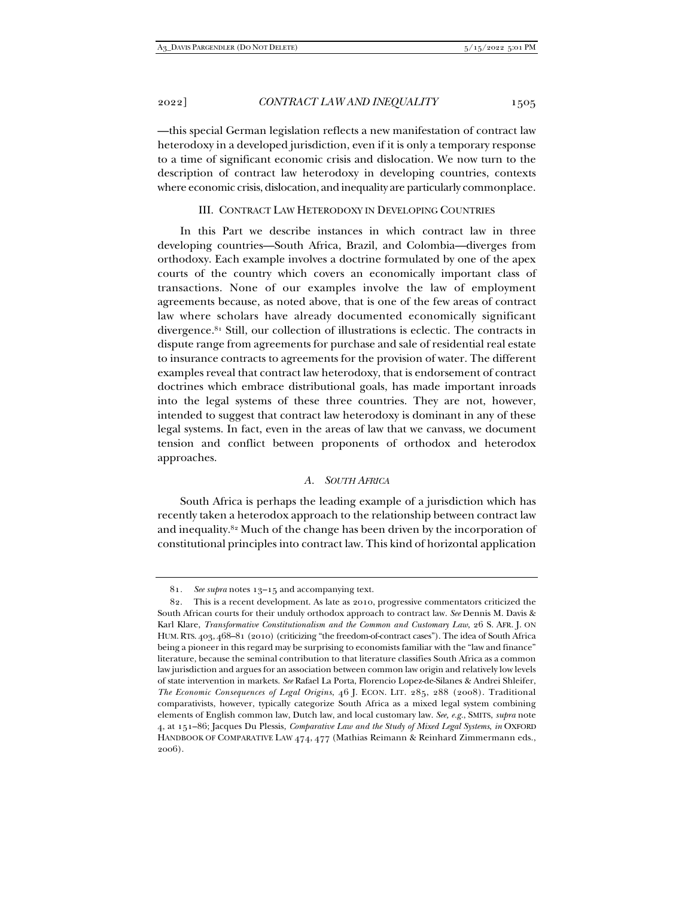—this special German legislation reflects a new manifestation of contract law heterodoxy in a developed jurisdiction, even if it is only a temporary response to a time of significant economic crisis and dislocation. We now turn to the description of contract law heterodoxy in developing countries, contexts where economic crisis, dislocation, and inequality are particularly commonplace.

#### III. CONTRACT LAW HETERODOXY IN DEVELOPING COUNTRIES

In this Part we describe instances in which contract law in three developing countries—South Africa, Brazil, and Colombia—diverges from orthodoxy. Each example involves a doctrine formulated by one of the apex courts of the country which covers an economically important class of transactions. None of our examples involve the law of employment agreements because, as noted above, that is one of the few areas of contract law where scholars have already documented economically significant divergence.81 Still, our collection of illustrations is eclectic. The contracts in dispute range from agreements for purchase and sale of residential real estate to insurance contracts to agreements for the provision of water. The different examples reveal that contract law heterodoxy, that is endorsement of contract doctrines which embrace distributional goals, has made important inroads into the legal systems of these three countries. They are not, however, intended to suggest that contract law heterodoxy is dominant in any of these legal systems. In fact, even in the areas of law that we canvass, we document tension and conflict between proponents of orthodox and heterodox approaches.

#### *A. SOUTH AFRICA*

South Africa is perhaps the leading example of a jurisdiction which has recently taken a heterodox approach to the relationship between contract law and inequality.82 Much of the change has been driven by the incorporation of constitutional principles into contract law. This kind of horizontal application

<sup>81</sup>*. See supra* notes 13–15 and accompanying text.

 <sup>82.</sup> This is a recent development. As late as 2010, progressive commentators criticized the South African courts for their unduly orthodox approach to contract law. *See* Dennis M. Davis & Karl Klare, *Transformative Constitutionalism and the Common and Customary Law*, 26 S. AFR. J. ON HUM. RTS. 403, 468–81 (2010) (criticizing "the freedom-of-contract cases"). The idea of South Africa being a pioneer in this regard may be surprising to economists familiar with the "law and finance" literature, because the seminal contribution to that literature classifies South Africa as a common law jurisdiction and argues for an association between common law origin and relatively low levels of state intervention in markets. *See* Rafael La Porta, Florencio Lopez-de-Silanes & Andrei Shleifer, *The Economic Consequences of Legal Origins*, 46 J. ECON. LIT. 285, 288 (2008). Traditional comparativists, however, typically categorize South Africa as a mixed legal system combining elements of English common law, Dutch law, and local customary law. *See, e.g.*, SMITS, *supra* note 4, at 151–86; Jacques Du Plessis, *Comparative Law and the Study of Mixed Legal Systems*, *in* OXFORD HANDBOOK OF COMPARATIVE LAW 474, 477 (Mathias Reimann & Reinhard Zimmermann eds., 2006).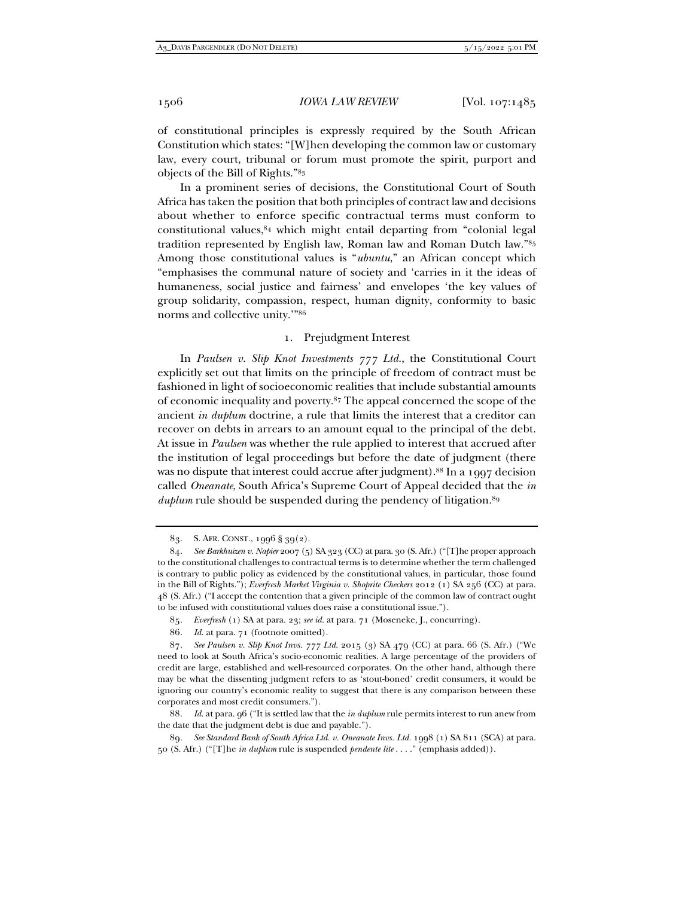of constitutional principles is expressly required by the South African Constitution which states: "[W]hen developing the common law or customary law, every court, tribunal or forum must promote the spirit, purport and objects of the Bill of Rights."83

In a prominent series of decisions, the Constitutional Court of South Africa has taken the position that both principles of contract law and decisions about whether to enforce specific contractual terms must conform to constitutional values,84 which might entail departing from "colonial legal tradition represented by English law, Roman law and Roman Dutch law."85 Among those constitutional values is "*ubuntu*," an African concept which "emphasises the communal nature of society and 'carries in it the ideas of humaneness, social justice and fairness' and envelopes 'the key values of group solidarity, compassion, respect, human dignity, conformity to basic norms and collective unity.'"86

# 1. Prejudgment Interest

In *Paulsen v. Slip Knot Investments 777 Ltd.*, the Constitutional Court explicitly set out that limits on the principle of freedom of contract must be fashioned in light of socioeconomic realities that include substantial amounts of economic inequality and poverty.87 The appeal concerned the scope of the ancient *in duplum* doctrine, a rule that limits the interest that a creditor can recover on debts in arrears to an amount equal to the principal of the debt. At issue in *Paulsen* was whether the rule applied to interest that accrued after the institution of legal proceedings but before the date of judgment (there was no dispute that interest could accrue after judgment).<sup>88</sup> In a 1997 decision called *Oneanate*, South Africa's Supreme Court of Appeal decided that the *in duplum* rule should be suspended during the pendency of litigation.<sup>89</sup>

 <sup>83.</sup> S. AFR. CONST., 1996 § 39(2).

<sup>84</sup>*. See Barkhuizen v. Napier* 2007 (5) SA 323 (CC) at para. 30 (S. Afr.) ("[T]he proper approach to the constitutional challenges to contractual terms is to determine whether the term challenged is contrary to public policy as evidenced by the constitutional values, in particular, those found in the Bill of Rights."); *Everfresh Market Virginia v. Shoprite Checkers* 2012 (1) SA 256 (CC) at para. 48 (S. Afr.) ("I accept the contention that a given principle of the common law of contract ought to be infused with constitutional values does raise a constitutional issue.").

<sup>85</sup>*. Everfresh* (1) SA at para. 23; *see id.* at para. 71 (Moseneke, J., concurring).

<sup>86</sup>*. Id.* at para. 71 (footnote omitted).

<sup>87</sup>*. See Paulsen v. Slip Knot Invs. 777 Ltd*. 2015 (3) SA 479 (CC) at para. 66 (S. Afr.) ("We need to look at South Africa's socio-economic realities. A large percentage of the providers of credit are large, established and well-resourced corporates. On the other hand, although there may be what the dissenting judgment refers to as 'stout-boned' credit consumers, it would be ignoring our country's economic reality to suggest that there is any comparison between these corporates and most credit consumers.").

<sup>88</sup>*. Id.* at para. 96 ("It is settled law that the *in duplum* rule permits interest to run anew from the date that the judgment debt is due and payable.").

<sup>89</sup>*. See Standard Bank of South Africa Ltd. v. Oneanate Invs. Ltd.* 1998 (1) SA 811 (SCA) at para. 50 (S. Afr.) ("[T]he *in duplum* rule is suspended *pendente lite* . . . ." (emphasis added)).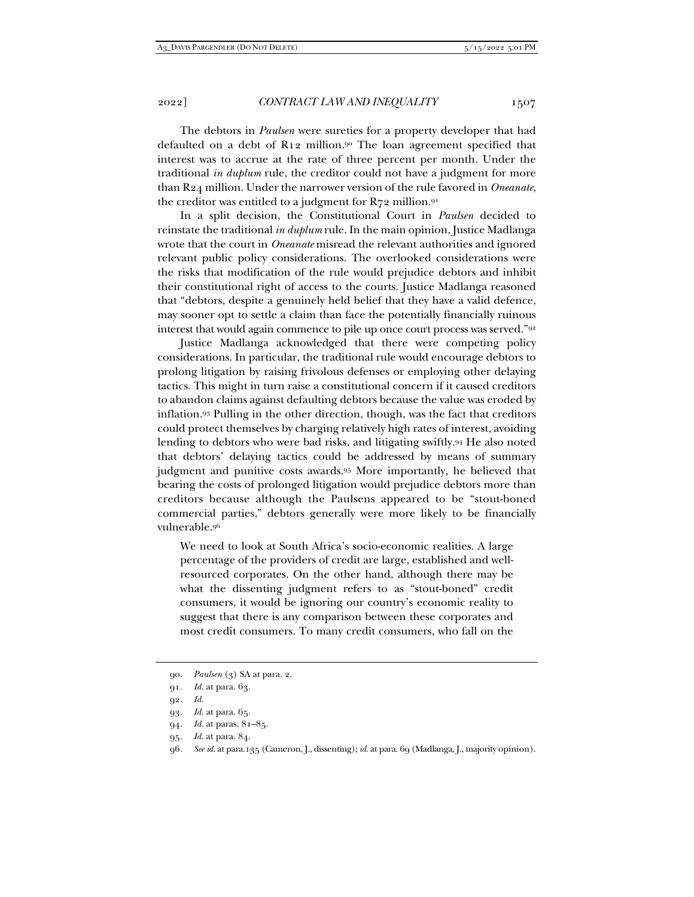The debtors in *Paulsen* were sureties for a property developer that had defaulted on a debt of R12 million.90 The loan agreement specified that interest was to accrue at the rate of three percent per month. Under the traditional *in duplum* rule, the creditor could not have a judgment for more than R24 million. Under the narrower version of the rule favored in *Oneanate*, the creditor was entitled to a judgment for  $R_{72}$  million.<sup>91</sup>

In a split decision, the Constitutional Court in *Paulsen* decided to reinstate the traditional *in duplum* rule. In the main opinion, Justice Madlanga wrote that the court in *Oneanate* misread the relevant authorities and ignored relevant public policy considerations. The overlooked considerations were the risks that modification of the rule would prejudice debtors and inhibit their constitutional right of access to the courts. Justice Madlanga reasoned that "debtors, despite a genuinely held belief that they have a valid defence, may sooner opt to settle a claim than face the potentially financially ruinous interest that would again commence to pile up once court process was served."<sup>92</sup>

Justice Madlanga acknowledged that there were competing policy considerations. In particular, the traditional rule would encourage debtors to prolong litigation by raising frivolous defenses or employing other delaying tactics. This might in turn raise a constitutional concern if it caused creditors to abandon claims against defaulting debtors because the value was eroded by inflation.93 Pulling in the other direction, though, was the fact that creditors could protect themselves by charging relatively high rates of interest, avoiding lending to debtors who were bad risks, and litigating swiftly.94 He also noted that debtors' delaying tactics could be addressed by means of summary judgment and punitive costs awards.95 More importantly, he believed that bearing the costs of prolonged litigation would prejudice debtors more than creditors because although the Paulsens appeared to be "stout-boned commercial parties," debtors generally were more likely to be financially vulnerable.96

We need to look at South Africa's socio-economic realities. A large percentage of the providers of credit are large, established and wellresourced corporates. On the other hand, although there may be what the dissenting judgment refers to as "stout-boned" credit consumers, it would be ignoring our country's economic reality to suggest that there is any comparison between these corporates and most credit consumers. To many credit consumers, who fall on the

92*. Id.*

<sup>90</sup>*. Paulsen* (3) SA at para. 2.

<sup>91</sup>*. Id.* at para. 63.

<sup>93</sup>*. Id.* at para. 65.

<sup>94</sup>*. Id.* at paras. 81–85.

<sup>95</sup>*. Id.* at para. 84.

<sup>96</sup>*. See id.* at para.135 (Cameron, J., dissenting); *id.* at para. 69 (Madlanga, J., majority opinion).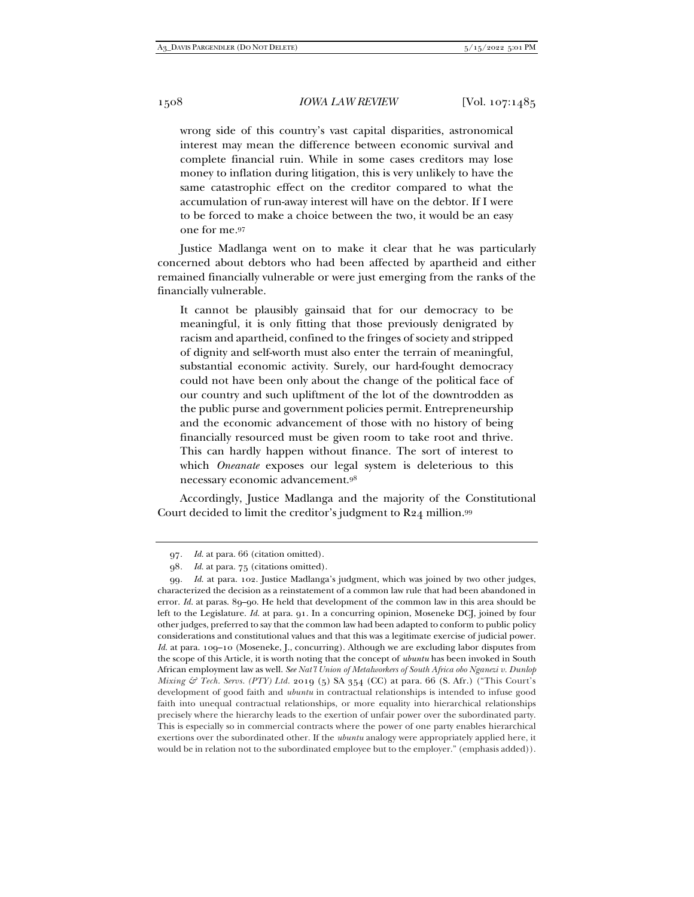wrong side of this country's vast capital disparities, astronomical interest may mean the difference between economic survival and complete financial ruin. While in some cases creditors may lose money to inflation during litigation, this is very unlikely to have the same catastrophic effect on the creditor compared to what the accumulation of run-away interest will have on the debtor. If I were to be forced to make a choice between the two, it would be an easy one for me.97

Justice Madlanga went on to make it clear that he was particularly concerned about debtors who had been affected by apartheid and either remained financially vulnerable or were just emerging from the ranks of the financially vulnerable.

It cannot be plausibly gainsaid that for our democracy to be meaningful, it is only fitting that those previously denigrated by racism and apartheid, confined to the fringes of society and stripped of dignity and self-worth must also enter the terrain of meaningful, substantial economic activity. Surely, our hard-fought democracy could not have been only about the change of the political face of our country and such upliftment of the lot of the downtrodden as the public purse and government policies permit. Entrepreneurship and the economic advancement of those with no history of being financially resourced must be given room to take root and thrive. This can hardly happen without finance. The sort of interest to which *Oneanate* exposes our legal system is deleterious to this necessary economic advancement.98

Accordingly, Justice Madlanga and the majority of the Constitutional Court decided to limit the creditor's judgment to R24 million.99

<sup>97</sup>*. Id.* at para. 66 (citation omitted).

<sup>98</sup>*. Id.* at para. 75 (citations omitted).

<sup>99</sup>*. Id.* at para. 102. Justice Madlanga's judgment, which was joined by two other judges, characterized the decision as a reinstatement of a common law rule that had been abandoned in error. *Id.* at paras. 89–90. He held that development of the common law in this area should be left to the Legislature. *Id.* at para. 91. In a concurring opinion, Moseneke DCJ, joined by four other judges, preferred to say that the common law had been adapted to conform to public policy considerations and constitutional values and that this was a legitimate exercise of judicial power. *Id.* at para. 109–10 (Moseneke, J., concurring). Although we are excluding labor disputes from the scope of this Article, it is worth noting that the concept of *ubuntu* has been invoked in South African employment law as well. *See Nat'l Union of Metalworkers of South Africa obo Nganezi v. Dunlop Mixing & Tech. Servs. (PTY) Ltd.* 2019 (5) SA 354 (CC) at para. 66 (S. Afr.) ("This Court's development of good faith and *ubuntu* in contractual relationships is intended to infuse good faith into unequal contractual relationships, or more equality into hierarchical relationships precisely where the hierarchy leads to the exertion of unfair power over the subordinated party. This is especially so in commercial contracts where the power of one party enables hierarchical exertions over the subordinated other. If the *ubuntu* analogy were appropriately applied here, it would be in relation not to the subordinated employee but to the employer." (emphasis added)).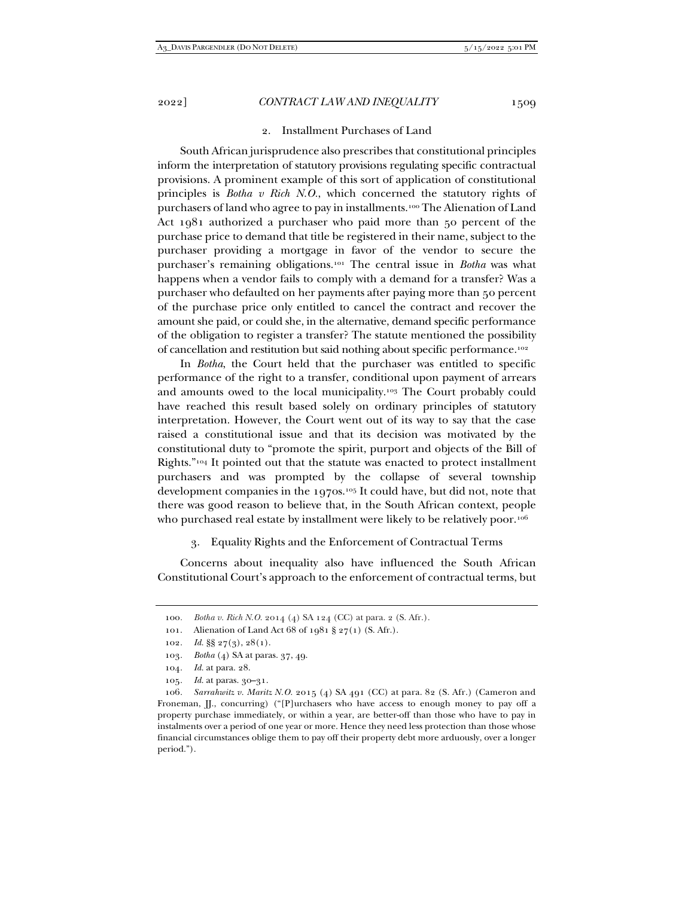#### 2. Installment Purchases of Land

South African jurisprudence also prescribes that constitutional principles inform the interpretation of statutory provisions regulating specific contractual provisions. A prominent example of this sort of application of constitutional principles is *Botha v Rich N.O.*, which concerned the statutory rights of purchasers of land who agree to pay in installments.100 The Alienation of Land Act 1981 authorized a purchaser who paid more than 50 percent of the purchase price to demand that title be registered in their name, subject to the purchaser providing a mortgage in favor of the vendor to secure the purchaser's remaining obligations.101 The central issue in *Botha* was what happens when a vendor fails to comply with a demand for a transfer? Was a purchaser who defaulted on her payments after paying more than 50 percent of the purchase price only entitled to cancel the contract and recover the amount she paid, or could she, in the alternative, demand specific performance of the obligation to register a transfer? The statute mentioned the possibility of cancellation and restitution but said nothing about specific performance.102

In *Botha*, the Court held that the purchaser was entitled to specific performance of the right to a transfer, conditional upon payment of arrears and amounts owed to the local municipality.103 The Court probably could have reached this result based solely on ordinary principles of statutory interpretation. However, the Court went out of its way to say that the case raised a constitutional issue and that its decision was motivated by the constitutional duty to "promote the spirit, purport and objects of the Bill of Rights."104 It pointed out that the statute was enacted to protect installment purchasers and was prompted by the collapse of several township development companies in the 1970s.105 It could have, but did not, note that there was good reason to believe that, in the South African context, people who purchased real estate by installment were likely to be relatively poor.<sup>106</sup>

#### 3. Equality Rights and the Enforcement of Contractual Terms

Concerns about inequality also have influenced the South African Constitutional Court's approach to the enforcement of contractual terms, but

105*. Id.* at paras. 30–31.

<sup>100</sup>*. Botha v. Rich N.O.* 2014 (4) SA 124 (CC) at para. 2 (S. Afr.).

 <sup>101.</sup> Alienation of Land Act 68 of 1981 § 27(1) (S. Afr.).

<sup>102.</sup> *Id.*  $\S\S 27(3)$ ,  $28(1)$ .

<sup>103</sup>*. Botha* (4) SA at paras. 37, 49.

<sup>104</sup>*. Id.* at para. 28.

<sup>106</sup>*. Sarrahwitz v. Maritz N.O.* 2015 (4) SA 491 (CC) at para. 82 (S. Afr.) (Cameron and Froneman,  $\mathcal{I}$ , concurring) ("[P]urchasers who have access to enough money to pay off a property purchase immediately, or within a year, are better-off than those who have to pay in instalments over a period of one year or more. Hence they need less protection than those whose financial circumstances oblige them to pay off their property debt more arduously, over a longer period.").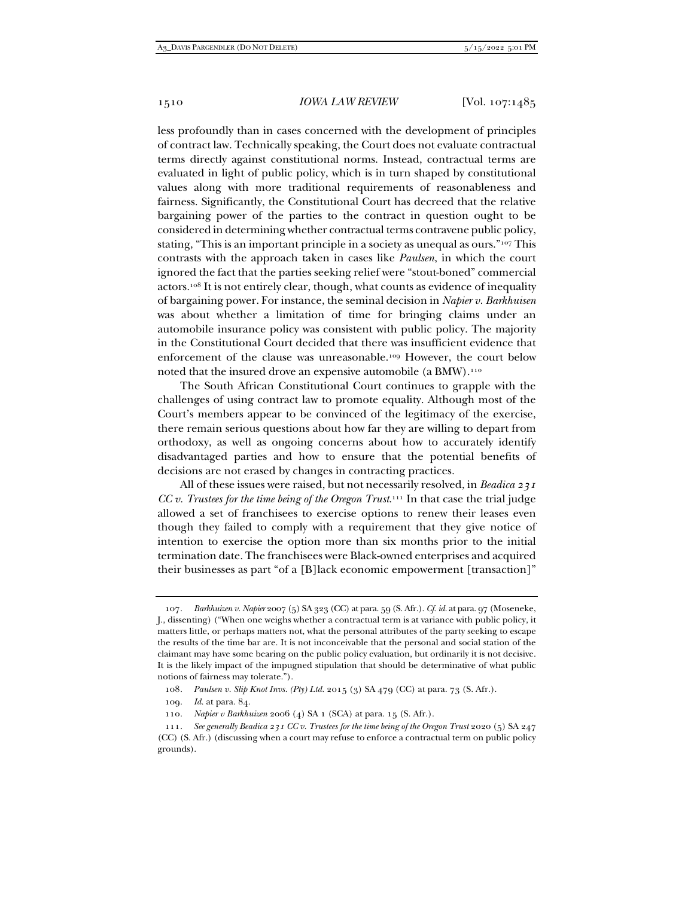less profoundly than in cases concerned with the development of principles of contract law. Technically speaking, the Court does not evaluate contractual terms directly against constitutional norms. Instead, contractual terms are evaluated in light of public policy, which is in turn shaped by constitutional values along with more traditional requirements of reasonableness and fairness. Significantly, the Constitutional Court has decreed that the relative bargaining power of the parties to the contract in question ought to be considered in determining whether contractual terms contravene public policy, stating, "This is an important principle in a society as unequal as ours."107 This contrasts with the approach taken in cases like *Paulsen*, in which the court ignored the fact that the parties seeking relief were "stout-boned" commercial actors.108 It is not entirely clear, though, what counts as evidence of inequality of bargaining power. For instance, the seminal decision in *Napier v. Barkhuisen*  was about whether a limitation of time for bringing claims under an automobile insurance policy was consistent with public policy. The majority in the Constitutional Court decided that there was insufficient evidence that enforcement of the clause was unreasonable.109 However, the court below noted that the insured drove an expensive automobile (a BMW).<sup>110</sup>

The South African Constitutional Court continues to grapple with the challenges of using contract law to promote equality. Although most of the Court's members appear to be convinced of the legitimacy of the exercise, there remain serious questions about how far they are willing to depart from orthodoxy, as well as ongoing concerns about how to accurately identify disadvantaged parties and how to ensure that the potential benefits of decisions are not erased by changes in contracting practices.

All of these issues were raised, but not necessarily resolved, in *Beadica 231 CC v. Trustees for the time being of the Oregon Trust.*<sup>111</sup> In that case the trial judge allowed a set of franchisees to exercise options to renew their leases even though they failed to comply with a requirement that they give notice of intention to exercise the option more than six months prior to the initial termination date. The franchisees were Black-owned enterprises and acquired their businesses as part "of a [B]lack economic empowerment [transaction]"

<sup>107</sup>*. Barkhuizen v. Napier* 2007 (5) SA 323 (CC) at para. 59 (S. Afr.). *Cf. id.* at para. 97 (Moseneke, J., dissenting) ("When one weighs whether a contractual term is at variance with public policy, it matters little, or perhaps matters not, what the personal attributes of the party seeking to escape the results of the time bar are. It is not inconceivable that the personal and social station of the claimant may have some bearing on the public policy evaluation, but ordinarily it is not decisive. It is the likely impact of the impugned stipulation that should be determinative of what public notions of fairness may tolerate.").

<sup>108</sup>*. Paulsen v. Slip Knot Invs. (Pty) Ltd.* 2015 (3) SA 479 (CC) at para. 73 (S. Afr.).

<sup>109</sup>*. Id.* at para. 84.

<sup>110</sup>*. Napier v Barkhuizen* 2006 (4) SA 1 (SCA) at para. 15 (S. Afr.).

<sup>111</sup>*. See generally Beadica 231 CC v. Trustees for the time being of the Oregon Trust* 2020 (5) SA 247 (CC) (S. Afr.) (discussing when a court may refuse to enforce a contractual term on public policy grounds).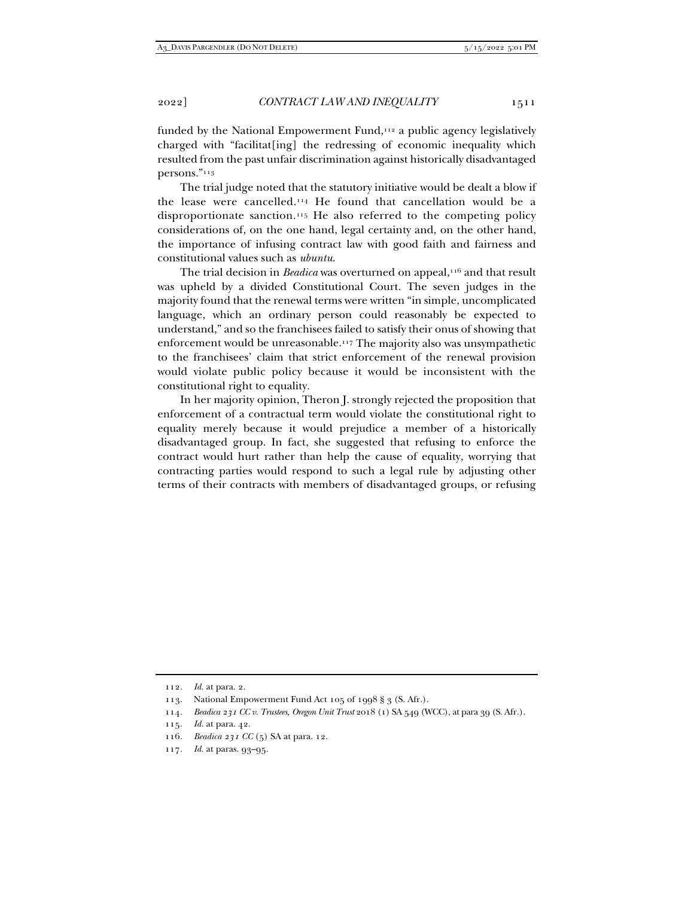funded by the National Empowerment Fund,<sup>112</sup> a public agency legislatively charged with "facilitat[ing] the redressing of economic inequality which resulted from the past unfair discrimination against historically disadvantaged persons."113

The trial judge noted that the statutory initiative would be dealt a blow if the lease were cancelled.114 He found that cancellation would be a disproportionate sanction.115 He also referred to the competing policy considerations of, on the one hand, legal certainty and, on the other hand, the importance of infusing contract law with good faith and fairness and constitutional values such as *ubuntu*.

The trial decision in *Beadica* was overturned on appeal,<sup>116</sup> and that result was upheld by a divided Constitutional Court. The seven judges in the majority found that the renewal terms were written "in simple, uncomplicated language, which an ordinary person could reasonably be expected to understand," and so the franchisees failed to satisfy their onus of showing that enforcement would be unreasonable.117 The majority also was unsympathetic to the franchisees' claim that strict enforcement of the renewal provision would violate public policy because it would be inconsistent with the constitutional right to equality.

In her majority opinion, Theron J. strongly rejected the proposition that enforcement of a contractual term would violate the constitutional right to equality merely because it would prejudice a member of a historically disadvantaged group. In fact, she suggested that refusing to enforce the contract would hurt rather than help the cause of equality, worrying that contracting parties would respond to such a legal rule by adjusting other terms of their contracts with members of disadvantaged groups, or refusing

<sup>112</sup>*. Id.* at para. 2.

<sup>113.</sup> National Empowerment Fund Act 105 of 1998 § 3 (S. Afr.).

<sup>114</sup>*. Beadica 231 CC v. Trustees, Oregon Unit Trust* 2018 (1) SA 549 (WCC), at para 39 (S. Afr.).

<sup>115</sup>*. Id.* at para. 42.

<sup>116</sup>*. Beadica 231 CC* (5) SA at para. 12.

<sup>117</sup>*. Id.* at paras. 93–95.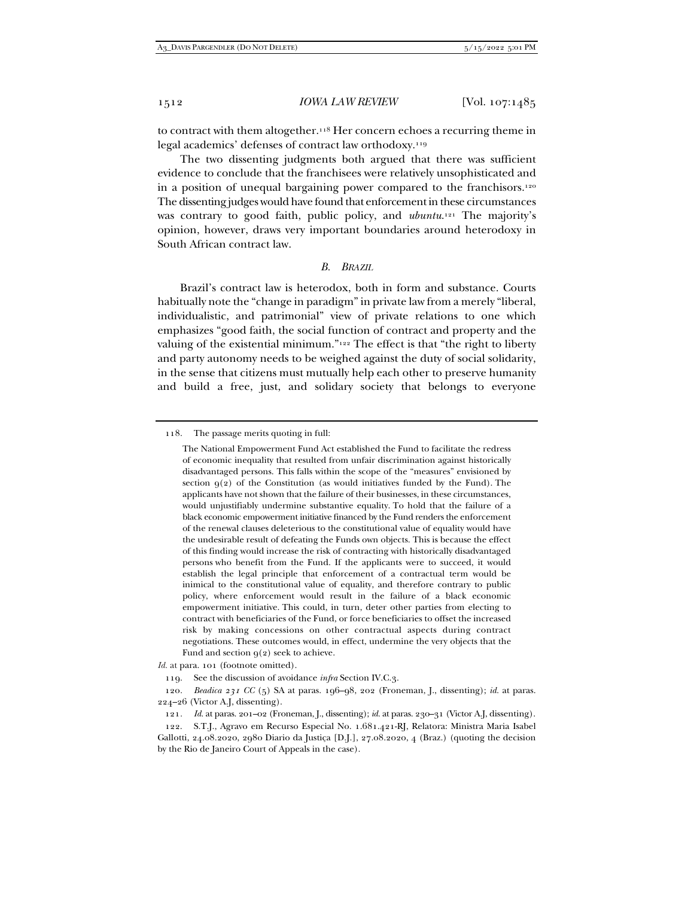to contract with them altogether.118 Her concern echoes a recurring theme in legal academics' defenses of contract law orthodoxy.119

The two dissenting judgments both argued that there was sufficient evidence to conclude that the franchisees were relatively unsophisticated and in a position of unequal bargaining power compared to the franchisors.120 The dissenting judges would have found that enforcement in these circumstances was contrary to good faith, public policy, and *ubuntu*. 121 The majority's opinion, however, draws very important boundaries around heterodoxy in South African contract law.

#### *B. BRAZIL*

Brazil's contract law is heterodox, both in form and substance. Courts habitually note the "change in paradigm" in private law from a merely "liberal, individualistic, and patrimonial" view of private relations to one which emphasizes "good faith, the social function of contract and property and the valuing of the existential minimum."122 The effect is that "the right to liberty and party autonomy needs to be weighed against the duty of social solidarity, in the sense that citizens must mutually help each other to preserve humanity and build a free, just, and solidary society that belongs to everyone

118. The passage merits quoting in full:

*Id.* at para. 101 (footnote omitted).

119. See the discussion of avoidance *infra* Section IV.C.3.

The National Empowerment Fund Act established the Fund to facilitate the redress of economic inequality that resulted from unfair discrimination against historically disadvantaged persons. This falls within the scope of the "measures" envisioned by section  $q(z)$  of the Constitution (as would initiatives funded by the Fund). The applicants have not shown that the failure of their businesses, in these circumstances, would unjustifiably undermine substantive equality. To hold that the failure of a black economic empowerment initiative financed by the Fund renders the enforcement of the renewal clauses deleterious to the constitutional value of equality would have the undesirable result of defeating the Funds own objects. This is because the effect of this finding would increase the risk of contracting with historically disadvantaged persons who benefit from the Fund. If the applicants were to succeed, it would establish the legal principle that enforcement of a contractual term would be inimical to the constitutional value of equality, and therefore contrary to public policy, where enforcement would result in the failure of a black economic empowerment initiative. This could, in turn, deter other parties from electing to contract with beneficiaries of the Fund, or force beneficiaries to offset the increased risk by making concessions on other contractual aspects during contract negotiations. These outcomes would, in effect, undermine the very objects that the Fund and section  $q(2)$  seek to achieve.

<sup>120</sup>*. Beadica 231 CC* (5) SA at paras. 196–98, 202 (Froneman, J., dissenting); *id.* at paras. 224–26 (Victor A.J, dissenting).

<sup>121</sup>*. Id.* at paras. 201–02 (Froneman, J., dissenting); *id.* at paras. 230–31 (Victor A.J, dissenting).

 <sup>122.</sup> S.T.J., Agravo em Recurso Especial No. 1.681.421-RJ, Relatora: Ministra Maria Isabel Gallotti, 24.08.2020, 2980 Diario da Justiça [D.J.], 27.08.2020, 4 (Braz.) (quoting the decision by the Rio de Janeiro Court of Appeals in the case).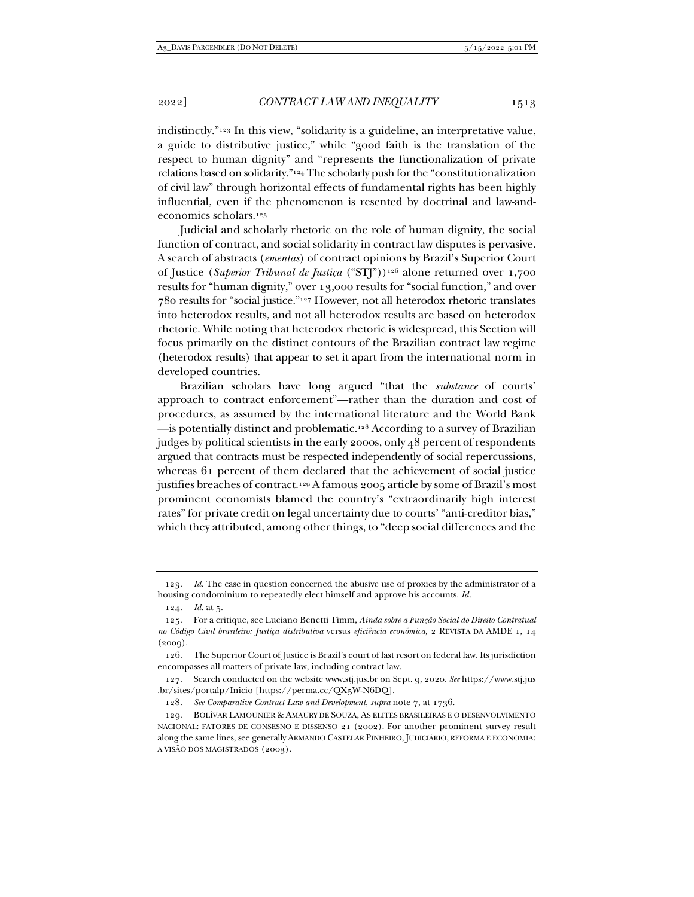indistinctly."123 In this view, "solidarity is a guideline, an interpretative value, a guide to distributive justice," while "good faith is the translation of the respect to human dignity" and "represents the functionalization of private relations based on solidarity."124 The scholarly push for the "constitutionalization of civil law" through horizontal effects of fundamental rights has been highly influential, even if the phenomenon is resented by doctrinal and law-andeconomics scholars.125

Judicial and scholarly rhetoric on the role of human dignity, the social function of contract, and social solidarity in contract law disputes is pervasive. A search of abstracts (*ementas*) of contract opinions by Brazil's Superior Court of Justice (*Superior Tribunal de Justiça* ("STJ"))126 alone returned over 1,700 results for "human dignity," over 13,000 results for "social function," and over 780 results for "social justice."127 However, not all heterodox rhetoric translates into heterodox results, and not all heterodox results are based on heterodox rhetoric. While noting that heterodox rhetoric is widespread, this Section will focus primarily on the distinct contours of the Brazilian contract law regime (heterodox results) that appear to set it apart from the international norm in developed countries.

Brazilian scholars have long argued "that the *substance* of courts' approach to contract enforcement"—rather than the duration and cost of procedures, as assumed by the international literature and the World Bank —is potentially distinct and problematic.128 According to a survey of Brazilian judges by political scientists in the early 2000s, only 48 percent of respondents argued that contracts must be respected independently of social repercussions, whereas 61 percent of them declared that the achievement of social justice justifies breaches of contract.<sup>129</sup> A famous 2005 article by some of Brazil's most prominent economists blamed the country's "extraordinarily high interest rates" for private credit on legal uncertainty due to courts' "anti-creditor bias," which they attributed, among other things, to "deep social differences and the

 127. Search conducted on the website www.stj.jus.br on Sept. 9, 2020. *See* https://www.stj.jus .br/sites/portalp/Inicio [https://perma.cc/QX5W-N6DQ].

128*. See Comparative Contract Law and Development*, *supra* note 7, at 1736.

<sup>123</sup>*. Id.* The case in question concerned the abusive use of proxies by the administrator of a housing condominium to repeatedly elect himself and approve his accounts. *Id.*

<sup>124</sup>*. Id.* at 5.

 <sup>125.</sup> For a critique, see Luciano Benetti Timm, *Ainda sobre a Função Social do Direito Contratual no Código Civil brasileiro: Justiça distributiva* versus *eficiência econômica*, 2 REVISTA DA AMDE 1, 14  $(2009).$ 

 <sup>126.</sup> The Superior Court of Justice is Brazil's court of last resort on federal law. Its jurisdiction encompasses all matters of private law, including contract law.

 <sup>129.</sup> BOLÍVAR LAMOUNIER & AMAURY DE SOUZA, AS ELITES BRASILEIRAS E O DESENVOLVIMENTO NACIONAL: FATORES DE CONSESNO E DISSENSO 21 (2002). For another prominent survey result along the same lines, see generally ARMANDO CASTELAR PINHEIRO, JUDICIÁRIO, REFORMA E ECONOMIA: A VISÃO DOS MAGISTRADOS (2003).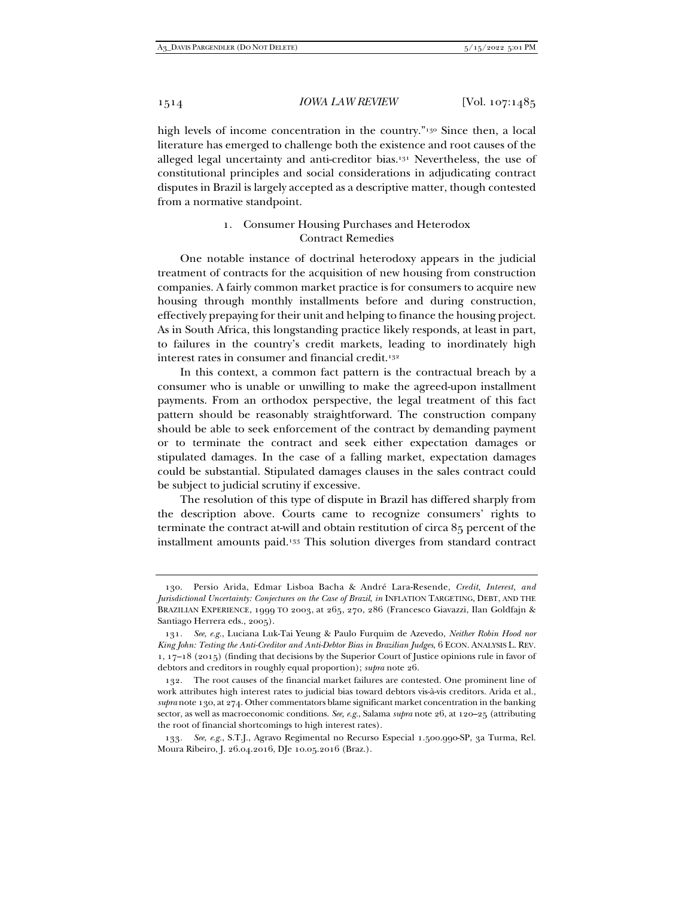high levels of income concentration in the country."<sup>130</sup> Since then, a local literature has emerged to challenge both the existence and root causes of the alleged legal uncertainty and anti-creditor bias.131 Nevertheless, the use of constitutional principles and social considerations in adjudicating contract disputes in Brazil is largely accepted as a descriptive matter, though contested from a normative standpoint.

# 1. Consumer Housing Purchases and Heterodox Contract Remedies

One notable instance of doctrinal heterodoxy appears in the judicial treatment of contracts for the acquisition of new housing from construction companies. A fairly common market practice is for consumers to acquire new housing through monthly installments before and during construction, effectively prepaying for their unit and helping to finance the housing project. As in South Africa, this longstanding practice likely responds, at least in part, to failures in the country's credit markets, leading to inordinately high interest rates in consumer and financial credit.<sup>132</sup>

In this context, a common fact pattern is the contractual breach by a consumer who is unable or unwilling to make the agreed-upon installment payments. From an orthodox perspective, the legal treatment of this fact pattern should be reasonably straightforward. The construction company should be able to seek enforcement of the contract by demanding payment or to terminate the contract and seek either expectation damages or stipulated damages. In the case of a falling market, expectation damages could be substantial. Stipulated damages clauses in the sales contract could be subject to judicial scrutiny if excessive.

The resolution of this type of dispute in Brazil has differed sharply from the description above. Courts came to recognize consumers' rights to terminate the contract at-will and obtain restitution of circa 85 percent of the installment amounts paid.133 This solution diverges from standard contract

 <sup>130.</sup> Persio Arida, Edmar Lisboa Bacha & André Lara-Resende, *Credit, Interest, and Jurisdictional Uncertainty: Conjectures on the Case of Brazil*, *in* INFLATION TARGETING, DEBT, AND THE BRAZILIAN EXPERIENCE, 1999 TO 2003, at 265, 270, 286 (Francesco Giavazzi, Ilan Goldfajn & Santiago Herrera eds., 2005).

<sup>131</sup>*. See*, *e.g.*, Luciana Luk-Tai Yeung & Paulo Furquim de Azevedo, *Neither Robin Hood nor King John: Testing the Anti-Creditor and Anti-Debtor Bias in Brazilian Judges*, 6 ECON. ANALYSIS L. REV. 1, 17–18 (2015) (finding that decisions by the Superior Court of Justice opinions rule in favor of debtors and creditors in roughly equal proportion); *supra* note 26.

 <sup>132.</sup> The root causes of the financial market failures are contested. One prominent line of work attributes high interest rates to judicial bias toward debtors vis-à-vis creditors. Arida et al., *supra* note 130, at 274. Other commentators blame significant market concentration in the banking sector, as well as macroeconomic conditions. *See, e.g.*, Salama *supra* note 26, at 120–25 (attributing the root of financial shortcomings to high interest rates).

<sup>133</sup>*. See*, *e.g.*, S.T.J., Agravo Regimental no Recurso Especial 1.500.990-SP, 3a Turma, Rel. Moura Ribeiro, J. 26.04.2016, DJe 10.05.2016 (Braz.).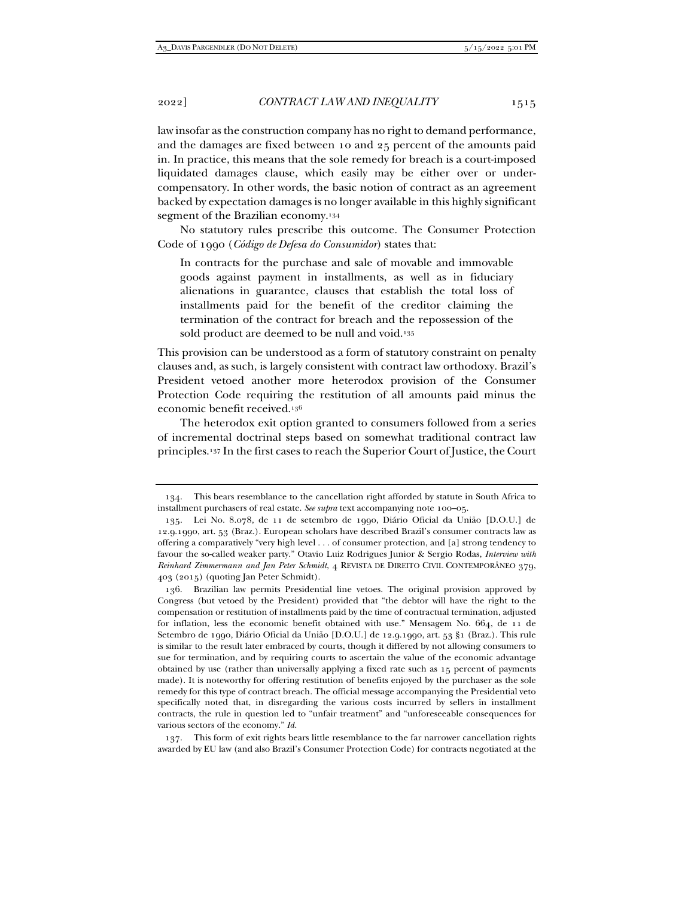law insofar as the construction company has no right to demand performance, and the damages are fixed between 10 and 25 percent of the amounts paid in. In practice, this means that the sole remedy for breach is a court-imposed liquidated damages clause, which easily may be either over or undercompensatory. In other words, the basic notion of contract as an agreement backed by expectation damages is no longer available in this highly significant segment of the Brazilian economy.<sup>134</sup>

No statutory rules prescribe this outcome. The Consumer Protection Code of 1990 (*Código de Defesa do Consumidor*) states that:

In contracts for the purchase and sale of movable and immovable goods against payment in installments, as well as in fiduciary alienations in guarantee, clauses that establish the total loss of installments paid for the benefit of the creditor claiming the termination of the contract for breach and the repossession of the sold product are deemed to be null and void.<sup>135</sup>

This provision can be understood as a form of statutory constraint on penalty clauses and, as such, is largely consistent with contract law orthodoxy. Brazil's President vetoed another more heterodox provision of the Consumer Protection Code requiring the restitution of all amounts paid minus the economic benefit received.136

The heterodox exit option granted to consumers followed from a series of incremental doctrinal steps based on somewhat traditional contract law principles.137 In the first cases to reach the Superior Court of Justice, the Court

 <sup>134.</sup> This bears resemblance to the cancellation right afforded by statute in South Africa to installment purchasers of real estate. *See supra* text accompanying note 100–05.

 <sup>135.</sup> Lei No. 8.078, de 11 de setembro de 1990, Diário Oficial da União [D.O.U.] de 12.9.1990, art. 53 (Braz.). European scholars have described Brazil's consumer contracts law as offering a comparatively "very high level . . . of consumer protection, and [a] strong tendency to favour the so-called weaker party." Otavio Luiz Rodrigues Junior & Sergio Rodas, *Interview with Reinhard Zimmermann and Jan Peter Schmidt*, 4 REVISTA DE DIREITO CIVIL CONTEMPORÂNEO 379, 403 (2015) (quoting Jan Peter Schmidt).

 <sup>136.</sup> Brazilian law permits Presidential line vetoes. The original provision approved by Congress (but vetoed by the President) provided that "the debtor will have the right to the compensation or restitution of installments paid by the time of contractual termination, adjusted for inflation, less the economic benefit obtained with use." Mensagem No. 664, de 11 de Setembro de 1990, Diário Oficial da União [D.O.U.] de 12.9.1990, art. 53 §1 (Braz.). This rule is similar to the result later embraced by courts, though it differed by not allowing consumers to sue for termination, and by requiring courts to ascertain the value of the economic advantage obtained by use (rather than universally applying a fixed rate such as 15 percent of payments made). It is noteworthy for offering restitution of benefits enjoyed by the purchaser as the sole remedy for this type of contract breach. The official message accompanying the Presidential veto specifically noted that, in disregarding the various costs incurred by sellers in installment contracts, the rule in question led to "unfair treatment" and "unforeseeable consequences for various sectors of the economy." *Id.*

 <sup>137.</sup> This form of exit rights bears little resemblance to the far narrower cancellation rights awarded by EU law (and also Brazil's Consumer Protection Code) for contracts negotiated at the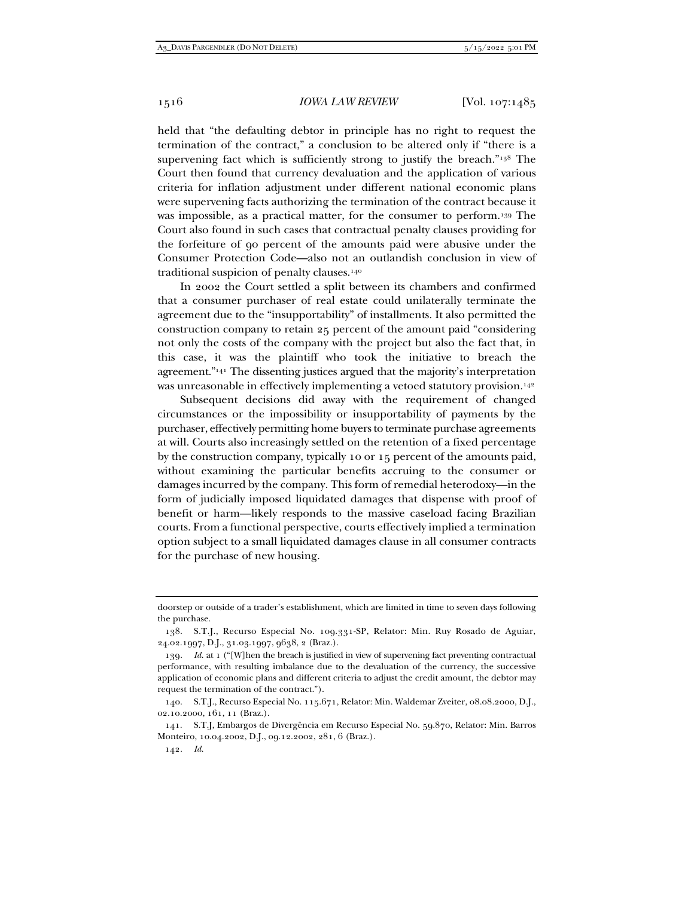held that "the defaulting debtor in principle has no right to request the termination of the contract," a conclusion to be altered only if "there is a supervening fact which is sufficiently strong to justify the breach."<sup>138</sup> The Court then found that currency devaluation and the application of various criteria for inflation adjustment under different national economic plans were supervening facts authorizing the termination of the contract because it was impossible, as a practical matter, for the consumer to perform.139 The Court also found in such cases that contractual penalty clauses providing for the forfeiture of 90 percent of the amounts paid were abusive under the Consumer Protection Code—also not an outlandish conclusion in view of traditional suspicion of penalty clauses.140

In 2002 the Court settled a split between its chambers and confirmed that a consumer purchaser of real estate could unilaterally terminate the agreement due to the "insupportability" of installments. It also permitted the construction company to retain 25 percent of the amount paid "considering not only the costs of the company with the project but also the fact that, in this case, it was the plaintiff who took the initiative to breach the agreement."141 The dissenting justices argued that the majority's interpretation was unreasonable in effectively implementing a vetoed statutory provision.<sup>142</sup>

Subsequent decisions did away with the requirement of changed circumstances or the impossibility or insupportability of payments by the purchaser, effectively permitting home buyers to terminate purchase agreements at will. Courts also increasingly settled on the retention of a fixed percentage by the construction company, typically 10 or 15 percent of the amounts paid, without examining the particular benefits accruing to the consumer or damages incurred by the company. This form of remedial heterodoxy—in the form of judicially imposed liquidated damages that dispense with proof of benefit or harm—likely responds to the massive caseload facing Brazilian courts. From a functional perspective, courts effectively implied a termination option subject to a small liquidated damages clause in all consumer contracts for the purchase of new housing.

doorstep or outside of a trader's establishment, which are limited in time to seven days following the purchase.

 <sup>138.</sup> S.T.J., Recurso Especial No. 109.331-SP, Relator: Min. Ruy Rosado de Aguiar, 24.02.1997, D.J., 31.03.1997, 9638, 2 (Braz.).

<sup>139</sup>*. Id.* at 1 ("[W]hen the breach is justified in view of supervening fact preventing contractual performance, with resulting imbalance due to the devaluation of the currency, the successive application of economic plans and different criteria to adjust the credit amount, the debtor may request the termination of the contract.").

 <sup>140.</sup> S.T.J., Recurso Especial No. 115.671, Relator: Min. Waldemar Zveiter, 08.08.2000, D.J., 02.10.2000, 161, 11 (Braz.).

 <sup>141.</sup> S.T.J, Embargos de Divergência em Recurso Especial No. 59.870, Relator: Min. Barros Monteiro, 10.04.2002, D.J., 09.12.2002, 281, 6 (Braz.).

<sup>142</sup>*. Id.*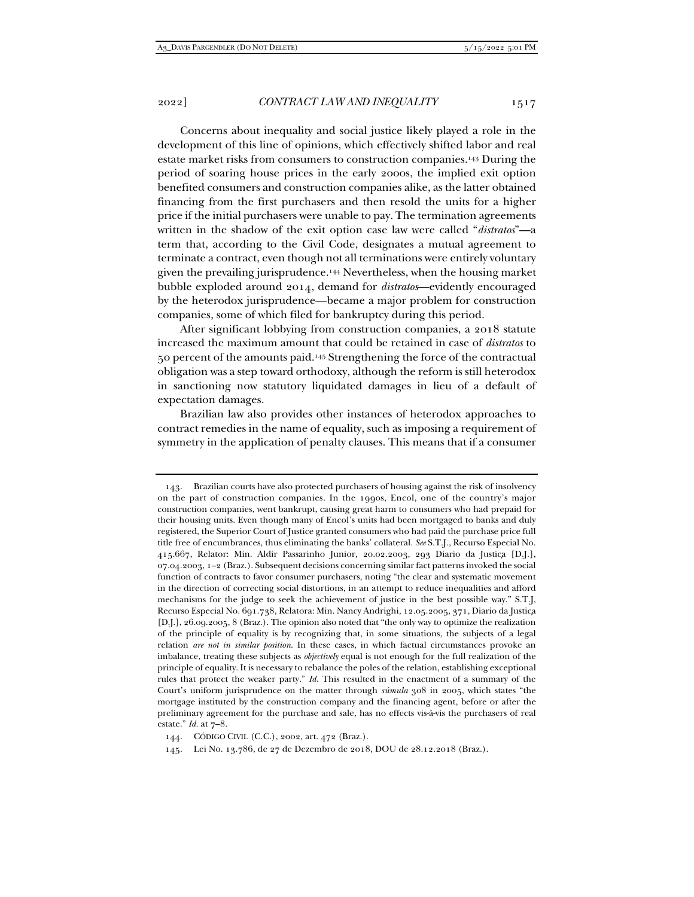Concerns about inequality and social justice likely played a role in the development of this line of opinions, which effectively shifted labor and real estate market risks from consumers to construction companies.143 During the period of soaring house prices in the early 2000s, the implied exit option benefited consumers and construction companies alike, as the latter obtained financing from the first purchasers and then resold the units for a higher price if the initial purchasers were unable to pay. The termination agreements written in the shadow of the exit option case law were called "*distratos*"—a term that, according to the Civil Code, designates a mutual agreement to terminate a contract, even though not all terminations were entirely voluntary given the prevailing jurisprudence.144 Nevertheless, when the housing market bubble exploded around 2014, demand for *distratos*—evidently encouraged by the heterodox jurisprudence—became a major problem for construction companies, some of which filed for bankruptcy during this period.

After significant lobbying from construction companies, a 2018 statute increased the maximum amount that could be retained in case of *distratos* to 50 percent of the amounts paid.145 Strengthening the force of the contractual obligation was a step toward orthodoxy, although the reform is still heterodox in sanctioning now statutory liquidated damages in lieu of a default of expectation damages.

Brazilian law also provides other instances of heterodox approaches to contract remedies in the name of equality, such as imposing a requirement of symmetry in the application of penalty clauses. This means that if a consumer

 <sup>143.</sup> Brazilian courts have also protected purchasers of housing against the risk of insolvency on the part of construction companies. In the 1990s, Encol, one of the country's major construction companies, went bankrupt, causing great harm to consumers who had prepaid for their housing units. Even though many of Encol's units had been mortgaged to banks and duly registered, the Superior Court of Justice granted consumers who had paid the purchase price full title free of encumbrances, thus eliminating the banks' collateral. *See* S.T.J., Recurso Especial No. 415.667, Relator: Min. Aldir Passarinho Junior, 20.02.2003, 293 Diario da Justiça [D.J.], 07.04.2003, 1–2 (Braz.). Subsequent decisions concerning similar fact patterns invoked the social function of contracts to favor consumer purchasers, noting "the clear and systematic movement in the direction of correcting social distortions, in an attempt to reduce inequalities and afford mechanisms for the judge to seek the achievement of justice in the best possible way." S.T.J, Recurso Especial No. 691.738, Relatora: Min. Nancy Andrighi, 12.05.2005, 371, Diario da Justiça [D.J.], 26.09.2005, 8 (Braz.). The opinion also noted that "the only way to optimize the realization of the principle of equality is by recognizing that, in some situations, the subjects of a legal relation *are not in similar position*. In these cases, in which factual circumstances provoke an imbalance, treating these subjects as *objectively* equal is not enough for the full realization of the principle of equality. It is necessary to rebalance the poles of the relation, establishing exceptional rules that protect the weaker party." *Id.* This resulted in the enactment of a summary of the Court's uniform jurisprudence on the matter through *súmula* 308 in 2005, which states "the mortgage instituted by the construction company and the financing agent, before or after the preliminary agreement for the purchase and sale, has no effects vis-à-vis the purchasers of real estate." *Id.* at 7–8.

 <sup>144.</sup> CÓDIGO CIVIL (C.C.), 2002, art. 472 (Braz.).

 <sup>145.</sup> Lei No. 13.786, de 27 de Dezembro de 2018, DOU de 28.12.2018 (Braz.).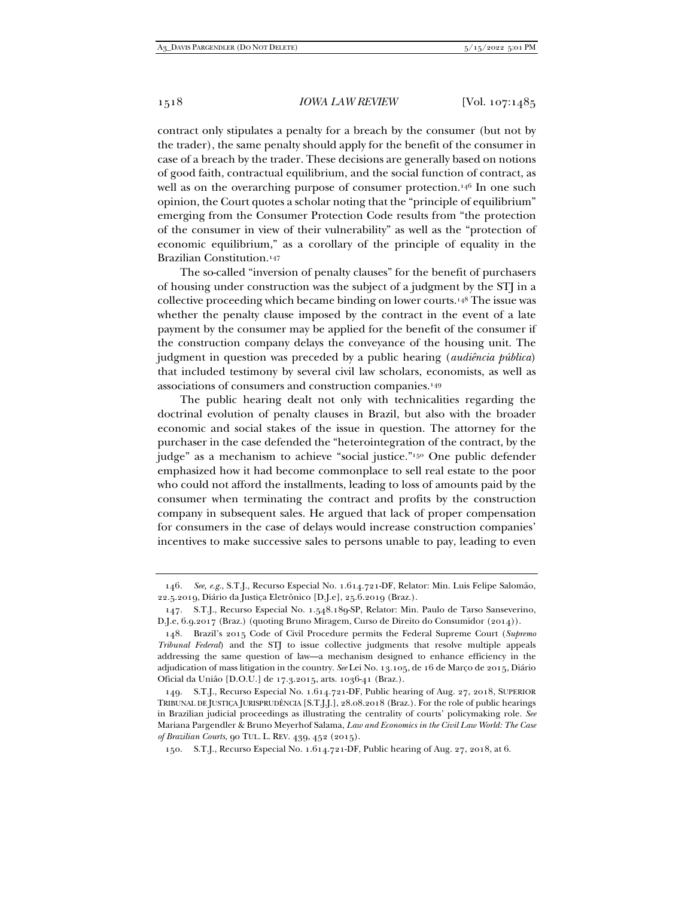contract only stipulates a penalty for a breach by the consumer (but not by the trader), the same penalty should apply for the benefit of the consumer in case of a breach by the trader. These decisions are generally based on notions of good faith, contractual equilibrium, and the social function of contract, as well as on the overarching purpose of consumer protection.<sup>146</sup> In one such opinion, the Court quotes a scholar noting that the "principle of equilibrium" emerging from the Consumer Protection Code results from "the protection of the consumer in view of their vulnerability" as well as the "protection of economic equilibrium," as a corollary of the principle of equality in the Brazilian Constitution.147

The so-called "inversion of penalty clauses" for the benefit of purchasers of housing under construction was the subject of a judgment by the STJ in a collective proceeding which became binding on lower courts.148 The issue was whether the penalty clause imposed by the contract in the event of a late payment by the consumer may be applied for the benefit of the consumer if the construction company delays the conveyance of the housing unit. The judgment in question was preceded by a public hearing (*audiência pública*) that included testimony by several civil law scholars, economists, as well as associations of consumers and construction companies.149

The public hearing dealt not only with technicalities regarding the doctrinal evolution of penalty clauses in Brazil, but also with the broader economic and social stakes of the issue in question. The attorney for the purchaser in the case defended the "heterointegration of the contract, by the judge" as a mechanism to achieve "social justice."<sup>150</sup> One public defender emphasized how it had become commonplace to sell real estate to the poor who could not afford the installments, leading to loss of amounts paid by the consumer when terminating the contract and profits by the construction company in subsequent sales. He argued that lack of proper compensation for consumers in the case of delays would increase construction companies' incentives to make successive sales to persons unable to pay, leading to even

<sup>146</sup>*. See, e.g.*, S.T.J., Recurso Especial No. 1.614.721-DF, Relator: Min. Luis Felipe Salomão, 22.5.2019, Diário da Justiça Eletrônico [D.J.e], 25.6.2019 (Braz.).

 <sup>147.</sup> S.T.J., Recurso Especial No. 1.548.189-SP, Relator: Min. Paulo de Tarso Sanseverino, D.J.e, 6.9.2017 (Braz.) (quoting Bruno Miragem, Curso de Direito do Consumidor (2014)).

 <sup>148.</sup> Brazil's 2015 Code of Civil Procedure permits the Federal Supreme Court (*Supremo Tribunal Federal*) and the STJ to issue collective judgments that resolve multiple appeals addressing the same question of law—a mechanism designed to enhance efficiency in the adjudication of mass litigation in the country. *See* Lei No. 13.105, de 16 de Março de 2015, Diário Oficial da União [D.O.U.] de 17.3.2015, arts. 1036-41 (Braz.).

 <sup>149.</sup> S.T.J., Recurso Especial No. 1.614.721-DF, Public hearing of Aug. 27, 2018, SUPERIOR TRIBUNAL DE JUSTIÇA JURISPRUDÊNCIA [S.T.J.J.], 28.08.2018 (Braz.). For the role of public hearings in Brazilian judicial proceedings as illustrating the centrality of courts' policymaking role. *See*  Mariana Pargendler & Bruno Meyerhof Salama, *Law and Economics in the Civil Law World: The Case of Brazilian Courts*, 90 TUL. L. REV. 439, 452 (2015).

 <sup>150.</sup> S.T.J., Recurso Especial No. 1.614.721-DF, Public hearing of Aug. 27, 2018, at 6.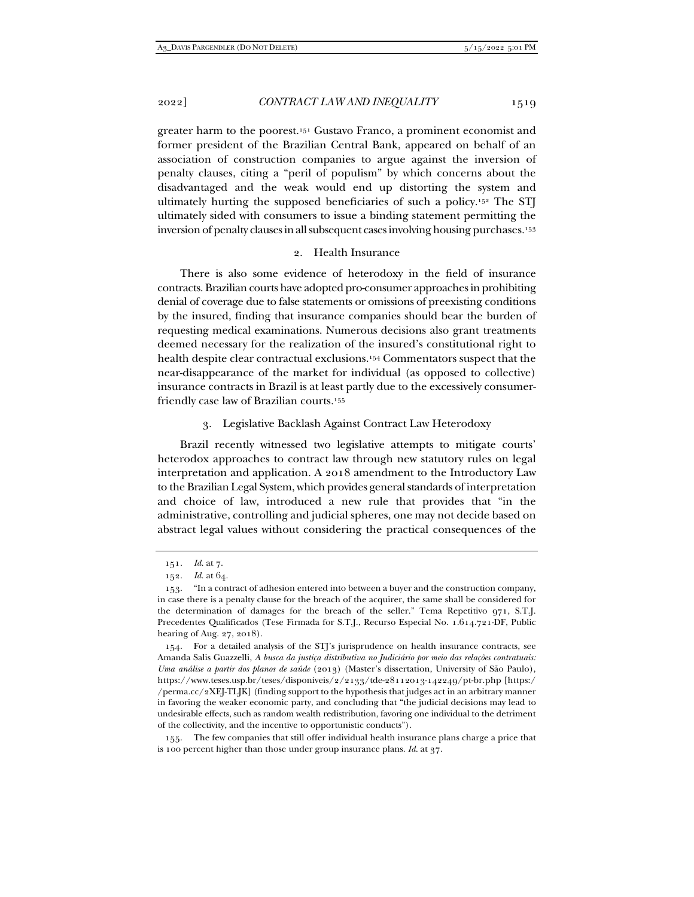greater harm to the poorest.151 Gustavo Franco, a prominent economist and former president of the Brazilian Central Bank, appeared on behalf of an association of construction companies to argue against the inversion of penalty clauses, citing a "peril of populism" by which concerns about the disadvantaged and the weak would end up distorting the system and ultimately hurting the supposed beneficiaries of such a policy.152 The STJ ultimately sided with consumers to issue a binding statement permitting the inversion of penalty clauses in all subsequent cases involving housing purchases.153

# 2. Health Insurance

There is also some evidence of heterodoxy in the field of insurance contracts. Brazilian courts have adopted pro-consumer approaches in prohibiting denial of coverage due to false statements or omissions of preexisting conditions by the insured, finding that insurance companies should bear the burden of requesting medical examinations. Numerous decisions also grant treatments deemed necessary for the realization of the insured's constitutional right to health despite clear contractual exclusions.154 Commentators suspect that the near-disappearance of the market for individual (as opposed to collective) insurance contracts in Brazil is at least partly due to the excessively consumerfriendly case law of Brazilian courts.155

3. Legislative Backlash Against Contract Law Heterodoxy

Brazil recently witnessed two legislative attempts to mitigate courts' heterodox approaches to contract law through new statutory rules on legal interpretation and application. A 2018 amendment to the Introductory Law to the Brazilian Legal System, which provides general standards of interpretation and choice of law, introduced a new rule that provides that "in the administrative, controlling and judicial spheres, one may not decide based on abstract legal values without considering the practical consequences of the

<sup>151</sup>*. Id.* at 7.

<sup>152</sup>*. Id.* at 64.

 <sup>153. &</sup>quot;In a contract of adhesion entered into between a buyer and the construction company, in case there is a penalty clause for the breach of the acquirer, the same shall be considered for the determination of damages for the breach of the seller." Tema Repetitivo 971, S.T.J. Precedentes Qualificados (Tese Firmada for S.T.J., Recurso Especial No. 1.614.721-DF, Public hearing of Aug. 27, 2018).

 <sup>154.</sup> For a detailed analysis of the STJ's jurisprudence on health insurance contracts, see Amanda Salis Guazzelli, *A busca da justiça distributiva no Judiciário por meio das relações contratuais: Uma análise a partir dos planos de saúde* (2013) (Master's dissertation, University of São Paulo), https://www.teses.usp.br/teses/disponiveis/2/2133/tde-28112013-142249/pt-br.php [https:/ /perma.cc/2XEJ-TLJK] (finding support to the hypothesis that judges act in an arbitrary manner in favoring the weaker economic party, and concluding that "the judicial decisions may lead to undesirable effects, such as random wealth redistribution, favoring one individual to the detriment of the collectivity, and the incentive to opportunistic conducts").

 <sup>155.</sup> The few companies that still offer individual health insurance plans charge a price that is 100 percent higher than those under group insurance plans. *Id.* at 37.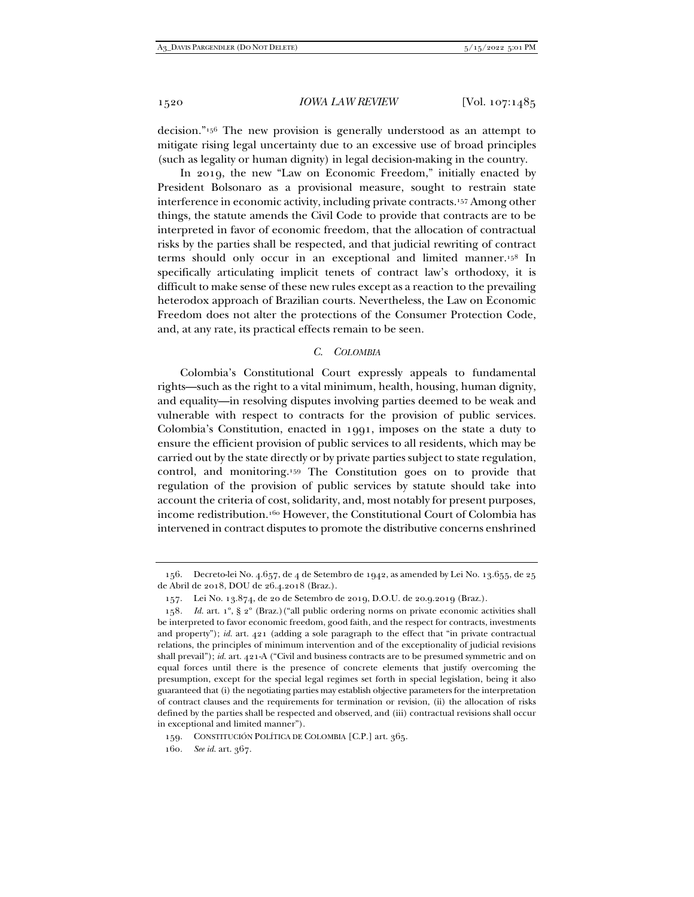decision."156 The new provision is generally understood as an attempt to mitigate rising legal uncertainty due to an excessive use of broad principles (such as legality or human dignity) in legal decision-making in the country.

In 2019, the new "Law on Economic Freedom," initially enacted by President Bolsonaro as a provisional measure, sought to restrain state interference in economic activity, including private contracts.157 Among other things, the statute amends the Civil Code to provide that contracts are to be interpreted in favor of economic freedom, that the allocation of contractual risks by the parties shall be respected, and that judicial rewriting of contract terms should only occur in an exceptional and limited manner.158 In specifically articulating implicit tenets of contract law's orthodoxy, it is difficult to make sense of these new rules except as a reaction to the prevailing heterodox approach of Brazilian courts. Nevertheless, the Law on Economic Freedom does not alter the protections of the Consumer Protection Code, and, at any rate, its practical effects remain to be seen.

#### *C. COLOMBIA*

Colombia's Constitutional Court expressly appeals to fundamental rights—such as the right to a vital minimum, health, housing, human dignity, and equality—in resolving disputes involving parties deemed to be weak and vulnerable with respect to contracts for the provision of public services. Colombia's Constitution, enacted in 1991, imposes on the state a duty to ensure the efficient provision of public services to all residents, which may be carried out by the state directly or by private parties subject to state regulation, control, and monitoring.159 The Constitution goes on to provide that regulation of the provision of public services by statute should take into account the criteria of cost, solidarity, and, most notably for present purposes, income redistribution.160 However, the Constitutional Court of Colombia has intervened in contract disputes to promote the distributive concerns enshrined

 <sup>156.</sup> Decreto-lei No. 4.657, de 4 de Setembro de 1942, as amended by Lei No. 13.655, de 25 de Abril de 2018, DOU de 26.4.2018 (Braz.).

 <sup>157.</sup> Lei No. 13.874, de 20 de Setembro de 2019, D.O.U. de 20.9.2019 (Braz.).

<sup>158</sup>*. Id.* art. 1º, § 2º (Braz.)("all public ordering norms on private economic activities shall be interpreted to favor economic freedom, good faith, and the respect for contracts, investments and property"); *id.* art. 421 (adding a sole paragraph to the effect that "in private contractual relations, the principles of minimum intervention and of the exceptionality of judicial revisions shall prevail"); *id.* art. 421-A ("Civil and business contracts are to be presumed symmetric and on equal forces until there is the presence of concrete elements that justify overcoming the presumption, except for the special legal regimes set forth in special legislation, being it also guaranteed that (i) the negotiating parties may establish objective parameters for the interpretation of contract clauses and the requirements for termination or revision, (ii) the allocation of risks defined by the parties shall be respected and observed, and (iii) contractual revisions shall occur in exceptional and limited manner").

 <sup>159.</sup> CONSTITUCIÓN POLÍTICA DE COLOMBIA [C.P.] art. 365.

<sup>160</sup>*. See id.* art. 367.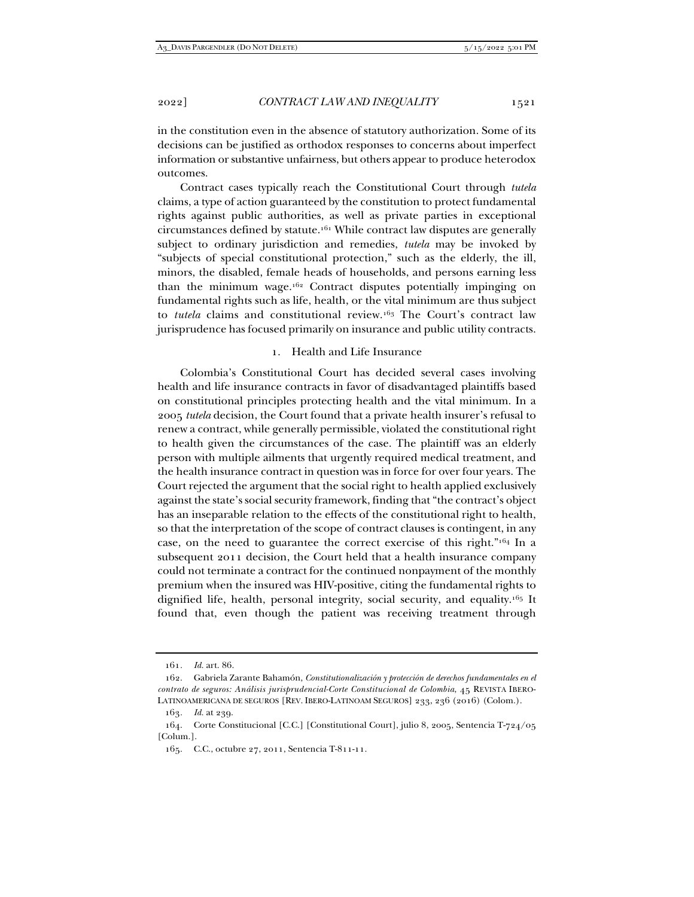in the constitution even in the absence of statutory authorization. Some of its decisions can be justified as orthodox responses to concerns about imperfect information or substantive unfairness, but others appear to produce heterodox outcomes.

Contract cases typically reach the Constitutional Court through *tutela*  claims, a type of action guaranteed by the constitution to protect fundamental rights against public authorities, as well as private parties in exceptional circumstances defined by statute.161 While contract law disputes are generally subject to ordinary jurisdiction and remedies, *tutela* may be invoked by "subjects of special constitutional protection," such as the elderly, the ill, minors, the disabled, female heads of households, and persons earning less than the minimum wage.162 Contract disputes potentially impinging on fundamental rights such as life, health, or the vital minimum are thus subject to *tutela* claims and constitutional review.163 The Court's contract law jurisprudence has focused primarily on insurance and public utility contracts.

# 1. Health and Life Insurance

Colombia's Constitutional Court has decided several cases involving health and life insurance contracts in favor of disadvantaged plaintiffs based on constitutional principles protecting health and the vital minimum. In a 2005 *tutela* decision, the Court found that a private health insurer's refusal to renew a contract, while generally permissible, violated the constitutional right to health given the circumstances of the case. The plaintiff was an elderly person with multiple ailments that urgently required medical treatment, and the health insurance contract in question was in force for over four years. The Court rejected the argument that the social right to health applied exclusively against the state's social security framework, finding that "the contract's object has an inseparable relation to the effects of the constitutional right to health, so that the interpretation of the scope of contract clauses is contingent, in any case, on the need to guarantee the correct exercise of this right."164 In a subsequent 2011 decision, the Court held that a health insurance company could not terminate a contract for the continued nonpayment of the monthly premium when the insured was HIV-positive, citing the fundamental rights to dignified life, health, personal integrity, social security, and equality.165 It found that, even though the patient was receiving treatment through

<sup>161</sup>*. Id.* art. 86.

 <sup>162.</sup> Gabriela Zarante Bahamón, *Constitutionalización y protección de derechos fundamentales en el contrato de seguros: Análisis jurisprudencial-Corte Constitucional de Colombia*, 45 REVISTA IBERO-LATINOAMERICANA DE SEGUROS [REV. IBERO-LATINOAM SEGUROS] 233, 236 (2016) (Colom.).

<sup>163</sup>*. Id.* at 239.

 <sup>164.</sup> Corte Constitucional [C.C.] [Constitutional Court], julio 8, 2005, Sentencia T-724/05 [Colum.].

 <sup>165.</sup> C.C., octubre 27, 2011, Sentencia T-811-11.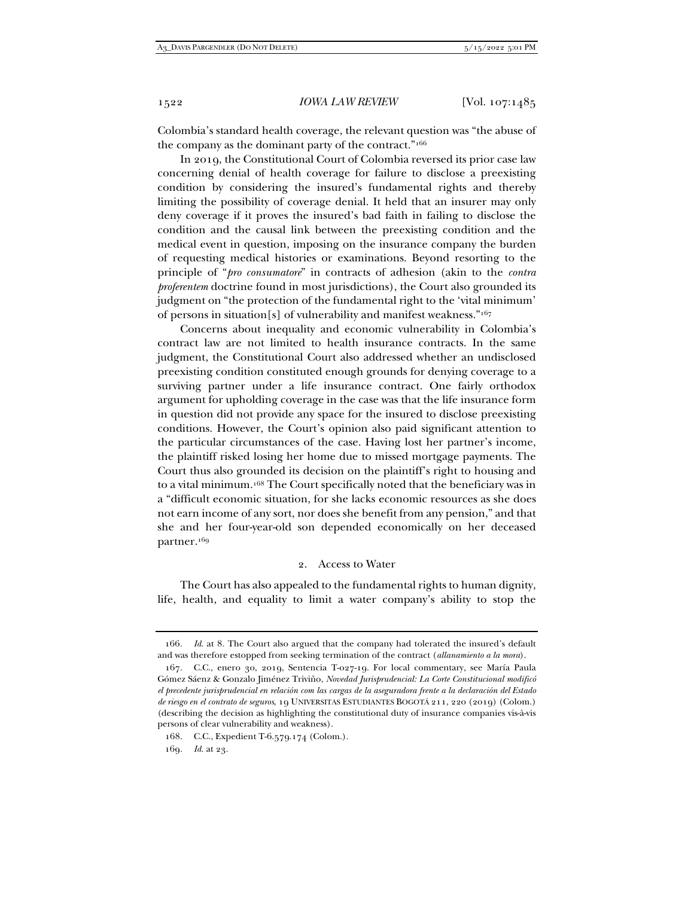Colombia's standard health coverage, the relevant question was "the abuse of the company as the dominant party of the contract."166

In 2019, the Constitutional Court of Colombia reversed its prior case law concerning denial of health coverage for failure to disclose a preexisting condition by considering the insured's fundamental rights and thereby limiting the possibility of coverage denial. It held that an insurer may only deny coverage if it proves the insured's bad faith in failing to disclose the condition and the causal link between the preexisting condition and the medical event in question, imposing on the insurance company the burden of requesting medical histories or examinations. Beyond resorting to the principle of "*pro consumatore*" in contracts of adhesion (akin to the *contra proferentem* doctrine found in most jurisdictions), the Court also grounded its judgment on "the protection of the fundamental right to the 'vital minimum' of persons in situation[s] of vulnerability and manifest weakness."167

Concerns about inequality and economic vulnerability in Colombia's contract law are not limited to health insurance contracts. In the same judgment, the Constitutional Court also addressed whether an undisclosed preexisting condition constituted enough grounds for denying coverage to a surviving partner under a life insurance contract. One fairly orthodox argument for upholding coverage in the case was that the life insurance form in question did not provide any space for the insured to disclose preexisting conditions. However, the Court's opinion also paid significant attention to the particular circumstances of the case. Having lost her partner's income, the plaintiff risked losing her home due to missed mortgage payments. The Court thus also grounded its decision on the plaintiff's right to housing and to a vital minimum.168 The Court specifically noted that the beneficiary was in a "difficult economic situation, for she lacks economic resources as she does not earn income of any sort, nor does she benefit from any pension," and that she and her four-year-old son depended economically on her deceased partner.169

# 2. Access to Water

The Court has also appealed to the fundamental rights to human dignity, life, health, and equality to limit a water company's ability to stop the

<sup>166</sup>*. Id*. at 8*.* The Court also argued that the company had tolerated the insured's default and was therefore estopped from seeking termination of the contract (*allanamiento a la mora*).

 <sup>167.</sup> C.C., enero 30, 2019, Sentencia T-027-19. For local commentary, see María Paula Gómez Sáenz & Gonzalo Jiménez Triviño, *Novedad Jurisprudencial: La Corte Constitucional modificó el precedente jurisprudencial en relación com las cargas de la aseguradora frente a la declaración del Estado de riesgo en el contrato de seguros*, 19 UNIVERSITAS ESTUDIANTES BOGOTÁ 211, 220 (2019) (Colom.) (describing the decision as highlighting the constitutional duty of insurance companies vis-à-vis persons of clear vulnerability and weakness).

 <sup>168.</sup> C.C., Expedient T-6.579.174 (Colom.).

<sup>169</sup>*. Id.* at 23.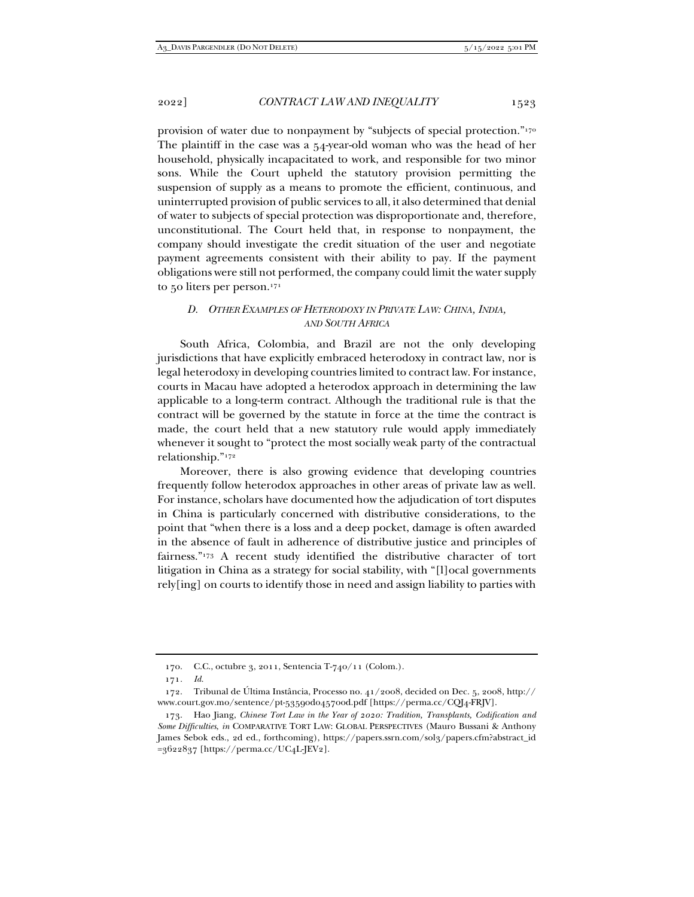provision of water due to nonpayment by "subjects of special protection."170 The plaintiff in the case was a 54-year-old woman who was the head of her household, physically incapacitated to work, and responsible for two minor sons. While the Court upheld the statutory provision permitting the suspension of supply as a means to promote the efficient, continuous, and uninterrupted provision of public services to all, it also determined that denial of water to subjects of special protection was disproportionate and, therefore, unconstitutional. The Court held that, in response to nonpayment, the company should investigate the credit situation of the user and negotiate payment agreements consistent with their ability to pay. If the payment obligations were still not performed, the company could limit the water supply to 50 liters per person.171

# *D. OTHER EXAMPLES OF HETERODOXY IN PRIVATE LAW: CHINA, INDIA, AND SOUTH AFRICA*

South Africa, Colombia, and Brazil are not the only developing jurisdictions that have explicitly embraced heterodoxy in contract law, nor is legal heterodoxy in developing countries limited to contract law. For instance, courts in Macau have adopted a heterodox approach in determining the law applicable to a long-term contract. Although the traditional rule is that the contract will be governed by the statute in force at the time the contract is made, the court held that a new statutory rule would apply immediately whenever it sought to "protect the most socially weak party of the contractual relationship."172

Moreover, there is also growing evidence that developing countries frequently follow heterodox approaches in other areas of private law as well. For instance, scholars have documented how the adjudication of tort disputes in China is particularly concerned with distributive considerations, to the point that "when there is a loss and a deep pocket, damage is often awarded in the absence of fault in adherence of distributive justice and principles of fairness."173 A recent study identified the distributive character of tort litigation in China as a strategy for social stability, with "[l]ocal governments rely[ing] on courts to identify those in need and assign liability to parties with

 <sup>170.</sup> C.C., octubre 3, 2011, Sentencia T-740/11 (Colom.).

<sup>171</sup>*. Id.*

 <sup>172.</sup> Tribunal de Última Instância, Processo no. 41/2008, decided on Dec. 5, 2008, http:// www.court.gov.mo/sentence/pt-53590d045700d.pdf [https://perma.cc/CQJ4-FRJV].

 <sup>173.</sup> Hao Jiang, *Chinese Tort Law in the Year of 2020: Tradition, Transplants, Codification and Some Difficulties*, *in* COMPARATIVE TORT LAW: GLOBAL PERSPECTIVES (Mauro Bussani & Anthony James Sebok eds., 2d ed., forthcoming), https://papers.ssrn.com/sol3/papers.cfm?abstract\_id =3622837 [https://perma.cc/UC4L-JEV2].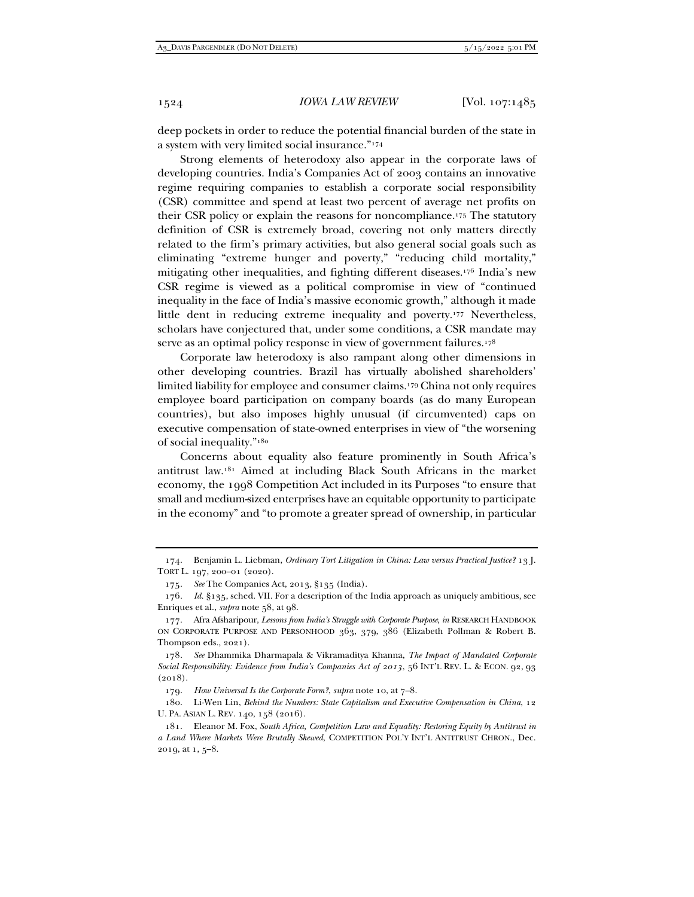deep pockets in order to reduce the potential financial burden of the state in a system with very limited social insurance."174

Strong elements of heterodoxy also appear in the corporate laws of developing countries. India's Companies Act of 2003 contains an innovative regime requiring companies to establish a corporate social responsibility (CSR) committee and spend at least two percent of average net profits on their CSR policy or explain the reasons for noncompliance.175 The statutory definition of CSR is extremely broad, covering not only matters directly related to the firm's primary activities, but also general social goals such as eliminating "extreme hunger and poverty," "reducing child mortality," mitigating other inequalities, and fighting different diseases.176 India's new CSR regime is viewed as a political compromise in view of "continued inequality in the face of India's massive economic growth," although it made little dent in reducing extreme inequality and poverty.177 Nevertheless, scholars have conjectured that, under some conditions, a CSR mandate may serve as an optimal policy response in view of government failures.<sup>178</sup>

Corporate law heterodoxy is also rampant along other dimensions in other developing countries. Brazil has virtually abolished shareholders' limited liability for employee and consumer claims.179 China not only requires employee board participation on company boards (as do many European countries), but also imposes highly unusual (if circumvented) caps on executive compensation of state-owned enterprises in view of "the worsening of social inequality."180

Concerns about equality also feature prominently in South Africa's antitrust law.181 Aimed at including Black South Africans in the market economy, the 1998 Competition Act included in its Purposes "to ensure that small and medium-sized enterprises have an equitable opportunity to participate in the economy" and "to promote a greater spread of ownership, in particular

178*. See* Dhammika Dharmapala & Vikramaditya Khanna, *The Impact of Mandated Corporate Social Responsibility: Evidence from India's Companies Act of 2013*, 56 INT'L REV. L. & ECON. 92, 93  $(2018).$ 

179*. How Universal Is the Corporate Form?*, *supra* note 10, at 7–8.

 180. Li-Wen Lin, *Behind the Numbers: State Capitalism and Executive Compensation in China*, 12 U. PA. ASIAN L. REV. 140, 158 (2016).

 181. Eleanor M. Fox, *South Africa, Competition Law and Equality: Restoring Equity by Antitrust in a Land Where Markets Were Brutally Skewed*, COMPETITION POL'Y INT'L ANTITRUST CHRON., Dec. 2019, at 1, 5–8.

 <sup>174.</sup> Benjamin L. Liebman, *Ordinary Tort Litigation in China: Law versus Practical Justice?* 13 J. TORT L. 197, 200–01 (2020).

<sup>175</sup>*. See* The Companies Act, 2013, §135 (India).

<sup>176</sup>*. Id.* §135, sched. VII. For a description of the India approach as uniquely ambitious, see Enriques et al., *supra* note 58, at 98.

 <sup>177.</sup> Afra Afsharipour, *Lessons from India's Struggle with Corporate Purpose*, *in* RESEARCH HANDBOOK ON CORPORATE PURPOSE AND PERSONHOOD 363, 379, 386 (Elizabeth Pollman & Robert B. Thompson eds., 2021).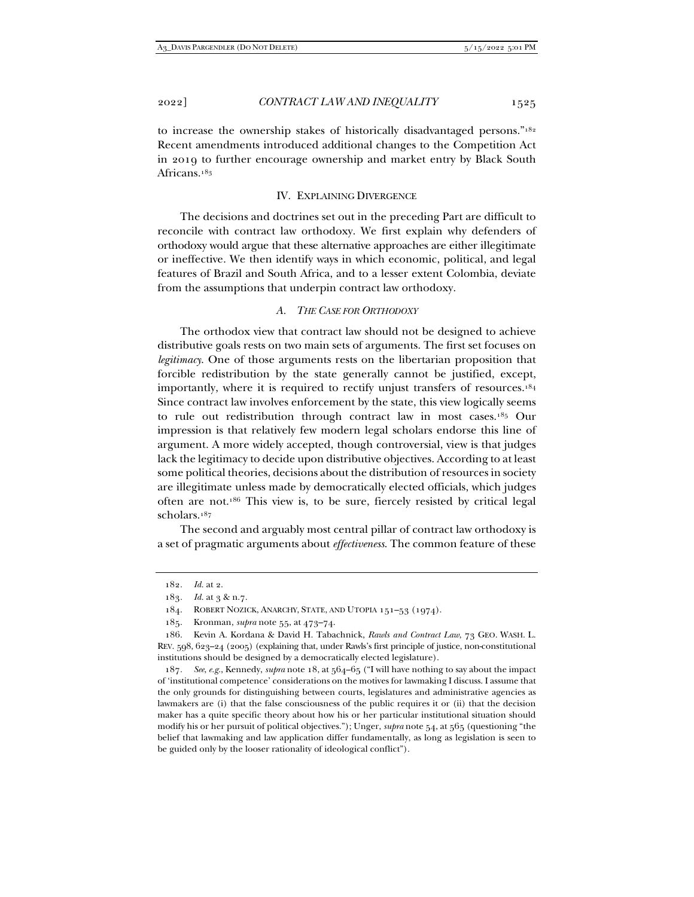to increase the ownership stakes of historically disadvantaged persons."182 Recent amendments introduced additional changes to the Competition Act in 2019 to further encourage ownership and market entry by Black South Africans.183

# IV. EXPLAINING DIVERGENCE

The decisions and doctrines set out in the preceding Part are difficult to reconcile with contract law orthodoxy. We first explain why defenders of orthodoxy would argue that these alternative approaches are either illegitimate or ineffective. We then identify ways in which economic, political, and legal features of Brazil and South Africa, and to a lesser extent Colombia, deviate from the assumptions that underpin contract law orthodoxy.

# *A. THE CASE FOR ORTHODOXY*

The orthodox view that contract law should not be designed to achieve distributive goals rests on two main sets of arguments. The first set focuses on *legitimacy*. One of those arguments rests on the libertarian proposition that forcible redistribution by the state generally cannot be justified, except, importantly, where it is required to rectify unjust transfers of resources.184 Since contract law involves enforcement by the state, this view logically seems to rule out redistribution through contract law in most cases.185 Our impression is that relatively few modern legal scholars endorse this line of argument. A more widely accepted, though controversial, view is that judges lack the legitimacy to decide upon distributive objectives. According to at least some political theories, decisions about the distribution of resources in society are illegitimate unless made by democratically elected officials, which judges often are not.186 This view is, to be sure, fiercely resisted by critical legal scholars.187

The second and arguably most central pillar of contract law orthodoxy is a set of pragmatic arguments about *effectiveness*. The common feature of these

<sup>182</sup>*. Id.* at 2.

<sup>183</sup>*. Id.* at 3 & n.7.

 <sup>184.</sup> ROBERT NOZICK, ANARCHY, STATE, AND UTOPIA 151–53 (1974).

 <sup>185.</sup> Kronman, *supra* note 55, at 473–74.

 <sup>186.</sup> Kevin A. Kordana & David H. Tabachnick, *Rawls and Contract Law*, 73 GEO. WASH. L. REV. 598, 623–24 (2005) (explaining that, under Rawls's first principle of justice, non-constitutional institutions should be designed by a democratically elected legislature).

<sup>187</sup>*. See*, *e.g.*, Kennedy, *supra* note 18, at 564–65 ("I will have nothing to say about the impact of 'institutional competence' considerations on the motives for lawmaking I discuss. I assume that the only grounds for distinguishing between courts, legislatures and administrative agencies as lawmakers are (i) that the false consciousness of the public requires it or (ii) that the decision maker has a quite specific theory about how his or her particular institutional situation should modify his or her pursuit of political objectives."); Unger, *supra* note 54, at 565 (questioning "the belief that lawmaking and law application differ fundamentally, as long as legislation is seen to be guided only by the looser rationality of ideological conflict").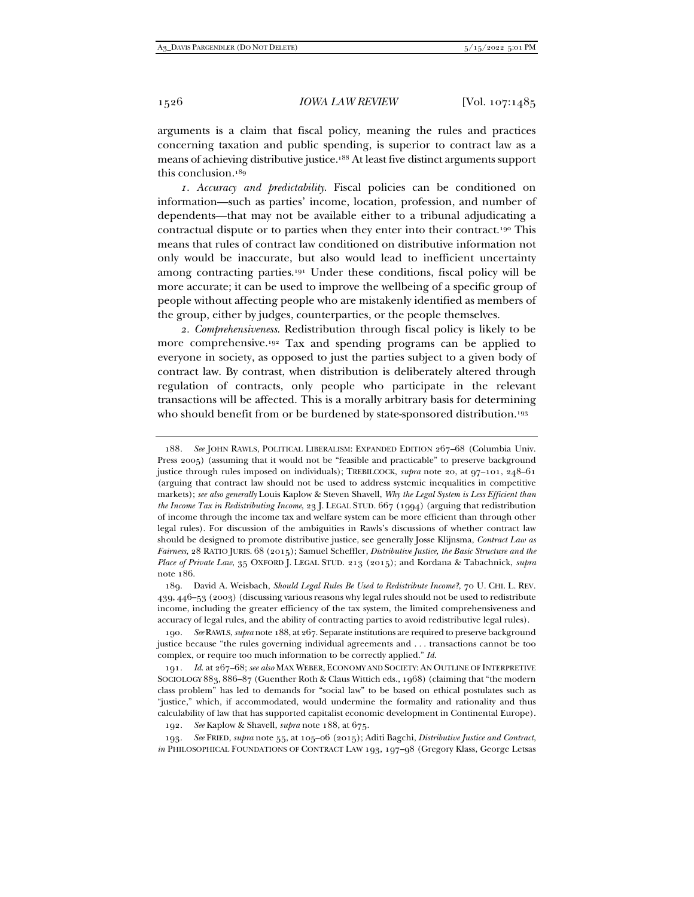arguments is a claim that fiscal policy, meaning the rules and practices concerning taxation and public spending, is superior to contract law as a means of achieving distributive justice.188 At least five distinct arguments support this conclusion.189

*1. Accuracy and predictability*. Fiscal policies can be conditioned on information—such as parties' income, location, profession, and number of dependents—that may not be available either to a tribunal adjudicating a contractual dispute or to parties when they enter into their contract.190 This means that rules of contract law conditioned on distributive information not only would be inaccurate, but also would lead to inefficient uncertainty among contracting parties.191 Under these conditions, fiscal policy will be more accurate; it can be used to improve the wellbeing of a specific group of people without affecting people who are mistakenly identified as members of the group, either by judges, counterparties, or the people themselves.

*2. Comprehensiveness*. Redistribution through fiscal policy is likely to be more comprehensive.192 Tax and spending programs can be applied to everyone in society, as opposed to just the parties subject to a given body of contract law. By contrast, when distribution is deliberately altered through regulation of contracts, only people who participate in the relevant transactions will be affected. This is a morally arbitrary basis for determining who should benefit from or be burdened by state-sponsored distribution.<sup>193</sup>

188*. See* JOHN RAWLS, POLITICAL LIBERALISM: EXPANDED EDITION 267–68 (Columbia Univ. Press 2005) (assuming that it would not be "feasible and practicable" to preserve background justice through rules imposed on individuals); TREBILCOCK, *supra* note 20, at 97–101, 248–61 (arguing that contract law should not be used to address systemic inequalities in competitive markets); *see also generally* Louis Kaplow & Steven Shavell, *Why the Legal System is Less Efficient than the Income Tax in Redistributing Income*, 23 J. LEGAL STUD. 667 (1994) (arguing that redistribution of income through the income tax and welfare system can be more efficient than through other legal rules). For discussion of the ambiguities in Rawls's discussions of whether contract law should be designed to promote distributive justice, see generally Josse Klijnsma, *Contract Law as Fairness*, 28 RATIO JURIS. 68 (2015); Samuel Scheffler, *Distributive Justice, the Basic Structure and the Place of Private Law*, 35 OXFORD J. LEGAL STUD. 213 (2015); and Kordana & Tabachnick, *supra*  note 186.

192*. See* Kaplow & Shavell, *supra* note 188, at 675.

193*. See* FRIED, *supra* note 55, at 105–06 (2015); Aditi Bagchi, *Distributive Justice and Contract*, *in* PHILOSOPHICAL FOUNDATIONS OF CONTRACT LAW 193, 197–98 (Gregory Klass, George Letsas

 <sup>189.</sup> David A. Weisbach, *Should Legal Rules Be Used to Redistribute Income?*, 70 U. CHI. L. REV. 439, 446–53 (2003) (discussing various reasons why legal rules should not be used to redistribute income, including the greater efficiency of the tax system, the limited comprehensiveness and accuracy of legal rules, and the ability of contracting parties to avoid redistributive legal rules).

<sup>190</sup>*. See* RAWLS, *supra* note 188, at 267. Separate institutions are required to preserve background justice because "the rules governing individual agreements and . . . transactions cannot be too complex, or require too much information to be correctly applied." *Id.*

<sup>191</sup>*. Id*. at 267–68; *see also* MAX WEBER, ECONOMY AND SOCIETY: AN OUTLINE OF INTERPRETIVE SOCIOLOGY 883, 886–87 (Guenther Roth & Claus Wittich eds., 1968) (claiming that "the modern class problem" has led to demands for "social law" to be based on ethical postulates such as "justice," which, if accommodated, would undermine the formality and rationality and thus calculability of law that has supported capitalist economic development in Continental Europe).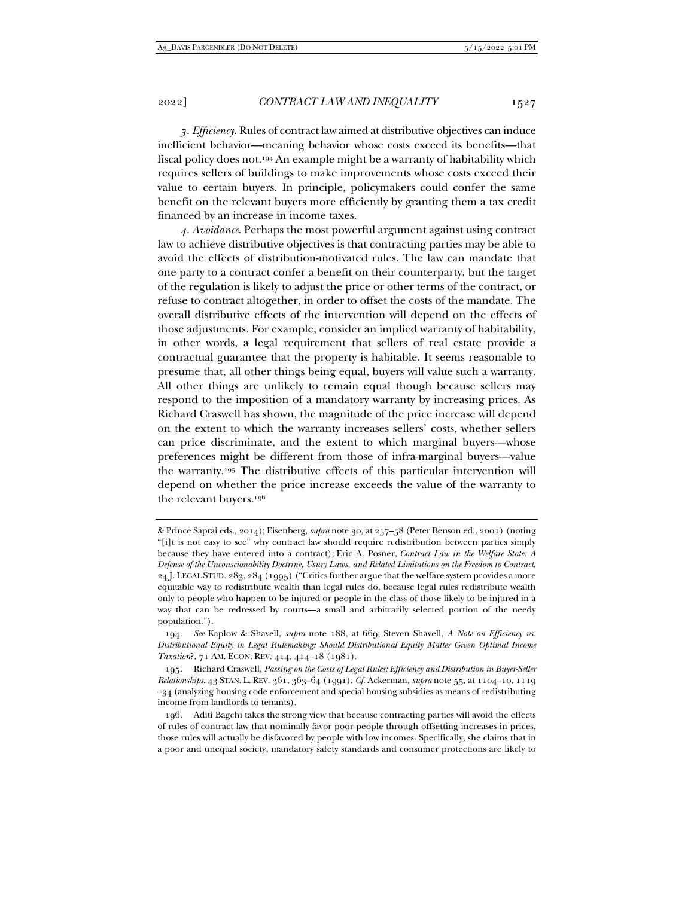*3. Efficiency*. Rules of contract law aimed at distributive objectives can induce inefficient behavior—meaning behavior whose costs exceed its benefits—that fiscal policy does not.194 An example might be a warranty of habitability which requires sellers of buildings to make improvements whose costs exceed their value to certain buyers. In principle, policymakers could confer the same benefit on the relevant buyers more efficiently by granting them a tax credit financed by an increase in income taxes.

*4. Avoidance*. Perhaps the most powerful argument against using contract law to achieve distributive objectives is that contracting parties may be able to avoid the effects of distribution-motivated rules. The law can mandate that one party to a contract confer a benefit on their counterparty, but the target of the regulation is likely to adjust the price or other terms of the contract, or refuse to contract altogether, in order to offset the costs of the mandate. The overall distributive effects of the intervention will depend on the effects of those adjustments. For example, consider an implied warranty of habitability, in other words, a legal requirement that sellers of real estate provide a contractual guarantee that the property is habitable. It seems reasonable to presume that, all other things being equal, buyers will value such a warranty. All other things are unlikely to remain equal though because sellers may respond to the imposition of a mandatory warranty by increasing prices. As Richard Craswell has shown, the magnitude of the price increase will depend on the extent to which the warranty increases sellers' costs, whether sellers can price discriminate, and the extent to which marginal buyers—whose preferences might be different from those of infra-marginal buyers—value the warranty.195 The distributive effects of this particular intervention will depend on whether the price increase exceeds the value of the warranty to the relevant buyers.196

<sup>&</sup>amp; Prince Saprai eds., 2014); Eisenberg, *supra* note 30, at 257–58 (Peter Benson ed., 2001) (noting "[i]t is not easy to see" why contract law should require redistribution between parties simply because they have entered into a contract); Eric A. Posner, *Contract Law in the Welfare State: A Defense of the Unconscionability Doctrine, Usury Laws, and Related Limitations on the Freedom to Contract*, 24 J. LEGAL STUD. 283, 284 (1995) ("Critics further argue that the welfare system provides a more equitable way to redistribute wealth than legal rules do, because legal rules redistribute wealth only to people who happen to be injured or people in the class of those likely to be injured in a way that can be redressed by courts—a small and arbitrarily selected portion of the needy population.").

<sup>194</sup>*. See* Kaplow & Shavell, *supra* note 188, at 669; Steven Shavell, *A Note on Efficiency vs. Distributional Equity in Legal Rulemaking: Should Distributional Equity Matter Given Optimal Income Taxation*?, 71 AM. ECON. REV. 414, 414–18 (1981).

 <sup>195.</sup> Richard Craswell, *Passing on the Costs of Legal Rules: Efficiency and Distribution in Buyer-Seller Relationships*, 43 STAN. L. REV. 361, 363–64 (1991). *Cf.* Ackerman, *supra* note 55, at 1104–10, 1119 –34 (analyzing housing code enforcement and special housing subsidies as means of redistributing income from landlords to tenants).

 <sup>196.</sup> Aditi Bagchi takes the strong view that because contracting parties will avoid the effects of rules of contract law that nominally favor poor people through offsetting increases in prices, those rules will actually be disfavored by people with low incomes. Specifically, she claims that in a poor and unequal society, mandatory safety standards and consumer protections are likely to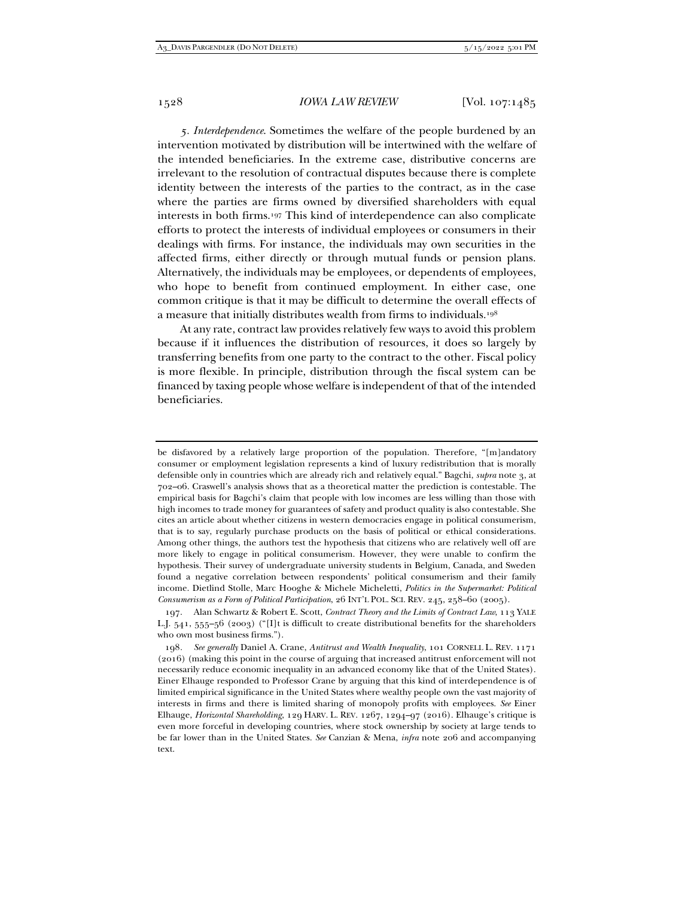*5. Interdependence*. Sometimes the welfare of the people burdened by an intervention motivated by distribution will be intertwined with the welfare of the intended beneficiaries. In the extreme case, distributive concerns are irrelevant to the resolution of contractual disputes because there is complete identity between the interests of the parties to the contract, as in the case where the parties are firms owned by diversified shareholders with equal interests in both firms.197 This kind of interdependence can also complicate efforts to protect the interests of individual employees or consumers in their dealings with firms. For instance, the individuals may own securities in the affected firms, either directly or through mutual funds or pension plans. Alternatively, the individuals may be employees, or dependents of employees, who hope to benefit from continued employment. In either case, one common critique is that it may be difficult to determine the overall effects of a measure that initially distributes wealth from firms to individuals.198

At any rate, contract law provides relatively few ways to avoid this problem because if it influences the distribution of resources, it does so largely by transferring benefits from one party to the contract to the other. Fiscal policy is more flexible. In principle, distribution through the fiscal system can be financed by taxing people whose welfare is independent of that of the intended beneficiaries.

be disfavored by a relatively large proportion of the population. Therefore, "[m]andatory consumer or employment legislation represents a kind of luxury redistribution that is morally defensible only in countries which are already rich and relatively equal." Bagchi, *supra* note 3, at 702–06. Craswell's analysis shows that as a theoretical matter the prediction is contestable. The empirical basis for Bagchi's claim that people with low incomes are less willing than those with high incomes to trade money for guarantees of safety and product quality is also contestable. She cites an article about whether citizens in western democracies engage in political consumerism, that is to say, regularly purchase products on the basis of political or ethical considerations. Among other things, the authors test the hypothesis that citizens who are relatively well off are more likely to engage in political consumerism. However, they were unable to confirm the hypothesis. Their survey of undergraduate university students in Belgium, Canada, and Sweden found a negative correlation between respondents' political consumerism and their family income. Dietlind Stolle, Marc Hooghe & Michele Micheletti, *Politics in the Supermarket: Political Consumerism as a Form of Political Participation*, 26 INT'L POL. SCI. REV. 245, 258–60 (2005).

198*. See generally* Daniel A. Crane, *Antitrust and Wealth Inequality*, 101 CORNELL L. REV. 1171 (2016) (making this point in the course of arguing that increased antitrust enforcement will not necessarily reduce economic inequality in an advanced economy like that of the United States). Einer Elhauge responded to Professor Crane by arguing that this kind of interdependence is of limited empirical significance in the United States where wealthy people own the vast majority of interests in firms and there is limited sharing of monopoly profits with employees. *See* Einer Elhauge, *Horizontal Shareholding*, 129 HARV. L. REV. 1267, 1294–97 (2016). Elhauge's critique is even more forceful in developing countries, where stock ownership by society at large tends to be far lower than in the United States. *See* Canzian & Mena, *infra* note 206 and accompanying text.

 <sup>197.</sup> Alan Schwartz & Robert E. Scott, *Contract Theory and the Limits of Contract Law*, 113 YALE L.J. 541, 555–56 (2003) ("[I]t is difficult to create distributional benefits for the shareholders who own most business firms.").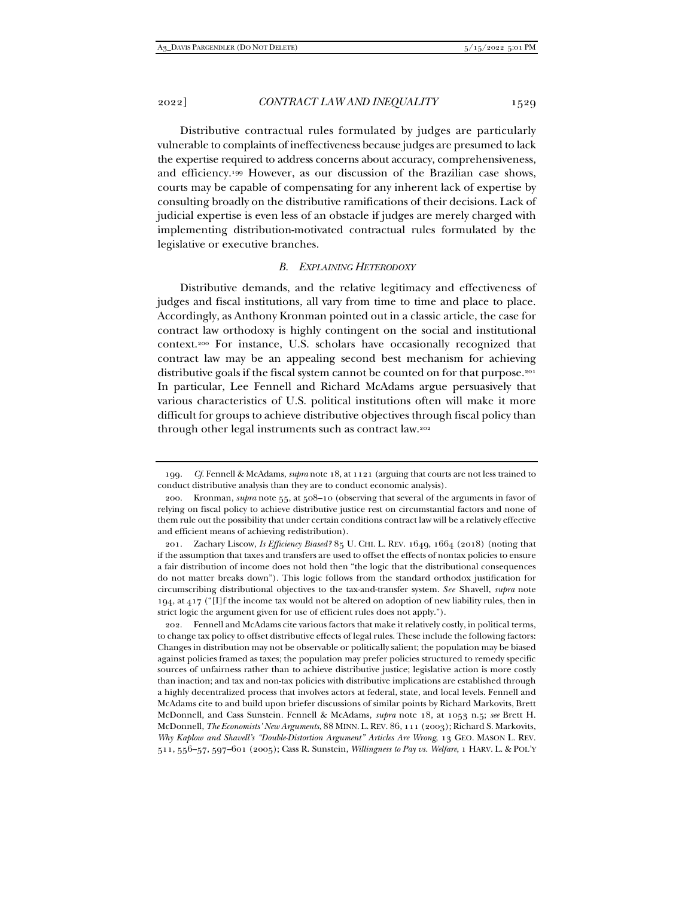Distributive contractual rules formulated by judges are particularly vulnerable to complaints of ineffectiveness because judges are presumed to lack the expertise required to address concerns about accuracy, comprehensiveness, and efficiency.199 However, as our discussion of the Brazilian case shows, courts may be capable of compensating for any inherent lack of expertise by consulting broadly on the distributive ramifications of their decisions. Lack of judicial expertise is even less of an obstacle if judges are merely charged with implementing distribution-motivated contractual rules formulated by the legislative or executive branches.

# *B. EXPLAINING HETERODOXY*

Distributive demands, and the relative legitimacy and effectiveness of judges and fiscal institutions, all vary from time to time and place to place. Accordingly, as Anthony Kronman pointed out in a classic article, the case for contract law orthodoxy is highly contingent on the social and institutional context.200 For instance, U.S. scholars have occasionally recognized that contract law may be an appealing second best mechanism for achieving distributive goals if the fiscal system cannot be counted on for that purpose.201 In particular, Lee Fennell and Richard McAdams argue persuasively that various characteristics of U.S. political institutions often will make it more difficult for groups to achieve distributive objectives through fiscal policy than through other legal instruments such as contract law.202

<sup>199</sup>*. Cf.* Fennell & McAdams, *supra* note 18, at 1121 (arguing that courts are not less trained to conduct distributive analysis than they are to conduct economic analysis).

 <sup>200.</sup> Kronman, *supra* note 55, at 508–10 (observing that several of the arguments in favor of relying on fiscal policy to achieve distributive justice rest on circumstantial factors and none of them rule out the possibility that under certain conditions contract law will be a relatively effective and efficient means of achieving redistribution).

 <sup>201.</sup> Zachary Liscow, *Is Efficiency Biased?* 85 U. CHI. L. REV. 1649, 1664 (2018) (noting that if the assumption that taxes and transfers are used to offset the effects of nontax policies to ensure a fair distribution of income does not hold then "the logic that the distributional consequences do not matter breaks down"). This logic follows from the standard orthodox justification for circumscribing distributional objectives to the tax-and-transfer system. *See* Shavell, *supra* note 194, at 417 ("[I]f the income tax would not be altered on adoption of new liability rules, then in strict logic the argument given for use of efficient rules does not apply.").

 <sup>202.</sup> Fennell and McAdams cite various factors that make it relatively costly, in political terms, to change tax policy to offset distributive effects of legal rules. These include the following factors: Changes in distribution may not be observable or politically salient; the population may be biased against policies framed as taxes; the population may prefer policies structured to remedy specific sources of unfairness rather than to achieve distributive justice; legislative action is more costly than inaction; and tax and non-tax policies with distributive implications are established through a highly decentralized process that involves actors at federal, state, and local levels. Fennell and McAdams cite to and build upon briefer discussions of similar points by Richard Markovits, Brett McDonnell, and Cass Sunstein. Fennell & McAdams, *supra* note 18, at 1053 n.5; *see* Brett H. McDonnell, *The Economists' New Arguments*, 88 MINN. L.REV. 86, 111 (2003); Richard S. Markovits, *Why Kaplow and Shavell's "Double-Distortion Argument" Articles Are Wrong*, 13 GEO. MASON L. REV. 511, 556–57, 597–601 (2005); Cass R. Sunstein, *Willingness to Pay vs. Welfare*, 1 HARV. L. & POL'Y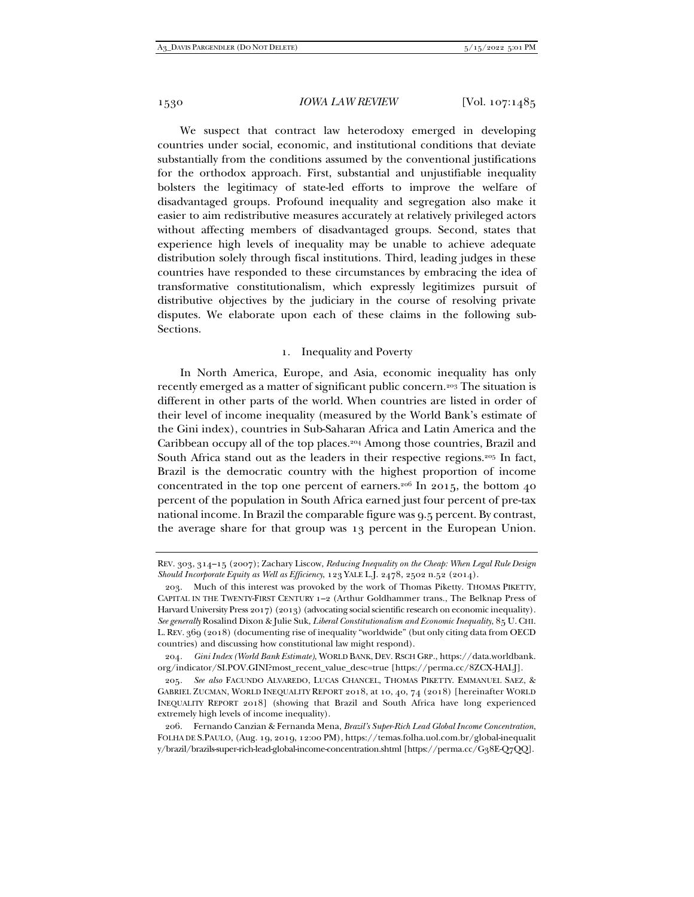We suspect that contract law heterodoxy emerged in developing countries under social, economic, and institutional conditions that deviate substantially from the conditions assumed by the conventional justifications for the orthodox approach. First, substantial and unjustifiable inequality bolsters the legitimacy of state-led efforts to improve the welfare of disadvantaged groups. Profound inequality and segregation also make it easier to aim redistributive measures accurately at relatively privileged actors without affecting members of disadvantaged groups. Second, states that experience high levels of inequality may be unable to achieve adequate distribution solely through fiscal institutions. Third, leading judges in these countries have responded to these circumstances by embracing the idea of transformative constitutionalism, which expressly legitimizes pursuit of distributive objectives by the judiciary in the course of resolving private disputes. We elaborate upon each of these claims in the following sub-Sections.

# 1. Inequality and Poverty

In North America, Europe, and Asia, economic inequality has only recently emerged as a matter of significant public concern.203 The situation is different in other parts of the world. When countries are listed in order of their level of income inequality (measured by the World Bank's estimate of the Gini index), countries in Sub-Saharan Africa and Latin America and the Caribbean occupy all of the top places.204 Among those countries, Brazil and South Africa stand out as the leaders in their respective regions.205 In fact, Brazil is the democratic country with the highest proportion of income concentrated in the top one percent of earners.<sup>206</sup> In 2015, the bottom  $40$ percent of the population in South Africa earned just four percent of pre-tax national income. In Brazil the comparable figure was 9.5 percent. By contrast, the average share for that group was 13 percent in the European Union.

REV. 303, 314–15 (2007); Zachary Liscow, *Reducing Inequality on the Cheap: When Legal Rule Design Should Incorporate Equity as Well as Efficiency*, 123 YALE L.J. 2478, 2502 n.52 (2014).

 <sup>203.</sup> Much of this interest was provoked by the work of Thomas Piketty. THOMAS PIKETTY, CAPITAL IN THE TWENTY-FIRST CENTURY 1–2 (Arthur Goldhammer trans., The Belknap Press of Harvard University Press 2017) (2013) (advocating social scientific research on economic inequality). *See generally* Rosalind Dixon & Julie Suk, *Liberal Constitutionalism and Economic Inequality*, 85 U.CHI. L. REV. 369 (2018) (documenting rise of inequality "worldwide" (but only citing data from OECD countries) and discussing how constitutional law might respond).

<sup>204</sup>*. Gini Index (World Bank Estimate)*, WORLD BANK, DEV. RSCH GRP., https://data.worldbank. org/indicator/SI.POV.GINI?most\_recent\_value\_desc=true [https://perma.cc/8ZCX-HALJ].

<sup>205</sup>*. See also* FACUNDO ALVAREDO, LUCAS CHANCEL, THOMAS PIKETTY. EMMANUEL SAEZ, & GABRIEL ZUCMAN, WORLD INEQUALITY REPORT 2018, at 10, 40, 74 (2018) [hereinafter WORLD INEQUALITY REPORT 2018] (showing that Brazil and South Africa have long experienced extremely high levels of income inequality).

 <sup>206.</sup> Fernando Canzian & Fernanda Mena, *Brazil's Super-Rich Lead Global Income Concentration*, FOLHA DE S.PAULO, (Aug. 19, 2019, 12:00 PM), https://temas.folha.uol.com.br/global-inequalit y/brazil/brazils-super-rich-lead-global-income-concentration.shtml [https://perma.cc/G38E-Q7QQ].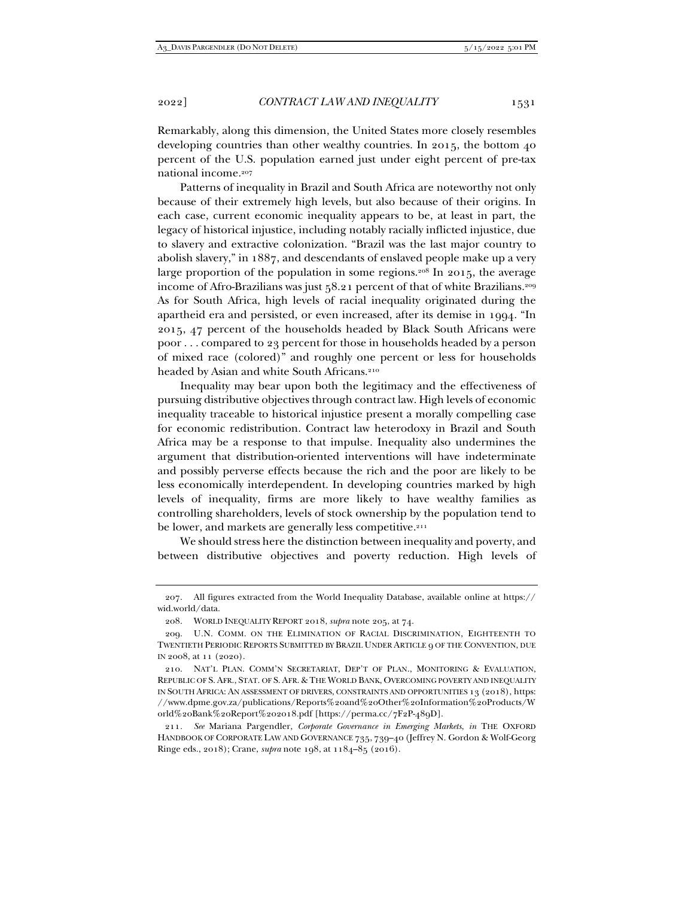Remarkably, along this dimension, the United States more closely resembles developing countries than other wealthy countries. In 2015, the bottom 40 percent of the U.S. population earned just under eight percent of pre-tax national income.207

Patterns of inequality in Brazil and South Africa are noteworthy not only because of their extremely high levels, but also because of their origins. In each case, current economic inequality appears to be, at least in part, the legacy of historical injustice, including notably racially inflicted injustice, due to slavery and extractive colonization. "Brazil was the last major country to abolish slavery," in 1887, and descendants of enslaved people make up a very large proportion of the population in some regions.<sup>208</sup> In 2015, the average income of Afro-Brazilians was just 58.21 percent of that of white Brazilians.<sup>209</sup> As for South Africa, high levels of racial inequality originated during the apartheid era and persisted, or even increased, after its demise in 1994. "In 2015, 47 percent of the households headed by Black South Africans were poor . . . compared to 23 percent for those in households headed by a person of mixed race (colored)" and roughly one percent or less for households headed by Asian and white South Africans.210

Inequality may bear upon both the legitimacy and the effectiveness of pursuing distributive objectives through contract law. High levels of economic inequality traceable to historical injustice present a morally compelling case for economic redistribution. Contract law heterodoxy in Brazil and South Africa may be a response to that impulse. Inequality also undermines the argument that distribution-oriented interventions will have indeterminate and possibly perverse effects because the rich and the poor are likely to be less economically interdependent. In developing countries marked by high levels of inequality, firms are more likely to have wealthy families as controlling shareholders, levels of stock ownership by the population tend to be lower, and markets are generally less competitive.<sup>211</sup>

We should stress here the distinction between inequality and poverty, and between distributive objectives and poverty reduction. High levels of

 <sup>207.</sup> All figures extracted from the World Inequality Database, available online at https:// wid.world/data.

 <sup>208.</sup> WORLD INEQUALITY REPORT 2018, *supra* note 205, at 74.

 <sup>209.</sup> U.N. COMM. ON THE ELIMINATION OF RACIAL DISCRIMINATION, EIGHTEENTH TO TWENTIETH PERIODIC REPORTS SUBMITTED BY BRAZIL UNDER ARTICLE 9 OF THE CONVENTION, DUE IN 2008, at 11 (2020).

 <sup>210.</sup> NAT'L PLAN. COMM'N SECRETARIAT, DEP'T OF PLAN., MONITORING & EVALUATION, REPUBLIC OF S. AFR., STAT. OF S. AFR. & THE WORLD BANK, OVERCOMING POVERTY AND INEQUALITY IN SOUTH AFRICA: AN ASSESSMENT OF DRIVERS, CONSTRAINTS AND OPPORTUNITIES 13 (2018), https: //www.dpme.gov.za/publications/Reports%20and%20Other%20Information%20Products/W orld%20Bank%20Report%202018.pdf [https://perma.cc/7F2P-489D].

<sup>211</sup>*. See* Mariana Pargendler, *Corporate Governance in Emerging Markets*, *in* THE OXFORD HANDBOOK OF CORPORATE LAW AND GOVERNANCE 735, 739–40 (Jeffrey N. Gordon & Wolf-Georg Ringe eds., 2018); Crane, *supra* note 198, at 1184–85 (2016).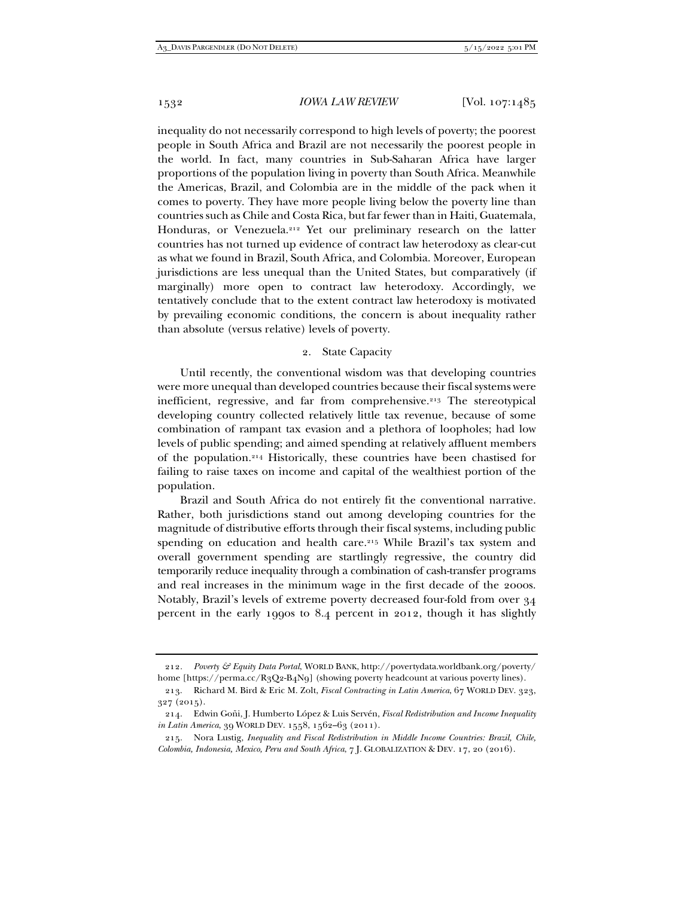inequality do not necessarily correspond to high levels of poverty; the poorest people in South Africa and Brazil are not necessarily the poorest people in the world. In fact, many countries in Sub-Saharan Africa have larger proportions of the population living in poverty than South Africa. Meanwhile the Americas, Brazil, and Colombia are in the middle of the pack when it comes to poverty. They have more people living below the poverty line than countries such as Chile and Costa Rica, but far fewer than in Haiti, Guatemala, Honduras, or Venezuela.212 Yet our preliminary research on the latter countries has not turned up evidence of contract law heterodoxy as clear-cut as what we found in Brazil, South Africa, and Colombia. Moreover, European jurisdictions are less unequal than the United States, but comparatively (if marginally) more open to contract law heterodoxy. Accordingly, we tentatively conclude that to the extent contract law heterodoxy is motivated by prevailing economic conditions, the concern is about inequality rather than absolute (versus relative) levels of poverty.

# 2. State Capacity

Until recently, the conventional wisdom was that developing countries were more unequal than developed countries because their fiscal systems were inefficient, regressive, and far from comprehensive.213 The stereotypical developing country collected relatively little tax revenue, because of some combination of rampant tax evasion and a plethora of loopholes; had low levels of public spending; and aimed spending at relatively affluent members of the population.214 Historically, these countries have been chastised for failing to raise taxes on income and capital of the wealthiest portion of the population.

Brazil and South Africa do not entirely fit the conventional narrative. Rather, both jurisdictions stand out among developing countries for the magnitude of distributive efforts through their fiscal systems, including public spending on education and health care.<sup>215</sup> While Brazil's tax system and overall government spending are startlingly regressive, the country did temporarily reduce inequality through a combination of cash-transfer programs and real increases in the minimum wage in the first decade of the 2000s. Notably, Brazil's levels of extreme poverty decreased four-fold from over 34 percent in the early 1990s to 8.4 percent in 2012, though it has slightly

<sup>212</sup>*. Poverty & Equity Data Portal*, WORLD BANK, http://povertydata.worldbank.org/poverty/ home [https://perma.cc/R3Q2-B4N9] (showing poverty headcount at various poverty lines).

 <sup>213.</sup> Richard M. Bird & Eric M. Zolt, *Fiscal Contracting in Latin America*, 67 WORLD DEV. 323, 327 (2015).

 <sup>214.</sup> Edwin Goñi, J. Humberto López & Luis Servén, *Fiscal Redistribution and Income Inequality in Latin America*, 39 WORLD DEV. 1558, 1562–63 (2011).

 <sup>215.</sup> Nora Lustig, *Inequality and Fiscal Redistribution in Middle Income Countries: Brazil, Chile, Colombia, Indonesia, Mexico, Peru and South Africa*, 7 J. GLOBALIZATION & DEV*.* 17, 20 (2016).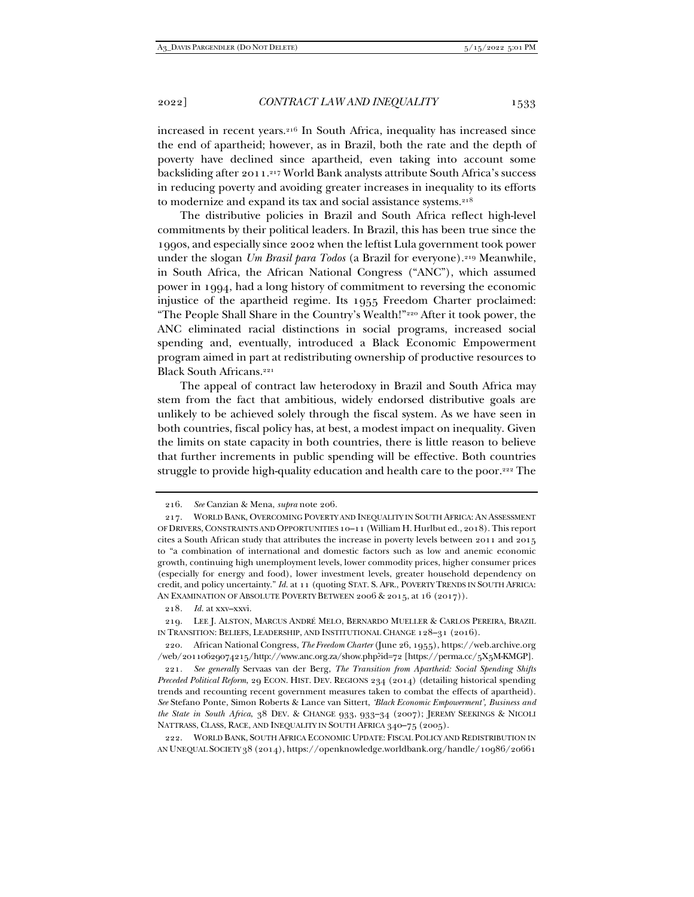increased in recent years.216 In South Africa, inequality has increased since the end of apartheid; however, as in Brazil, both the rate and the depth of poverty have declined since apartheid, even taking into account some backsliding after 2011.217 World Bank analysts attribute South Africa's success in reducing poverty and avoiding greater increases in inequality to its efforts to modernize and expand its tax and social assistance systems.<sup>218</sup>

The distributive policies in Brazil and South Africa reflect high-level commitments by their political leaders. In Brazil, this has been true since the 1990s, and especially since 2002 when the leftist Lula government took power under the slogan *Um Brasil para Todos* (a Brazil for everyone).219 Meanwhile, in South Africa, the African National Congress ("ANC"), which assumed power in 1994, had a long history of commitment to reversing the economic injustice of the apartheid regime. Its 1955 Freedom Charter proclaimed: "The People Shall Share in the Country's Wealth!"220 After it took power, the ANC eliminated racial distinctions in social programs, increased social spending and, eventually, introduced a Black Economic Empowerment program aimed in part at redistributing ownership of productive resources to Black South Africans.<sup>221</sup>

The appeal of contract law heterodoxy in Brazil and South Africa may stem from the fact that ambitious, widely endorsed distributive goals are unlikely to be achieved solely through the fiscal system. As we have seen in both countries, fiscal policy has, at best, a modest impact on inequality. Given the limits on state capacity in both countries, there is little reason to believe that further increments in public spending will be effective. Both countries struggle to provide high-quality education and health care to the poor.<sup>222</sup> The

 <sup>216.</sup> *See* Canzian & Mena, *supra* note 206.

 <sup>217.</sup> WORLD BANK, OVERCOMING POVERTY AND INEQUALITY IN SOUTH AFRICA: AN ASSESSMENT OF DRIVERS,CONSTRAINTS AND OPPORTUNITIES 10–11 (William H. Hurlbut ed., 2018). This report cites a South African study that attributes the increase in poverty levels between 2011 and 2015 to "a combination of international and domestic factors such as low and anemic economic growth, continuing high unemployment levels, lower commodity prices, higher consumer prices (especially for energy and food), lower investment levels, greater household dependency on credit, and policy uncertainty." *Id.* at 11 (quoting STAT. S. AFR., POVERTY TRENDS IN SOUTH AFRICA: AN EXAMINATION OF ABSOLUTE POVERTY BETWEEN 2006 & 2015, at 16 (2017)).

<sup>218</sup>*. Id.* at xxv–xxvi.

 <sup>219.</sup> LEE J. ALSTON, MARCUS ANDRÉ MELO, BERNARDO MUELLER & CARLOS PEREIRA, BRAZIL IN TRANSITION: BELIEFS, LEADERSHIP, AND INSTITUTIONAL CHANGE 128–31 (2016).

 <sup>220.</sup> African National Congress, *The Freedom Charter* (June 26, 1955), https://web.archive.org /web/20110629074215/http://www.anc.org.za/show.php?id=72 [https://perma.cc/5X5M-KMGP].

<sup>221</sup>*. See generally* Servaas van der Berg, *The Transition from Apartheid: Social Spending Shifts Preceded Political Reform*, 29 ECON. HIST. DEV. REGIONS 234 (2014) (detailing historical spending trends and recounting recent government measures taken to combat the effects of apartheid). *See* Stefano Ponte, Simon Roberts & Lance van Sittert, *'Black Economic Empowerment', Business and the State in South Africa*, 38 DEV. & CHANGE 933, 933–34 (2007); JEREMY SEEKINGS & NICOLI NATTRASS, CLASS, RACE, AND INEQUALITY IN SOUTH AFRICA 340–75 (2005).

 <sup>222.</sup> WORLD BANK, SOUTH AFRICA ECONOMIC UPDATE: FISCAL POLICY AND REDISTRIBUTION IN AN UNEQUAL SOCIETY 38 (2014), https://openknowledge.worldbank.org/handle/10986/20661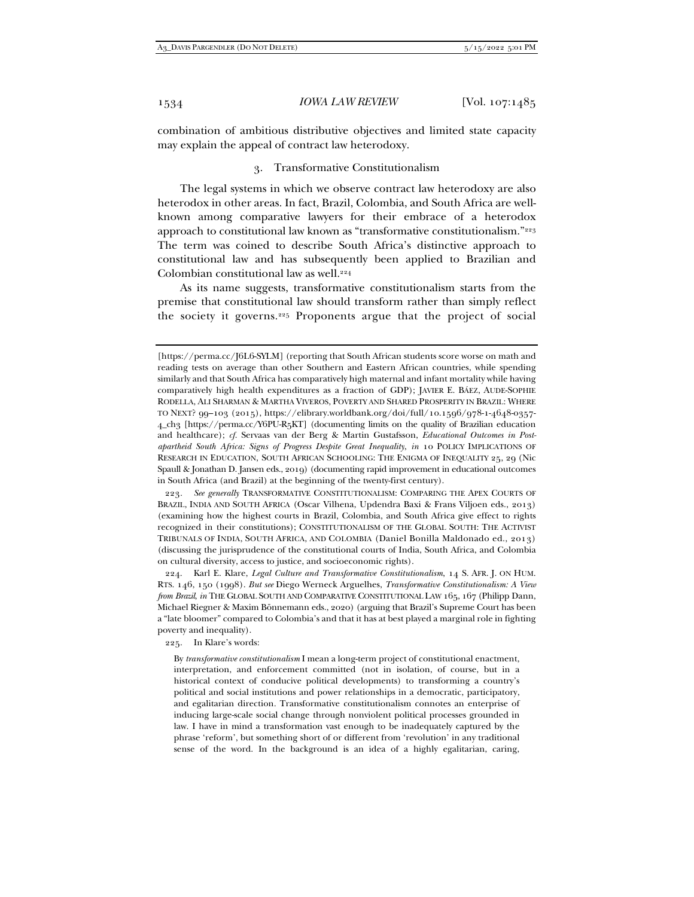combination of ambitious distributive objectives and limited state capacity may explain the appeal of contract law heterodoxy.

#### 3. Transformative Constitutionalism

The legal systems in which we observe contract law heterodoxy are also heterodox in other areas. In fact, Brazil, Colombia, and South Africa are wellknown among comparative lawyers for their embrace of a heterodox approach to constitutional law known as "transformative constitutionalism."<sup>223</sup> The term was coined to describe South Africa's distinctive approach to constitutional law and has subsequently been applied to Brazilian and Colombian constitutional law as well.224

As its name suggests, transformative constitutionalism starts from the premise that constitutional law should transform rather than simply reflect the society it governs.225 Proponents argue that the project of social

223*. See generally* TRANSFORMATIVE CONSTITUTIONALISM: COMPARING THE APEX COURTS OF BRAZIL, INDIA AND SOUTH AFRICA (Oscar Vilhena, Updendra Baxi & Frans Viljoen eds., 2013) (examining how the highest courts in Brazil, Colombia, and South Africa give effect to rights recognized in their constitutions); CONSTITUTIONALISM OF THE GLOBAL SOUTH: THE ACTIVIST TRIBUNALS OF INDIA, SOUTH AFRICA, AND COLOMBIA (Daniel Bonilla Maldonado ed., 2013) (discussing the jurisprudence of the constitutional courts of India, South Africa, and Colombia on cultural diversity, access to justice, and socioeconomic rights).

 224. Karl E. Klare, *Legal Culture and Transformative Constitutionalism*, 14 S. AFR. J. ON HUM. RTS. 146, 150 (1998). *But see* Diego Werneck Arguelhes, *Transformative Constitutionalism: A View from Brazil*, *in* THE GLOBAL SOUTH AND COMPARATIVE CONSTITUTIONAL LAW 165, 167 (Philipp Dann, Michael Riegner & Maxim Bönnemann eds., 2020) (arguing that Brazil's Supreme Court has been a "late bloomer" compared to Colombia's and that it has at best played a marginal role in fighting poverty and inequality).

225. In Klare's words:

By *transformative constitutionalism* I mean a long-term project of constitutional enactment, interpretation, and enforcement committed (not in isolation, of course, but in a historical context of conducive political developments) to transforming a country's political and social institutions and power relationships in a democratic, participatory, and egalitarian direction. Transformative constitutionalism connotes an enterprise of inducing large-scale social change through nonviolent political processes grounded in law. I have in mind a transformation vast enough to be inadequately captured by the phrase 'reform', but something short of or different from 'revolution' in any traditional sense of the word. In the background is an idea of a highly egalitarian, caring,

<sup>[</sup>https://perma.cc/J6L6-SYLM] (reporting that South African students score worse on math and reading tests on average than other Southern and Eastern African countries, while spending similarly and that South Africa has comparatively high maternal and infant mortality while having comparatively high health expenditures as a fraction of GDP); JAVIER E. BÁEZ, AUDE-SOPHIE RODELLA, ALI SHARMAN & MARTHA VIVEROS, POVERTY AND SHARED PROSPERITY IN BRAZIL: WHERE TO NEXT? 99–103 (2015), https://elibrary.worldbank.org/doi/full/10.1596/978-1-4648-0357- 4\_ch3 [https://perma.cc/Y6PU-R5KT] (documenting limits on the quality of Brazilian education and healthcare); *cf.* Servaas van der Berg & Martin Gustafsson, *Educational Outcomes in Postapartheid South Africa: Signs of Progress Despite Great Inequality*, *in* 10 POLICY IMPLICATIONS OF RESEARCH IN EDUCATION, SOUTH AFRICAN SCHOOLING: THE ENIGMA OF INEQUALITY 25, 29 (Nic Spaull & Jonathan D. Jansen eds., 2019) (documenting rapid improvement in educational outcomes in South Africa (and Brazil) at the beginning of the twenty-first century).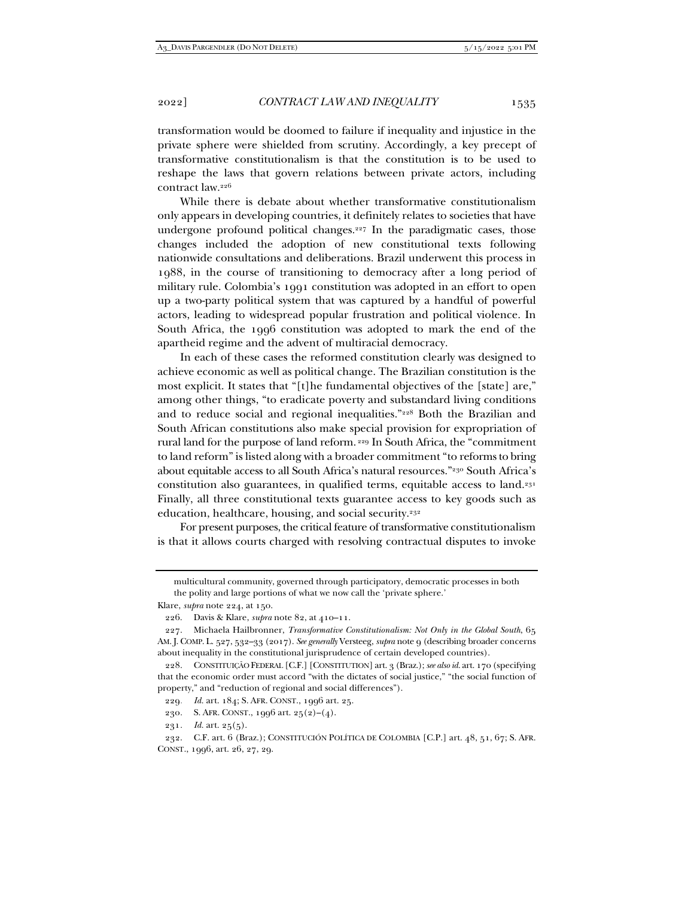transformation would be doomed to failure if inequality and injustice in the private sphere were shielded from scrutiny. Accordingly, a key precept of transformative constitutionalism is that the constitution is to be used to reshape the laws that govern relations between private actors, including contract law.226

While there is debate about whether transformative constitutionalism only appears in developing countries, it definitely relates to societies that have undergone profound political changes.<sup>227</sup> In the paradigmatic cases, those changes included the adoption of new constitutional texts following nationwide consultations and deliberations. Brazil underwent this process in 1988, in the course of transitioning to democracy after a long period of military rule. Colombia's 1991 constitution was adopted in an effort to open up a two-party political system that was captured by a handful of powerful actors, leading to widespread popular frustration and political violence. In South Africa, the 1996 constitution was adopted to mark the end of the apartheid regime and the advent of multiracial democracy.

In each of these cases the reformed constitution clearly was designed to achieve economic as well as political change. The Brazilian constitution is the most explicit. It states that "[t]he fundamental objectives of the [state] are," among other things, "to eradicate poverty and substandard living conditions and to reduce social and regional inequalities."228 Both the Brazilian and South African constitutions also make special provision for expropriation of rural land for the purpose of land reform. 229 In South Africa, the "commitment to land reform" is listed along with a broader commitment "to reforms to bring about equitable access to all South Africa's natural resources."230 South Africa's constitution also guarantees, in qualified terms, equitable access to land.231 Finally, all three constitutional texts guarantee access to key goods such as education, healthcare, housing, and social security.<sup>232</sup>

For present purposes, the critical feature of transformative constitutionalism is that it allows courts charged with resolving contractual disputes to invoke

multicultural community, governed through participatory, democratic processes in both the polity and large portions of what we now call the 'private sphere.'

Klare, *supra* note 224, at 150.

 <sup>226.</sup> Davis & Klare, *supra* note 82, at 410–11.

 <sup>227.</sup> Michaela Hailbronner, *Transformative Constitutionalism: Not Only in the Global South*, 65 AM. J. COMP. L. 527, 532–33 (2017). *See generally* Versteeg, *supra* note 9 (describing broader concerns about inequality in the constitutional jurisprudence of certain developed countries).

 <sup>228.</sup> CONSTITUIÇÃO FEDERAL [C.F.] [CONSTITUTION] art. 3 (Braz.); *see also id.* art. 170 (specifying that the economic order must accord "with the dictates of social justice," "the social function of property," and "reduction of regional and social differences").

<sup>229</sup>*. Id.* art. 184; S. AFR. CONST., 1996 art. 25.

<sup>230</sup>*.* S. AFR. CONST., 1996 art. 25(2)–(4).

<sup>231</sup>*. Id.* art. 25(5).

 <sup>232.</sup> C.F. art. 6 (Braz.); CONSTITUCIÓN POLÍTICA DE COLOMBIA [C.P.] art. 48, 51, 67; S. AFR. CONST., 1996, art. 26, 27, 29.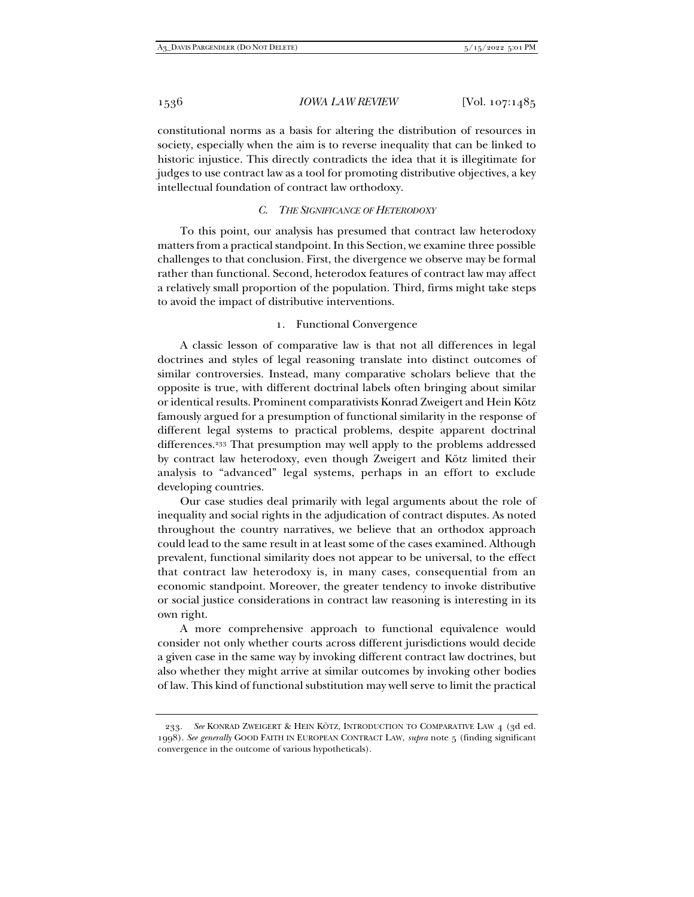constitutional norms as a basis for altering the distribution of resources in society, especially when the aim is to reverse inequality that can be linked to historic injustice. This directly contradicts the idea that it is illegitimate for judges to use contract law as a tool for promoting distributive objectives, a key intellectual foundation of contract law orthodoxy.

# *C. THE SIGNIFICANCE OF HETERODOXY*

To this point, our analysis has presumed that contract law heterodoxy matters from a practical standpoint. In this Section, we examine three possible challenges to that conclusion. First, the divergence we observe may be formal rather than functional. Second, heterodox features of contract law may affect a relatively small proportion of the population. Third, firms might take steps to avoid the impact of distributive interventions.

#### 1. Functional Convergence

A classic lesson of comparative law is that not all differences in legal doctrines and styles of legal reasoning translate into distinct outcomes of similar controversies. Instead, many comparative scholars believe that the opposite is true, with different doctrinal labels often bringing about similar or identical results. Prominent comparativists Konrad Zweigert and Hein Kötz famously argued for a presumption of functional similarity in the response of different legal systems to practical problems, despite apparent doctrinal differences.233 That presumption may well apply to the problems addressed by contract law heterodoxy, even though Zweigert and Kötz limited their analysis to "advanced" legal systems, perhaps in an effort to exclude developing countries.

Our case studies deal primarily with legal arguments about the role of inequality and social rights in the adjudication of contract disputes. As noted throughout the country narratives, we believe that an orthodox approach could lead to the same result in at least some of the cases examined. Although prevalent, functional similarity does not appear to be universal, to the effect that contract law heterodoxy is, in many cases, consequential from an economic standpoint. Moreover, the greater tendency to invoke distributive or social justice considerations in contract law reasoning is interesting in its own right.

A more comprehensive approach to functional equivalence would consider not only whether courts across different jurisdictions would decide a given case in the same way by invoking different contract law doctrines, but also whether they might arrive at similar outcomes by invoking other bodies of law. This kind of functional substitution may well serve to limit the practical

 <sup>233.</sup> *See* KONRAD ZWEIGERT & HEIN KÖTZ, INTRODUCTION TO COMPARATIVE LAW 4 (3d ed. 1998). *See generally* GOOD FAITH IN EUROPEAN CONTRACT LAW, *supra* note 5 (finding significant convergence in the outcome of various hypotheticals).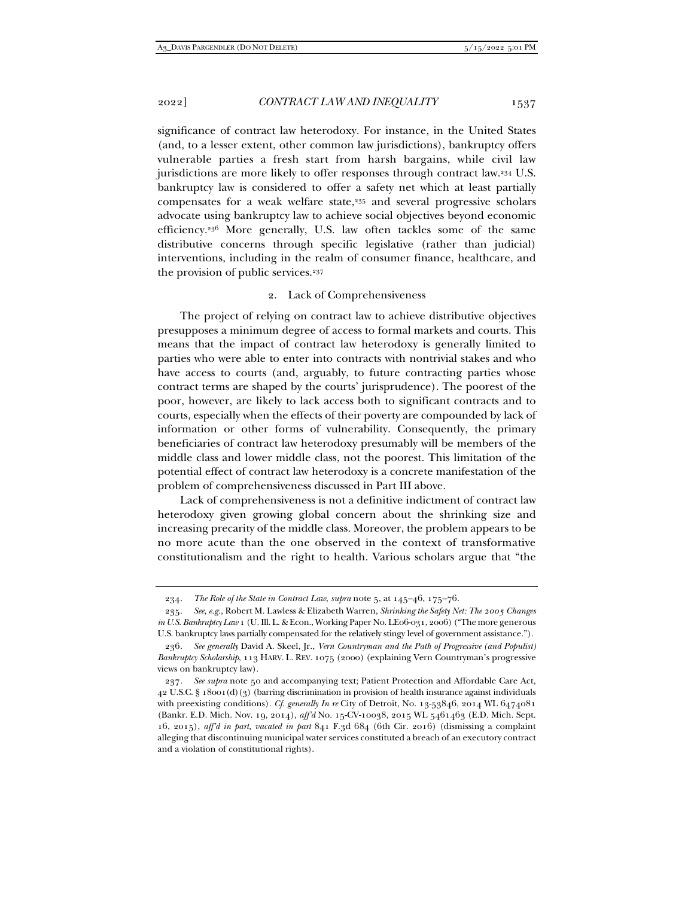significance of contract law heterodoxy. For instance, in the United States (and, to a lesser extent, other common law jurisdictions), bankruptcy offers vulnerable parties a fresh start from harsh bargains, while civil law jurisdictions are more likely to offer responses through contract law.234 U.S. bankruptcy law is considered to offer a safety net which at least partially compensates for a weak welfare state,<sup>235</sup> and several progressive scholars advocate using bankruptcy law to achieve social objectives beyond economic efficiency.236 More generally, U.S. law often tackles some of the same distributive concerns through specific legislative (rather than judicial) interventions, including in the realm of consumer finance, healthcare, and the provision of public services.<sup>237</sup>

#### 2. Lack of Comprehensiveness

The project of relying on contract law to achieve distributive objectives presupposes a minimum degree of access to formal markets and courts. This means that the impact of contract law heterodoxy is generally limited to parties who were able to enter into contracts with nontrivial stakes and who have access to courts (and, arguably, to future contracting parties whose contract terms are shaped by the courts' jurisprudence). The poorest of the poor, however, are likely to lack access both to significant contracts and to courts, especially when the effects of their poverty are compounded by lack of information or other forms of vulnerability. Consequently, the primary beneficiaries of contract law heterodoxy presumably will be members of the middle class and lower middle class, not the poorest. This limitation of the potential effect of contract law heterodoxy is a concrete manifestation of the problem of comprehensiveness discussed in Part III above.

Lack of comprehensiveness is not a definitive indictment of contract law heterodoxy given growing global concern about the shrinking size and increasing precarity of the middle class. Moreover, the problem appears to be no more acute than the one observed in the context of transformative constitutionalism and the right to health. Various scholars argue that "the

<sup>234</sup>*. The Role of the State in Contract Law*, *supra* note 5, at 145–46, 175–76.

<sup>235</sup>*. See, e.g.*, Robert M. Lawless & Elizabeth Warren, *Shrinking the Safety Net: The 2005 Changes in U.S. Bankruptcy Law* 1 (U. Ill. L. & Econ., Working Paper No. LE06-031, 2006) ("The more generous U.S. bankruptcy laws partially compensated for the relatively stingy level of government assistance.").

<sup>236</sup>*. See generally* David A. Skeel, Jr., *Vern Countryman and the Path of Progressive (and Populist) Bankruptcy Scholarship*, 113 HARV. L. REV. 1075 (2000) (explaining Vern Countryman's progressive views on bankruptcy law).

<sup>237</sup>*. See supra* note 50 and accompanying text; Patient Protection and Affordable Care Act,  $42$  U.S.C. § 18001(d)(3) (barring discrimination in provision of health insurance against individuals with preexisting conditions). *Cf. generally In re* City of Detroit, No. 13-53846, 2014 WL 6474081 (Bankr. E.D. Mich. Nov. 19, 2014), *aff'd* No. 15-CV-10038, 2015 WL 5461463 (E.D. Mich. Sept. 16, 2015), *aff'd in part, vacated in part* 841 F.3d 684 (6th Cir. 2016) (dismissing a complaint alleging that discontinuing municipal water services constituted a breach of an executory contract and a violation of constitutional rights).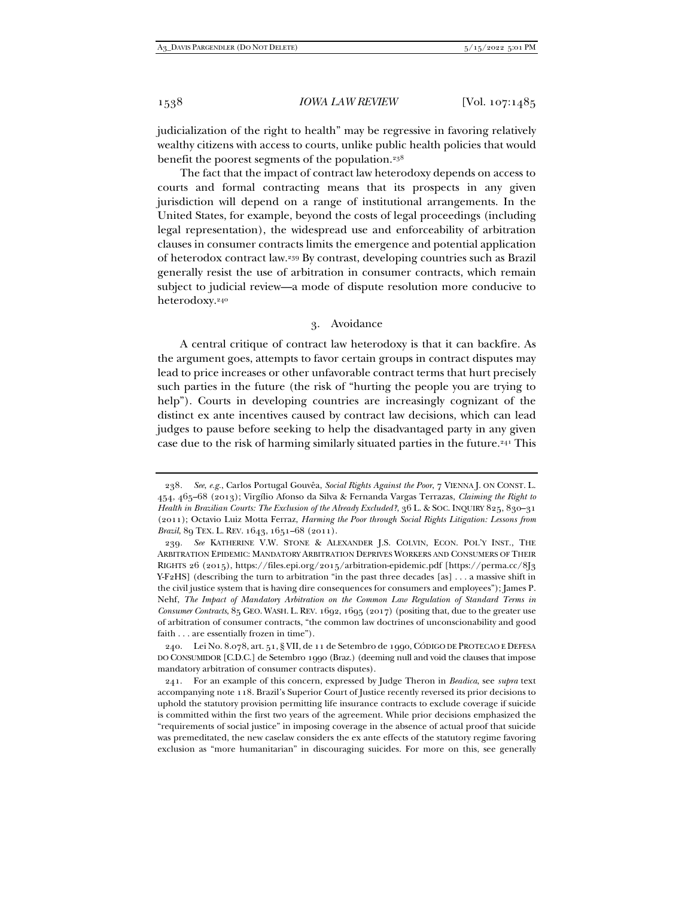judicialization of the right to health" may be regressive in favoring relatively wealthy citizens with access to courts, unlike public health policies that would benefit the poorest segments of the population.<sup>238</sup>

The fact that the impact of contract law heterodoxy depends on access to courts and formal contracting means that its prospects in any given jurisdiction will depend on a range of institutional arrangements. In the United States, for example, beyond the costs of legal proceedings (including legal representation), the widespread use and enforceability of arbitration clauses in consumer contracts limits the emergence and potential application of heterodox contract law.239 By contrast, developing countries such as Brazil generally resist the use of arbitration in consumer contracts, which remain subject to judicial review—a mode of dispute resolution more conducive to heterodoxy.240

# 3. Avoidance

A central critique of contract law heterodoxy is that it can backfire. As the argument goes, attempts to favor certain groups in contract disputes may lead to price increases or other unfavorable contract terms that hurt precisely such parties in the future (the risk of "hurting the people you are trying to help"). Courts in developing countries are increasingly cognizant of the distinct ex ante incentives caused by contract law decisions, which can lead judges to pause before seeking to help the disadvantaged party in any given case due to the risk of harming similarly situated parties in the future.<sup>241</sup> This

<sup>238</sup>*. See*, *e.g.*, Carlos Portugal Gouvêa, *Social Rights Against the Poor*, 7 VIENNA J. ON CONST. L. 454, 465–68 (2013); Virgílio Afonso da Silva & Fernanda Vargas Terrazas, *Claiming the Right to Health in Brazilian Courts: The Exclusion of the Already Excluded?*, 36 L. & SOC. INQUIRY 825, 830–31 (2011); Octavio Luiz Motta Ferraz, *Harming the Poor through Social Rights Litigation: Lessons from Brazil*, 89 TEX. L. REV. 1643, 1651–68 (2011).

<sup>239</sup>*. See* KATHERINE V.W. STONE & ALEXANDER J.S. COLVIN, ECON. POL'Y INST., THE ARBITRATION EPIDEMIC: MANDATORY ARBITRATION DEPRIVES WORKERS AND CONSUMERS OF THEIR RIGHTS 26 (2015), https://files.epi.org/2015/arbitration-epidemic.pdf [https://perma.cc/8J3 Y-F2HS] (describing the turn to arbitration "in the past three decades [as] . . . a massive shift in the civil justice system that is having dire consequences for consumers and employees"); James P. Nehf, *The Impact of Mandatory Arbitration on the Common Law Regulation of Standard Terms in Consumer Contracts*, 85 GEO. WASH. L. REV. 1692, 1695 (2017) (positing that, due to the greater use of arbitration of consumer contracts, "the common law doctrines of unconscionability and good faith . . . are essentially frozen in time").

 <sup>240.</sup> Lei No. 8.078, art. 51, § VII, de 11 de Setembro de 1990, CÓDIGO DE PROTECAO E DEFESA DO CONSUMIDOR [C.D.C.] de Setembro 1990 (Braz.) (deeming null and void the clauses that impose mandatory arbitration of consumer contracts disputes).

 <sup>241.</sup> For an example of this concern, expressed by Judge Theron in *Beadica*, see *supra* text accompanying note 118. Brazil's Superior Court of Justice recently reversed its prior decisions to uphold the statutory provision permitting life insurance contracts to exclude coverage if suicide is committed within the first two years of the agreement. While prior decisions emphasized the "requirements of social justice" in imposing coverage in the absence of actual proof that suicide was premeditated, the new caselaw considers the ex ante effects of the statutory regime favoring exclusion as "more humanitarian" in discouraging suicides. For more on this, see generally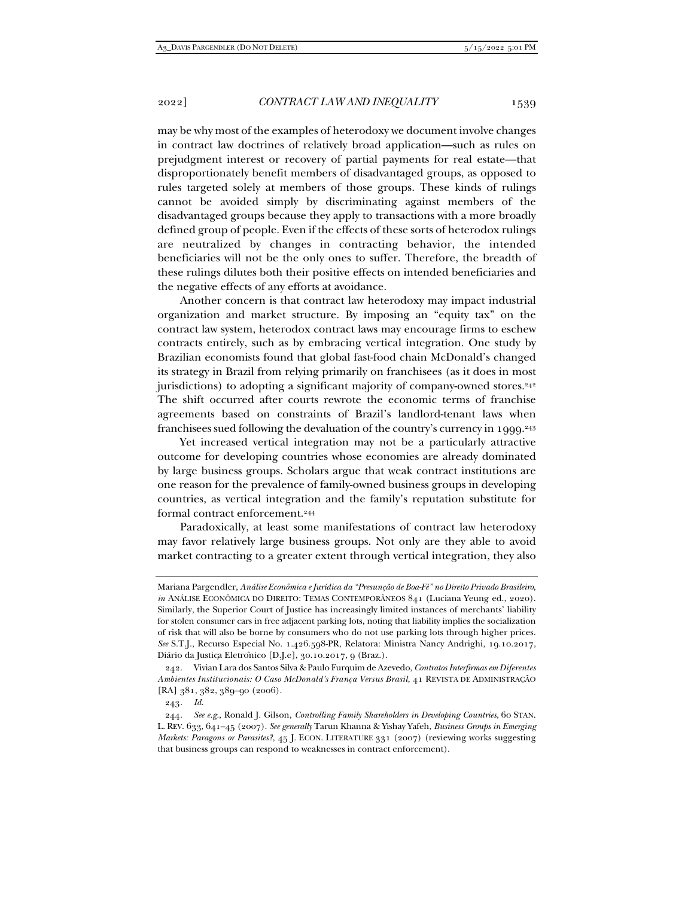may be why most of the examples of heterodoxy we document involve changes in contract law doctrines of relatively broad application—such as rules on prejudgment interest or recovery of partial payments for real estate—that disproportionately benefit members of disadvantaged groups, as opposed to rules targeted solely at members of those groups. These kinds of rulings cannot be avoided simply by discriminating against members of the disadvantaged groups because they apply to transactions with a more broadly defined group of people. Even if the effects of these sorts of heterodox rulings are neutralized by changes in contracting behavior, the intended beneficiaries will not be the only ones to suffer. Therefore, the breadth of these rulings dilutes both their positive effects on intended beneficiaries and the negative effects of any efforts at avoidance.

Another concern is that contract law heterodoxy may impact industrial organization and market structure. By imposing an "equity tax" on the contract law system, heterodox contract laws may encourage firms to eschew contracts entirely, such as by embracing vertical integration. One study by Brazilian economists found that global fast-food chain McDonald's changed its strategy in Brazil from relying primarily on franchisees (as it does in most jurisdictions) to adopting a significant majority of company-owned stores.<sup>242</sup> The shift occurred after courts rewrote the economic terms of franchise agreements based on constraints of Brazil's landlord-tenant laws when franchisees sued following the devaluation of the country's currency in 1999.<sup>243</sup>

Yet increased vertical integration may not be a particularly attractive outcome for developing countries whose economies are already dominated by large business groups. Scholars argue that weak contract institutions are one reason for the prevalence of family-owned business groups in developing countries, as vertical integration and the family's reputation substitute for formal contract enforcement.244

Paradoxically, at least some manifestations of contract law heterodoxy may favor relatively large business groups. Not only are they able to avoid market contracting to a greater extent through vertical integration, they also

243*. Id.*

Mariana Pargendler, *Análise Econômica e Jurídica da "Presunção de Boa-Fé" no Direito Privado Brasileiro*, *in* ANÁLISE ECONÔMICA DO DIREITO: TEMAS CONTEMPORÂNEOS 841 (Luciana Yeung ed., 2020). Similarly, the Superior Court of Justice has increasingly limited instances of merchants' liability for stolen consumer cars in free adjacent parking lots, noting that liability implies the socialization of risk that will also be borne by consumers who do not use parking lots through higher prices. *See* S.T.J., Recurso Especial No. 1.426.598-PR, Relatora: Ministra Nancy Andrighi, 19.10.2017, Diário da Justiça Eletrônico [D.J.e], 30.10.2017, 9 (Braz.).

 <sup>242.</sup> Vivian Lara dos Santos Silva & Paulo Furquim de Azevedo, *Contratos Interfirmas em Diferentes Ambientes Institucionais: O Caso McDonald's França Versus Brasil*, 41 REVISTA DE ADMINISTRAÇÃO [RA] 381, 382, 389-90 (2006).

<sup>244</sup>*. See e.g.*, Ronald J. Gilson, *Controlling Family Shareholders in Developing Countries*, 60 STAN. L. REV. 633, 641–45 (2007). *See generally* Tarun Khanna & Yishay Yafeh, *Business Groups in Emerging Markets: Paragons or Parasites?*, 45 J. ECON. LITERATURE 331 (2007) (reviewing works suggesting that business groups can respond to weaknesses in contract enforcement).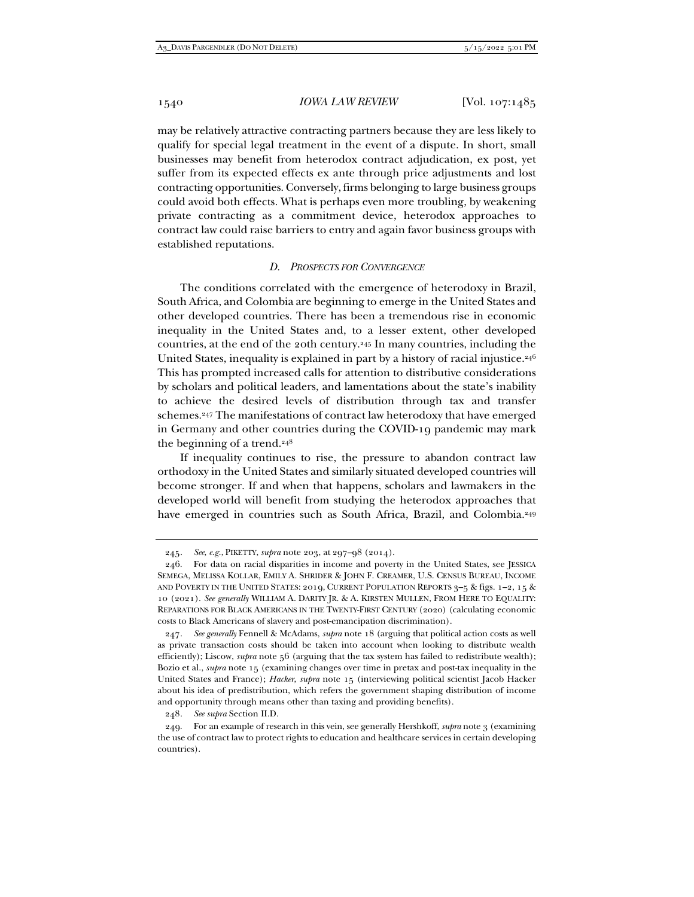may be relatively attractive contracting partners because they are less likely to qualify for special legal treatment in the event of a dispute. In short, small businesses may benefit from heterodox contract adjudication, ex post, yet suffer from its expected effects ex ante through price adjustments and lost contracting opportunities. Conversely, firms belonging to large business groups could avoid both effects. What is perhaps even more troubling, by weakening private contracting as a commitment device, heterodox approaches to contract law could raise barriers to entry and again favor business groups with established reputations.

# *D. PROSPECTS FOR CONVERGENCE*

The conditions correlated with the emergence of heterodoxy in Brazil, South Africa, and Colombia are beginning to emerge in the United States and other developed countries. There has been a tremendous rise in economic inequality in the United States and, to a lesser extent, other developed countries, at the end of the 20th century.245 In many countries, including the United States, inequality is explained in part by a history of racial injustice.<sup>246</sup> This has prompted increased calls for attention to distributive considerations by scholars and political leaders, and lamentations about the state's inability to achieve the desired levels of distribution through tax and transfer schemes.<sup>247</sup> The manifestations of contract law heterodoxy that have emerged in Germany and other countries during the COVID-19 pandemic may mark the beginning of a trend.<sup>248</sup>

If inequality continues to rise, the pressure to abandon contract law orthodoxy in the United States and similarly situated developed countries will become stronger. If and when that happens, scholars and lawmakers in the developed world will benefit from studying the heterodox approaches that have emerged in countries such as South Africa, Brazil, and Colombia.<sup>249</sup>

<sup>245</sup>*. See*, *e.g.*, PIKETTY, *supra* note 203, at 297–98 (2014).

 <sup>246.</sup> For data on racial disparities in income and poverty in the United States, see JESSICA SEMEGA, MELISSA KOLLAR, EMILY A. SHRIDER & JOHN F. CREAMER, U.S. CENSUS BUREAU, INCOME AND POVERTY IN THE UNITED STATES: 2019, CURRENT POPULATION REPORTS 3–5 & figs. 1–2, 15 & 10 (2021). *See generally* WILLIAM A. DARITY JR. & A. KIRSTEN MULLEN, FROM HERE TO EQUALITY: REPARATIONS FOR BLACK AMERICANS IN THE TWENTY-FIRST CENTURY (2020) (calculating economic costs to Black Americans of slavery and post-emancipation discrimination).

<sup>247</sup>*. See generally* Fennell & McAdams, *supra* note 18 (arguing that political action costs as well as private transaction costs should be taken into account when looking to distribute wealth efficiently); Liscow, *supra* note 56 (arguing that the tax system has failed to redistribute wealth); Bozio et al., *supra* note 15 (examining changes over time in pretax and post-tax inequality in the United States and France); *Hacker*, *supra* note 15 (interviewing political scientist Jacob Hacker about his idea of predistribution, which refers the government shaping distribution of income and opportunity through means other than taxing and providing benefits).

<sup>248</sup>*. See supra* Section II.D.

 <sup>249.</sup> For an example of research in this vein, see generally Hershkoff, *supra* note 3 (examining the use of contract law to protect rights to education and healthcare services in certain developing countries).